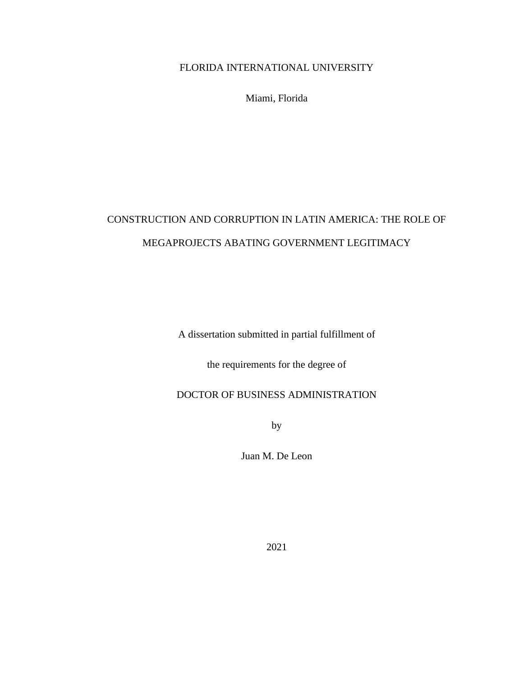### FLORIDA INTERNATIONAL UNIVERSITY

Miami, Florida

# CONSTRUCTION AND CORRUPTION IN LATIN AMERICA: THE ROLE OF MEGAPROJECTS ABATING GOVERNMENT LEGITIMACY

A dissertation submitted in partial fulfillment of

the requirements for the degree of

## DOCTOR OF BUSINESS ADMINISTRATION

by

Juan M. De Leon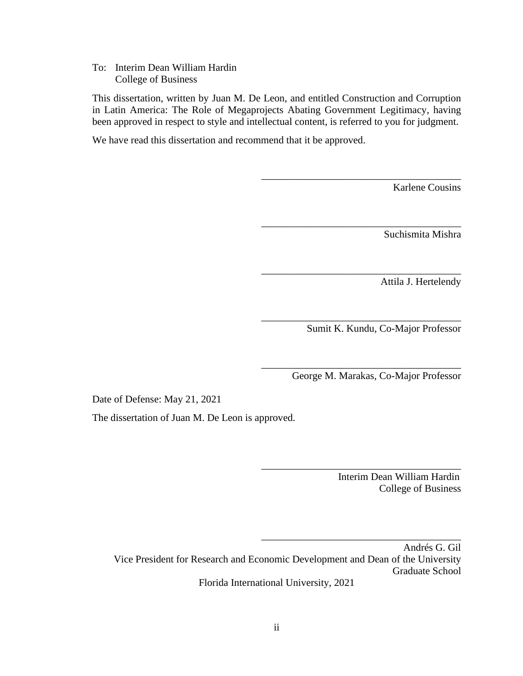To: Interim Dean William Hardin College of Business

This dissertation, written by Juan M. De Leon, and entitled Construction and Corruption in Latin America: The Role of Megaprojects Abating Government Legitimacy, having been approved in respect to style and intellectual content, is referred to you for judgment.

We have read this dissertation and recommend that it be approved.

Karlene Cousins

Suchismita Mishra

Attila J. Hertelendy

Sumit K. Kundu, Co-Major Professor

\_\_\_\_\_\_\_\_\_\_\_\_\_\_\_\_\_\_\_\_\_\_\_\_\_\_\_\_\_\_\_\_\_\_\_\_\_\_\_

\_\_\_\_\_\_\_\_\_\_\_\_\_\_\_\_\_\_\_\_\_\_\_\_\_\_\_\_\_\_\_\_\_\_\_\_\_\_\_

\_\_\_\_\_\_\_\_\_\_\_\_\_\_\_\_\_\_\_\_\_\_\_\_\_\_\_\_\_\_\_\_\_\_\_\_\_\_\_

\_\_\_\_\_\_\_\_\_\_\_\_\_\_\_\_\_\_\_\_\_\_\_\_\_\_\_\_\_\_\_\_\_\_\_\_\_\_\_

\_\_\_\_\_\_\_\_\_\_\_\_\_\_\_\_\_\_\_\_\_\_\_\_\_\_\_\_\_\_\_\_\_\_\_\_\_\_\_

\_\_\_\_\_\_\_\_\_\_\_\_\_\_\_\_\_\_\_\_\_\_\_\_\_\_\_\_\_\_\_\_\_\_\_\_\_\_\_

\_\_\_\_\_\_\_\_\_\_\_\_\_\_\_\_\_\_\_\_\_\_\_\_\_\_\_\_\_\_\_\_\_\_\_\_\_\_\_

George M. Marakas, Co-Major Professor

Date of Defense: May 21, 2021

The dissertation of Juan M. De Leon is approved.

 Interim Dean William Hardin College of Business

Andrés G. Gil Vice President for Research and Economic Development and Dean of the University Graduate School Florida International University, 2021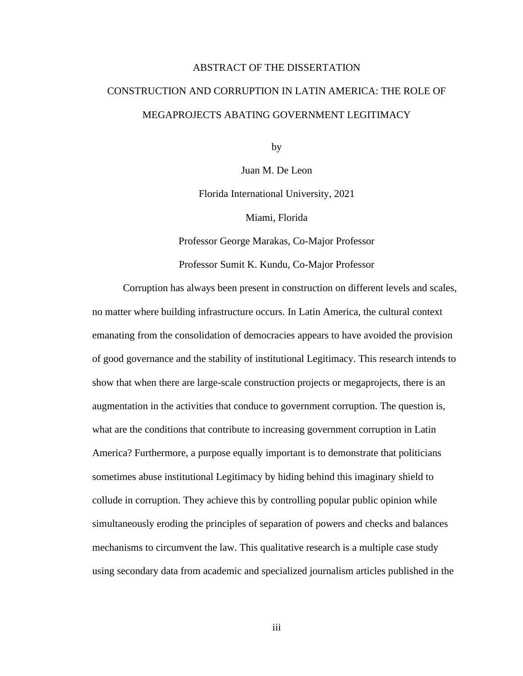## ABSTRACT OF THE DISSERTATION

## CONSTRUCTION AND CORRUPTION IN LATIN AMERICA: THE ROLE OF MEGAPROJECTS ABATING GOVERNMENT LEGITIMACY

by

Juan M. De Leon

Florida International University, 2021

Miami, Florida

Professor George Marakas, Co-Major Professor

Professor Sumit K. Kundu, Co-Major Professor

Corruption has always been present in construction on different levels and scales, no matter where building infrastructure occurs. In Latin America, the cultural context emanating from the consolidation of democracies appears to have avoided the provision of good governance and the stability of institutional Legitimacy. This research intends to show that when there are large-scale construction projects or megaprojects, there is an augmentation in the activities that conduce to government corruption. The question is, what are the conditions that contribute to increasing government corruption in Latin America? Furthermore, a purpose equally important is to demonstrate that politicians sometimes abuse institutional Legitimacy by hiding behind this imaginary shield to collude in corruption. They achieve this by controlling popular public opinion while simultaneously eroding the principles of separation of powers and checks and balances mechanisms to circumvent the law. This qualitative research is a multiple case study using secondary data from academic and specialized journalism articles published in the

iii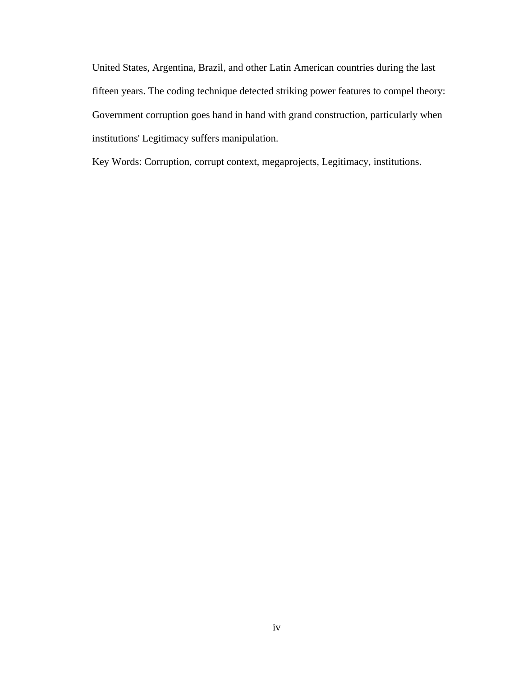United States, Argentina, Brazil, and other Latin American countries during the last fifteen years. The coding technique detected striking power features to compel theory: Government corruption goes hand in hand with grand construction, particularly when institutions' Legitimacy suffers manipulation.

Key Words: Corruption, corrupt context, megaprojects, Legitimacy, institutions.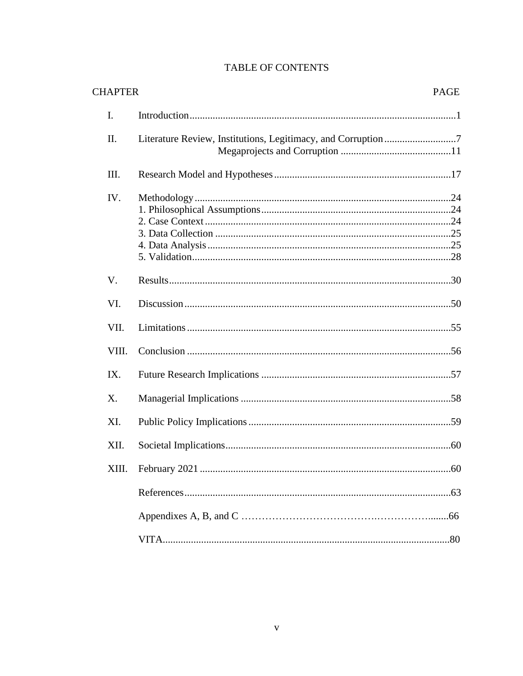| <b>CHAPTER</b> |                                                               | PAGE |
|----------------|---------------------------------------------------------------|------|
| Ι.             |                                                               |      |
| Π.             | Literature Review, Institutions, Legitimacy, and Corruption 7 |      |
| III.           |                                                               |      |
| IV.            |                                                               |      |
| V.             |                                                               |      |
| VI.            |                                                               |      |
| VII.           |                                                               |      |
| VIII.          |                                                               |      |
| IX.            |                                                               |      |
| X.             |                                                               |      |
| XI.            |                                                               |      |
| XII.           |                                                               |      |
|                |                                                               |      |
|                |                                                               |      |
|                |                                                               |      |
|                |                                                               |      |

## TABLE OF CONTENTS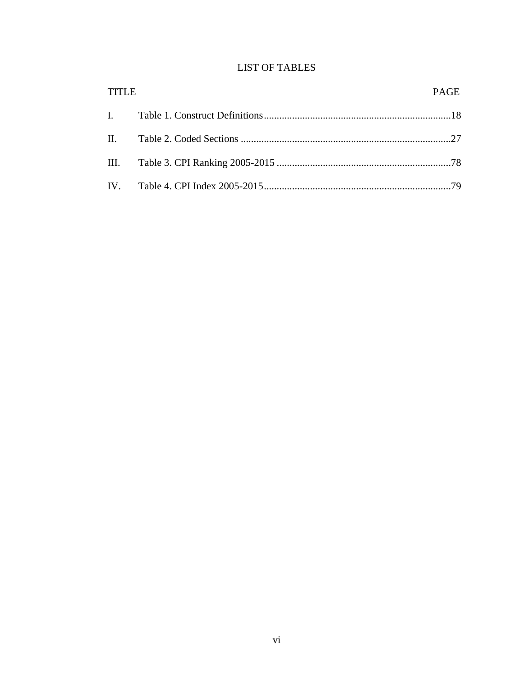### **LIST OF TABLES**

| <b>TITLE</b> | PAGE |
|--------------|------|
|              |      |
|              |      |
|              |      |
|              |      |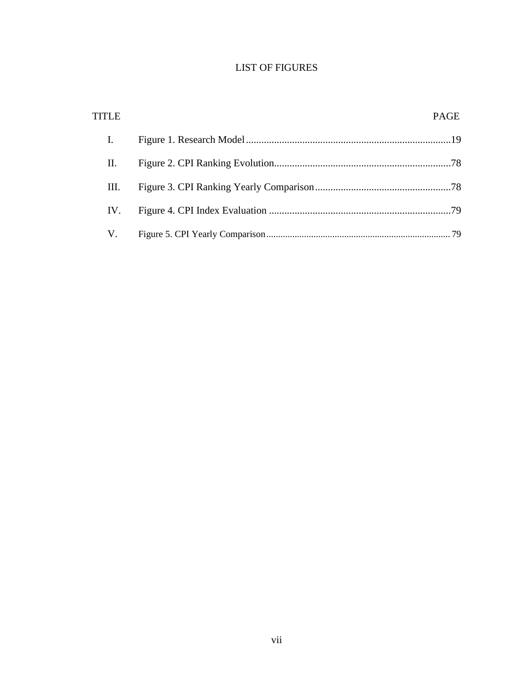## LIST OF FIGURES

| <b>TITLE</b>   | <b>PAGE</b> |
|----------------|-------------|
| $\mathbf{I}$ . |             |
| П.             |             |
| Ш.             |             |
| IV.            |             |
| V.             |             |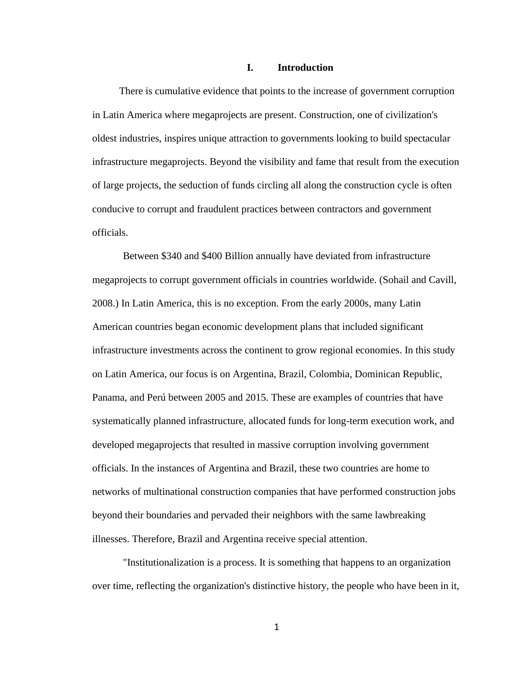#### **I. Introduction**

There is cumulative evidence that points to the increase of government corruption in Latin America where megaprojects are present. Construction, one of civilization's oldest industries, inspires unique attraction to governments looking to build spectacular infrastructure megaprojects. Beyond the visibility and fame that result from the execution of large projects, the seduction of funds circling all along the construction cycle is often conducive to corrupt and fraudulent practices between contractors and government officials.

Between \$340 and \$400 Billion annually have deviated from infrastructure megaprojects to corrupt government officials in countries worldwide. (Sohail and Cavill, 2008.) In Latin America, this is no exception. From the early 2000s, many Latin American countries began economic development plans that included significant infrastructure investments across the continent to grow regional economies. In this study on Latin America, our focus is on Argentina, Brazil, Colombia, Dominican Republic, Panama, and Perú between 2005 and 2015. These are examples of countries that have systematically planned infrastructure, allocated funds for long-term execution work, and developed megaprojects that resulted in massive corruption involving government officials. In the instances of Argentina and Brazil, these two countries are home to networks of multinational construction companies that have performed construction jobs beyond their boundaries and pervaded their neighbors with the same lawbreaking illnesses. Therefore, Brazil and Argentina receive special attention.

"Institutionalization is a process. It is something that happens to an organization over time, reflecting the organization's distinctive history, the people who have been in it,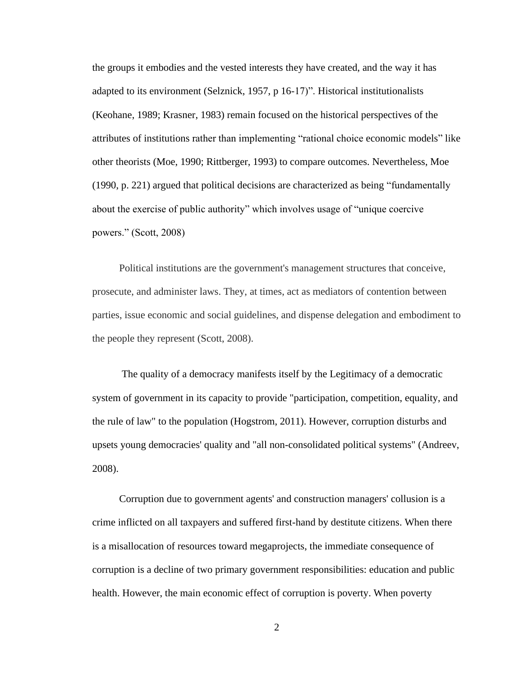the groups it embodies and the vested interests they have created, and the way it has adapted to its environment (Selznick, 1957, p 16-17)". Historical institutionalists (Keohane, 1989; Krasner, 1983) remain focused on the historical perspectives of the attributes of institutions rather than implementing "rational choice economic models" like other theorists (Moe, 1990; Rittberger, 1993) to compare outcomes. Nevertheless, Moe (1990, p. 221) argued that political decisions are characterized as being "fundamentally about the exercise of public authority" which involves usage of "unique coercive powers." (Scott, 2008)

Political institutions are the government's management structures that conceive, prosecute, and administer laws. They, at times, act as mediators of contention between parties, issue economic and social guidelines, and dispense delegation and embodiment to the people they represent (Scott, 2008).

The quality of a democracy manifests itself by the Legitimacy of a democratic system of government in its capacity to provide "participation, competition, equality, and the rule of law" to the population (Hogstrom, 2011). However, corruption disturbs and upsets young democracies' quality and "all non-consolidated political systems" (Andreev, 2008).

Corruption due to government agents' and construction managers' collusion is a crime inflicted on all taxpayers and suffered first-hand by destitute citizens. When there is a misallocation of resources toward megaprojects, the immediate consequence of corruption is a decline of two primary government responsibilities: education and public health. However, the main economic effect of corruption is poverty. When poverty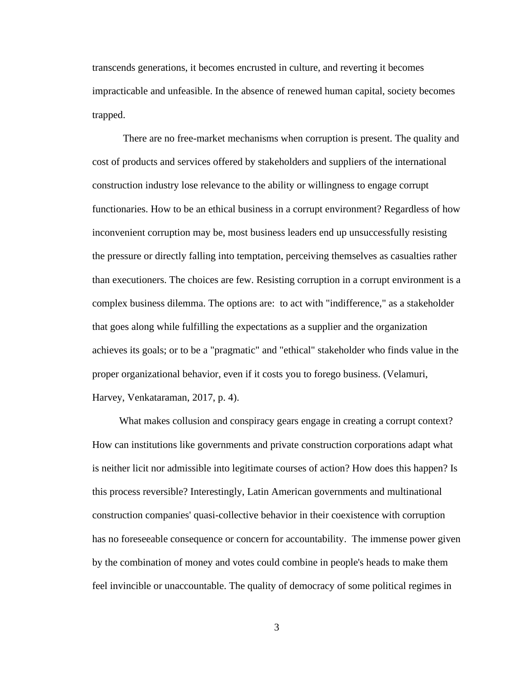transcends generations, it becomes encrusted in culture, and reverting it becomes impracticable and unfeasible. In the absence of renewed human capital, society becomes trapped.

There are no free-market mechanisms when corruption is present. The quality and cost of products and services offered by stakeholders and suppliers of the international construction industry lose relevance to the ability or willingness to engage corrupt functionaries. How to be an ethical business in a corrupt environment? Regardless of how inconvenient corruption may be, most business leaders end up unsuccessfully resisting the pressure or directly falling into temptation, perceiving themselves as casualties rather than executioners. The choices are few. Resisting corruption in a corrupt environment is a complex business dilemma. The options are: to act with "indifference," as a stakeholder that goes along while fulfilling the expectations as a supplier and the organization achieves its goals; or to be a "pragmatic" and "ethical" stakeholder who finds value in the proper organizational behavior, even if it costs you to forego business. (Velamuri, Harvey, Venkataraman, 2017, p. 4).

What makes collusion and conspiracy gears engage in creating a corrupt context? How can institutions like governments and private construction corporations adapt what is neither licit nor admissible into legitimate courses of action? How does this happen? Is this process reversible? Interestingly, Latin American governments and multinational construction companies' quasi-collective behavior in their coexistence with corruption has no foreseeable consequence or concern for accountability. The immense power given by the combination of money and votes could combine in people's heads to make them feel invincible or unaccountable. The quality of democracy of some political regimes in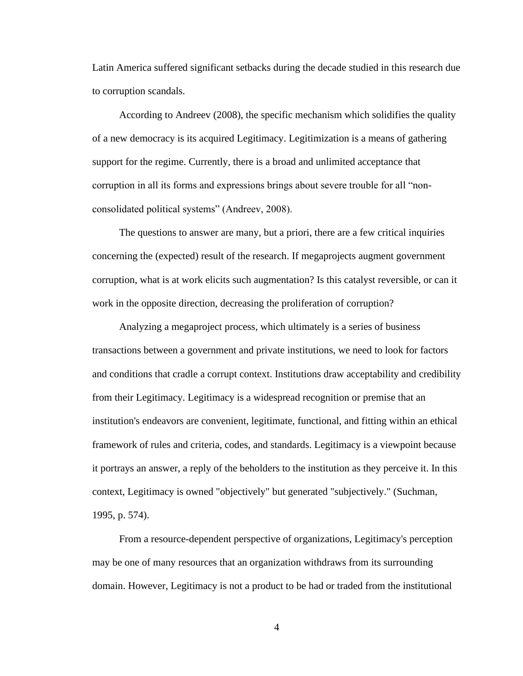Latin America suffered significant setbacks during the decade studied in this research due to corruption scandals.

According to Andreev (2008), the specific mechanism which solidifies the quality of a new democracy is its acquired Legitimacy. Legitimization is a means of gathering support for the regime. Currently, there is a broad and unlimited acceptance that corruption in all its forms and expressions brings about severe trouble for all "nonconsolidated political systems" (Andreev, 2008).

The questions to answer are many, but a priori, there are a few critical inquiries concerning the (expected) result of the research. If megaprojects augment government corruption, what is at work elicits such augmentation? Is this catalyst reversible, or can it work in the opposite direction, decreasing the proliferation of corruption?

Analyzing a megaproject process, which ultimately is a series of business transactions between a government and private institutions, we need to look for factors and conditions that cradle a corrupt context. Institutions draw acceptability and credibility from their Legitimacy. Legitimacy is a widespread recognition or premise that an institution's endeavors are convenient, legitimate, functional, and fitting within an ethical framework of rules and criteria, codes, and standards. Legitimacy is a viewpoint because it portrays an answer, a reply of the beholders to the institution as they perceive it. In this context, Legitimacy is owned "objectively" but generated "subjectively." (Suchman, 1995, p. 574).

From a resource-dependent perspective of organizations, Legitimacy's perception may be one of many resources that an organization withdraws from its surrounding domain. However, Legitimacy is not a product to be had or traded from the institutional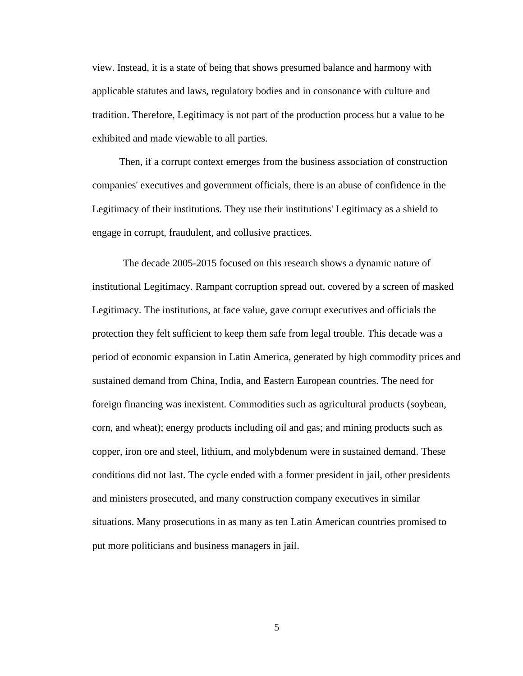view. Instead, it is a state of being that shows presumed balance and harmony with applicable statutes and laws, regulatory bodies and in consonance with culture and tradition. Therefore, Legitimacy is not part of the production process but a value to be exhibited and made viewable to all parties.

Then, if a corrupt context emerges from the business association of construction companies' executives and government officials, there is an abuse of confidence in the Legitimacy of their institutions. They use their institutions' Legitimacy as a shield to engage in corrupt, fraudulent, and collusive practices.

The decade 2005-2015 focused on this research shows a dynamic nature of institutional Legitimacy. Rampant corruption spread out, covered by a screen of masked Legitimacy. The institutions, at face value, gave corrupt executives and officials the protection they felt sufficient to keep them safe from legal trouble. This decade was a period of economic expansion in Latin America, generated by high commodity prices and sustained demand from China, India, and Eastern European countries. The need for foreign financing was inexistent. Commodities such as agricultural products (soybean, corn, and wheat); energy products including oil and gas; and mining products such as copper, iron ore and steel, lithium, and molybdenum were in sustained demand. These conditions did not last. The cycle ended with a former president in jail, other presidents and ministers prosecuted, and many construction company executives in similar situations. Many prosecutions in as many as ten Latin American countries promised to put more politicians and business managers in jail.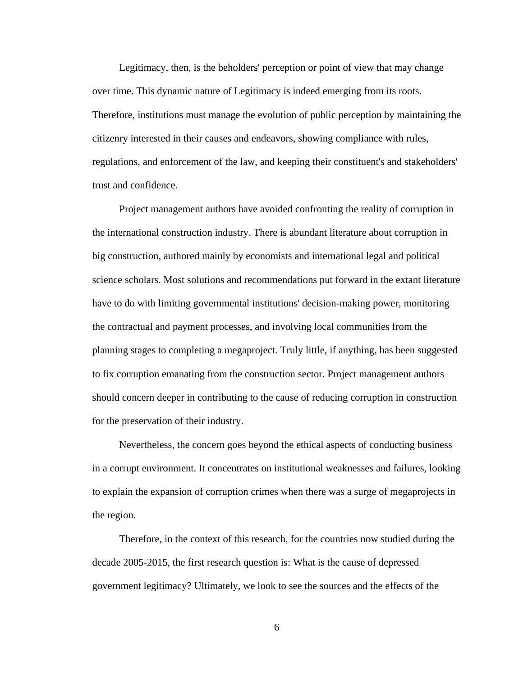Legitimacy, then, is the beholders' perception or point of view that may change over time. This dynamic nature of Legitimacy is indeed emerging from its roots. Therefore, institutions must manage the evolution of public perception by maintaining the citizenry interested in their causes and endeavors, showing compliance with rules, regulations, and enforcement of the law, and keeping their constituent's and stakeholders' trust and confidence.

Project management authors have avoided confronting the reality of corruption in the international construction industry. There is abundant literature about corruption in big construction, authored mainly by economists and international legal and political science scholars. Most solutions and recommendations put forward in the extant literature have to do with limiting governmental institutions' decision-making power, monitoring the contractual and payment processes, and involving local communities from the planning stages to completing a megaproject. Truly little, if anything, has been suggested to fix corruption emanating from the construction sector. Project management authors should concern deeper in contributing to the cause of reducing corruption in construction for the preservation of their industry.

Nevertheless, the concern goes beyond the ethical aspects of conducting business in a corrupt environment. It concentrates on institutional weaknesses and failures, looking to explain the expansion of corruption crimes when there was a surge of megaprojects in the region.

Therefore, in the context of this research, for the countries now studied during the decade 2005-2015, the first research question is: What is the cause of depressed government legitimacy? Ultimately, we look to see the sources and the effects of the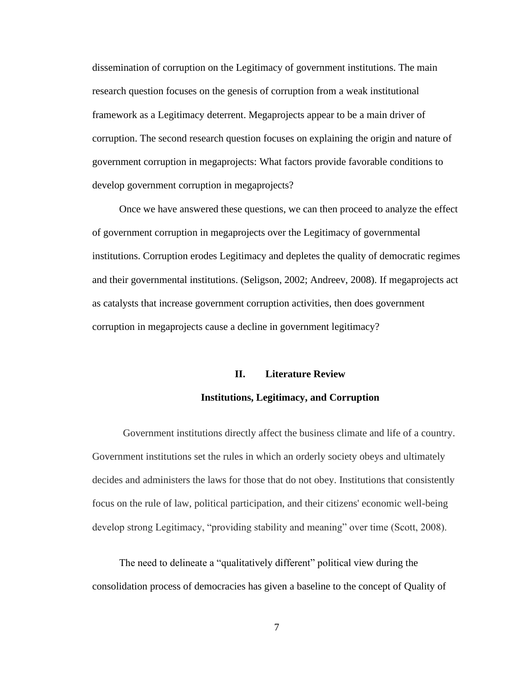dissemination of corruption on the Legitimacy of government institutions. The main research question focuses on the genesis of corruption from a weak institutional framework as a Legitimacy deterrent. Megaprojects appear to be a main driver of corruption. The second research question focuses on explaining the origin and nature of government corruption in megaprojects: What factors provide favorable conditions to develop government corruption in megaprojects?

Once we have answered these questions, we can then proceed to analyze the effect of government corruption in megaprojects over the Legitimacy of governmental institutions. Corruption erodes Legitimacy and depletes the quality of democratic regimes and their governmental institutions. (Seligson, 2002; Andreev, 2008). If megaprojects act as catalysts that increase government corruption activities, then does government corruption in megaprojects cause a decline in government legitimacy?

## **II. Literature Review Institutions, Legitimacy, and Corruption**

Government institutions directly affect the business climate and life of a country. Government institutions set the rules in which an orderly society obeys and ultimately decides and administers the laws for those that do not obey. Institutions that consistently focus on the rule of law, political participation, and their citizens' economic well-being develop strong Legitimacy, "providing stability and meaning" over time (Scott, 2008).

The need to delineate a "qualitatively different" political view during the consolidation process of democracies has given a baseline to the concept of Quality of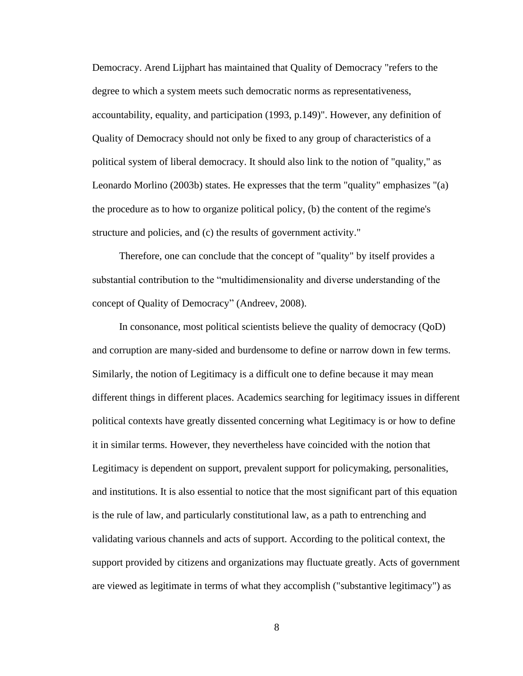Democracy. Arend Lijphart has maintained that Quality of Democracy "refers to the degree to which a system meets such democratic norms as representativeness, accountability, equality, and participation (1993, p.149)". However, any definition of Quality of Democracy should not only be fixed to any group of characteristics of a political system of liberal democracy. It should also link to the notion of "quality," as Leonardo Morlino (2003b) states. He expresses that the term "quality" emphasizes "(a) the procedure as to how to organize political policy, (b) the content of the regime's structure and policies, and (c) the results of government activity."

Therefore, one can conclude that the concept of "quality" by itself provides a substantial contribution to the "multidimensionality and diverse understanding of the concept of Quality of Democracy" (Andreev, 2008).

In consonance, most political scientists believe the quality of democracy (QoD) and corruption are many-sided and burdensome to define or narrow down in few terms. Similarly, the notion of Legitimacy is a difficult one to define because it may mean different things in different places. Academics searching for legitimacy issues in different political contexts have greatly dissented concerning what Legitimacy is or how to define it in similar terms. However, they nevertheless have coincided with the notion that Legitimacy is dependent on support, prevalent support for policymaking, personalities, and institutions. It is also essential to notice that the most significant part of this equation is the rule of law, and particularly constitutional law, as a path to entrenching and validating various channels and acts of support. According to the political context, the support provided by citizens and organizations may fluctuate greatly. Acts of government are viewed as legitimate in terms of what they accomplish ("substantive legitimacy") as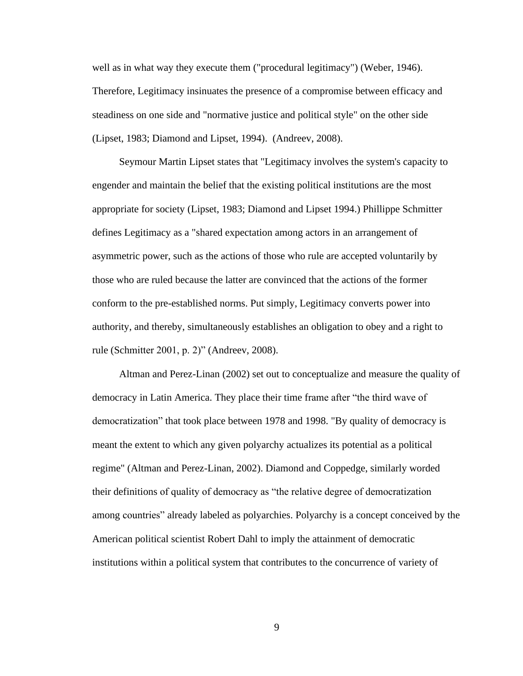well as in what way they execute them ("procedural legitimacy") (Weber, 1946). Therefore, Legitimacy insinuates the presence of a compromise between efficacy and steadiness on one side and "normative justice and political style" on the other side (Lipset, 1983; Diamond and Lipset, 1994). (Andreev, 2008).

Seymour Martin Lipset states that "Legitimacy involves the system's capacity to engender and maintain the belief that the existing political institutions are the most appropriate for society (Lipset, 1983; Diamond and Lipset 1994.) Phillippe Schmitter defines Legitimacy as a "shared expectation among actors in an arrangement of asymmetric power, such as the actions of those who rule are accepted voluntarily by those who are ruled because the latter are convinced that the actions of the former conform to the pre-established norms. Put simply, Legitimacy converts power into authority, and thereby, simultaneously establishes an obligation to obey and a right to rule (Schmitter 2001, p. 2)" (Andreev, 2008).

Altman and Perez-Linan (2002) set out to conceptualize and measure the quality of democracy in Latin America. They place their time frame after "the third wave of democratization" that took place between 1978 and 1998. "By quality of democracy is meant the extent to which any given polyarchy actualizes its potential as a political regime" (Altman and Perez-Linan, 2002). Diamond and Coppedge, similarly worded their definitions of quality of democracy as "the relative degree of democratization among countries" already labeled as polyarchies. Polyarchy is a concept conceived by the American political scientist Robert Dahl to imply the attainment of democratic institutions within a political system that contributes to the concurrence of variety of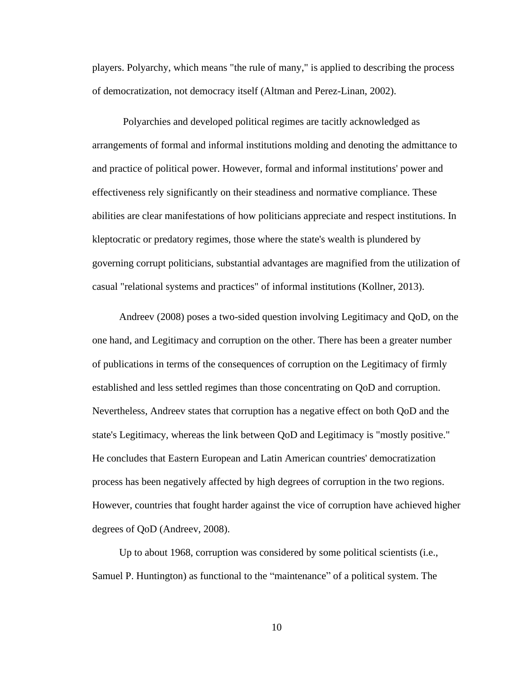players. Polyarchy, which means "the rule of many," is applied to describing the process of democratization, not democracy itself (Altman and Perez-Linan, 2002).

Polyarchies and developed political regimes are tacitly acknowledged as arrangements of formal and informal institutions molding and denoting the admittance to and practice of political power. However, formal and informal institutions' power and effectiveness rely significantly on their steadiness and normative compliance. These abilities are clear manifestations of how politicians appreciate and respect institutions. In kleptocratic or predatory regimes, those where the state's wealth is plundered by governing corrupt politicians, substantial advantages are magnified from the utilization of casual "relational systems and practices" of informal institutions (Kollner, 2013).

Andreev (2008) poses a two-sided question involving Legitimacy and QoD, on the one hand, and Legitimacy and corruption on the other. There has been a greater number of publications in terms of the consequences of corruption on the Legitimacy of firmly established and less settled regimes than those concentrating on QoD and corruption. Nevertheless, Andreev states that corruption has a negative effect on both QoD and the state's Legitimacy, whereas the link between QoD and Legitimacy is "mostly positive." He concludes that Eastern European and Latin American countries' democratization process has been negatively affected by high degrees of corruption in the two regions. However, countries that fought harder against the vice of corruption have achieved higher degrees of QoD (Andreev, 2008).

Up to about 1968, corruption was considered by some political scientists (i.e., Samuel P. Huntington) as functional to the "maintenance" of a political system. The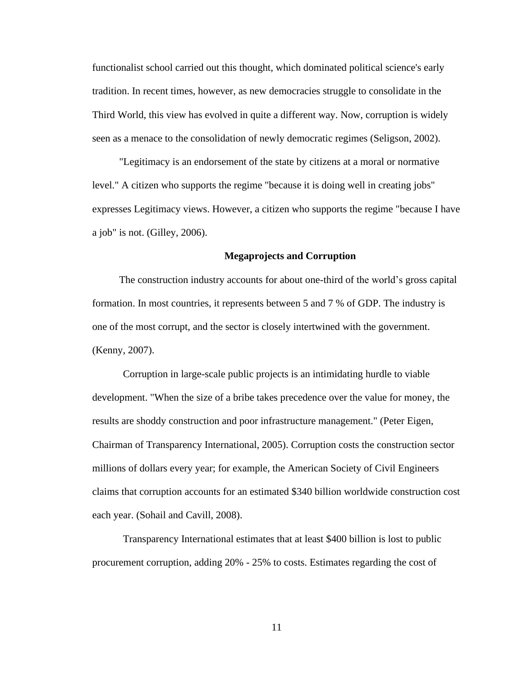functionalist school carried out this thought, which dominated political science's early tradition. In recent times, however, as new democracies struggle to consolidate in the Third World, this view has evolved in quite a different way. Now, corruption is widely seen as a menace to the consolidation of newly democratic regimes (Seligson, 2002).

"Legitimacy is an endorsement of the state by citizens at a moral or normative level." A citizen who supports the regime "because it is doing well in creating jobs" expresses Legitimacy views. However, a citizen who supports the regime "because I have a job" is not. (Gilley, 2006).

#### **Megaprojects and Corruption**

The construction industry accounts for about one-third of the world's gross capital formation. In most countries, it represents between 5 and 7 % of GDP. The industry is one of the most corrupt, and the sector is closely intertwined with the government. (Kenny, 2007).

Corruption in large-scale public projects is an intimidating hurdle to viable development. "When the size of a bribe takes precedence over the value for money, the results are shoddy construction and poor infrastructure management." (Peter Eigen, Chairman of Transparency International, 2005). Corruption costs the construction sector millions of dollars every year; for example, the American Society of Civil Engineers claims that corruption accounts for an estimated \$340 billion worldwide construction cost each year. (Sohail and Cavill, 2008).

Transparency International estimates that at least \$400 billion is lost to public procurement corruption, adding 20% - 25% to costs. Estimates regarding the cost of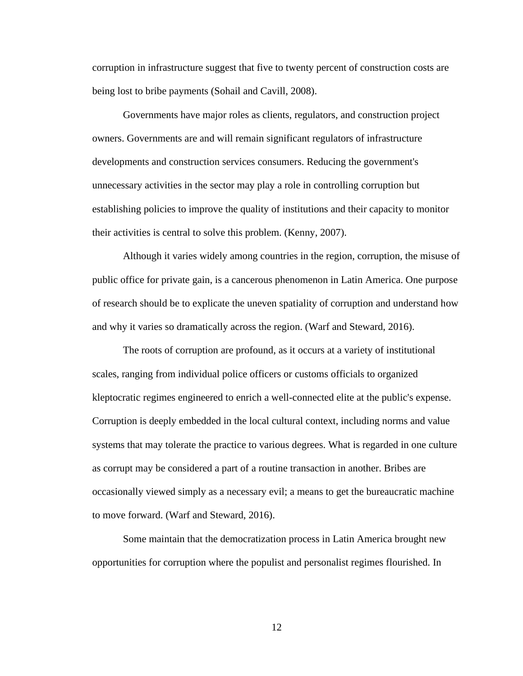corruption in infrastructure suggest that five to twenty percent of construction costs are being lost to bribe payments (Sohail and Cavill, 2008).

Governments have major roles as clients, regulators, and construction project owners. Governments are and will remain significant regulators of infrastructure developments and construction services consumers. Reducing the government's unnecessary activities in the sector may play a role in controlling corruption but establishing policies to improve the quality of institutions and their capacity to monitor their activities is central to solve this problem. (Kenny, 2007).

Although it varies widely among countries in the region, corruption, the misuse of public office for private gain, is a cancerous phenomenon in Latin America. One purpose of research should be to explicate the uneven spatiality of corruption and understand how and why it varies so dramatically across the region. (Warf and Steward, 2016).

The roots of corruption are profound, as it occurs at a variety of institutional scales, ranging from individual police officers or customs officials to organized kleptocratic regimes engineered to enrich a well-connected elite at the public's expense. Corruption is deeply embedded in the local cultural context, including norms and value systems that may tolerate the practice to various degrees. What is regarded in one culture as corrupt may be considered a part of a routine transaction in another. Bribes are occasionally viewed simply as a necessary evil; a means to get the bureaucratic machine to move forward. (Warf and Steward, 2016).

Some maintain that the democratization process in Latin America brought new opportunities for corruption where the populist and personalist regimes flourished. In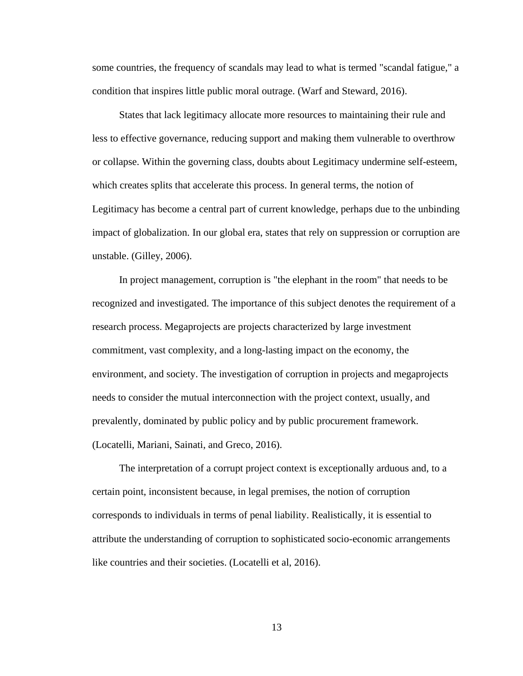some countries, the frequency of scandals may lead to what is termed "scandal fatigue," a condition that inspires little public moral outrage. (Warf and Steward, 2016).

States that lack legitimacy allocate more resources to maintaining their rule and less to effective governance, reducing support and making them vulnerable to overthrow or collapse. Within the governing class, doubts about Legitimacy undermine self-esteem, which creates splits that accelerate this process. In general terms, the notion of Legitimacy has become a central part of current knowledge, perhaps due to the unbinding impact of globalization. In our global era, states that rely on suppression or corruption are unstable. (Gilley, 2006).

In project management, corruption is "the elephant in the room" that needs to be recognized and investigated. The importance of this subject denotes the requirement of a research process. Megaprojects are projects characterized by large investment commitment, vast complexity, and a long-lasting impact on the economy, the environment, and society. The investigation of corruption in projects and megaprojects needs to consider the mutual interconnection with the project context, usually, and prevalently, dominated by public policy and by public procurement framework. (Locatelli, Mariani, Sainati, and Greco, 2016).

The interpretation of a corrupt project context is exceptionally arduous and, to a certain point, inconsistent because, in legal premises, the notion of corruption corresponds to individuals in terms of penal liability. Realistically, it is essential to attribute the understanding of corruption to sophisticated socio-economic arrangements like countries and their societies. (Locatelli et al, 2016).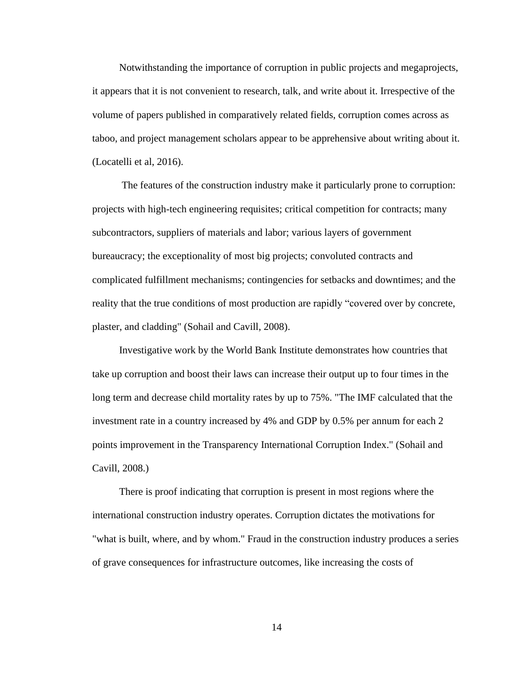Notwithstanding the importance of corruption in public projects and megaprojects, it appears that it is not convenient to research, talk, and write about it. Irrespective of the volume of papers published in comparatively related fields, corruption comes across as taboo, and project management scholars appear to be apprehensive about writing about it. (Locatelli et al, 2016).

The features of the construction industry make it particularly prone to corruption: projects with high-tech engineering requisites; critical competition for contracts; many subcontractors, suppliers of materials and labor; various layers of government bureaucracy; the exceptionality of most big projects; convoluted contracts and complicated fulfillment mechanisms; contingencies for setbacks and downtimes; and the reality that the true conditions of most production are rapidly "covered over by concrete, plaster, and cladding" (Sohail and Cavill, 2008).

Investigative work by the World Bank Institute demonstrates how countries that take up corruption and boost their laws can increase their output up to four times in the long term and decrease child mortality rates by up to 75%. "The IMF calculated that the investment rate in a country increased by 4% and GDP by 0.5% per annum for each 2 points improvement in the Transparency International Corruption Index." (Sohail and Cavill, 2008.)

There is proof indicating that corruption is present in most regions where the international construction industry operates. Corruption dictates the motivations for "what is built, where, and by whom." Fraud in the construction industry produces a series of grave consequences for infrastructure outcomes, like increasing the costs of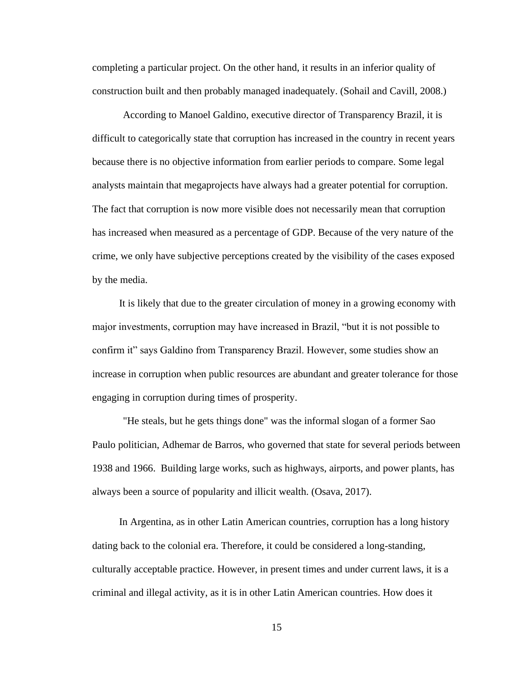completing a particular project. On the other hand, it results in an inferior quality of construction built and then probably managed inadequately. (Sohail and Cavill, 2008.)

According to Manoel Galdino, executive director of Transparency Brazil, it is difficult to categorically state that corruption has increased in the country in recent years because there is no objective information from earlier periods to compare. Some legal analysts maintain that megaprojects have always had a greater potential for corruption. The fact that corruption is now more visible does not necessarily mean that corruption has increased when measured as a percentage of GDP. Because of the very nature of the crime, we only have subjective perceptions created by the visibility of the cases exposed by the media.

It is likely that due to the greater circulation of money in a growing economy with major investments, corruption may have increased in Brazil, "but it is not possible to confirm it" says Galdino from Transparency Brazil. However, some studies show an increase in corruption when public resources are abundant and greater tolerance for those engaging in corruption during times of prosperity.

"He steals, but he gets things done" was the informal slogan of a former Sao Paulo politician, Adhemar de Barros, who governed that state for several periods between 1938 and 1966. Building large works, such as highways, airports, and power plants, has always been a source of popularity and illicit wealth. (Osava, 2017).

In Argentina, as in other Latin American countries, corruption has a long history dating back to the colonial era. Therefore, it could be considered a long-standing, culturally acceptable practice. However, in present times and under current laws, it is a criminal and illegal activity, as it is in other Latin American countries. How does it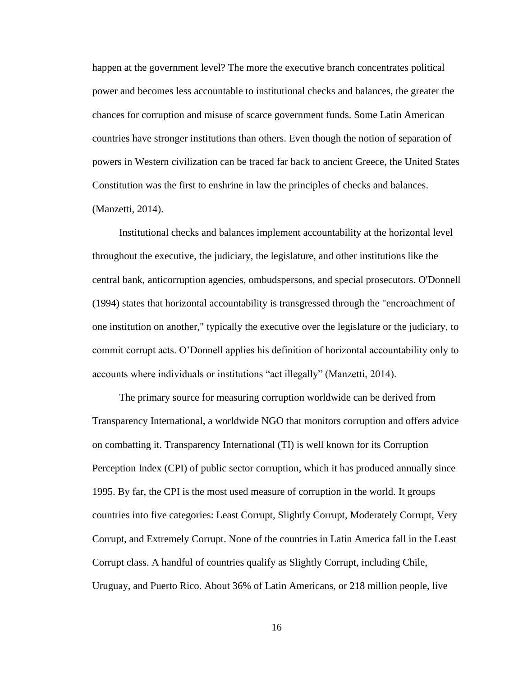happen at the government level? The more the executive branch concentrates political power and becomes less accountable to institutional checks and balances, the greater the chances for corruption and misuse of scarce government funds. Some Latin American countries have stronger institutions than others. Even though the notion of separation of powers in Western civilization can be traced far back to ancient Greece, the United States Constitution was the first to enshrine in law the principles of checks and balances. (Manzetti, 2014).

Institutional checks and balances implement accountability at the horizontal level throughout the executive, the judiciary, the legislature, and other institutions like the central bank, anticorruption agencies, ombudspersons, and special prosecutors. O'Donnell (1994) states that horizontal accountability is transgressed through the "encroachment of one institution on another," typically the executive over the legislature or the judiciary, to commit corrupt acts. O'Donnell applies his definition of horizontal accountability only to accounts where individuals or institutions "act illegally" (Manzetti, 2014).

The primary source for measuring corruption worldwide can be derived from Transparency International, a worldwide NGO that monitors corruption and offers advice on combatting it. Transparency International (TI) is well known for its Corruption Perception Index (CPI) of public sector corruption, which it has produced annually since 1995. By far, the CPI is the most used measure of corruption in the world. It groups countries into five categories: Least Corrupt, Slightly Corrupt, Moderately Corrupt, Very Corrupt, and Extremely Corrupt. None of the countries in Latin America fall in the Least Corrupt class. A handful of countries qualify as Slightly Corrupt, including Chile, Uruguay, and Puerto Rico. About 36% of Latin Americans, or 218 million people, live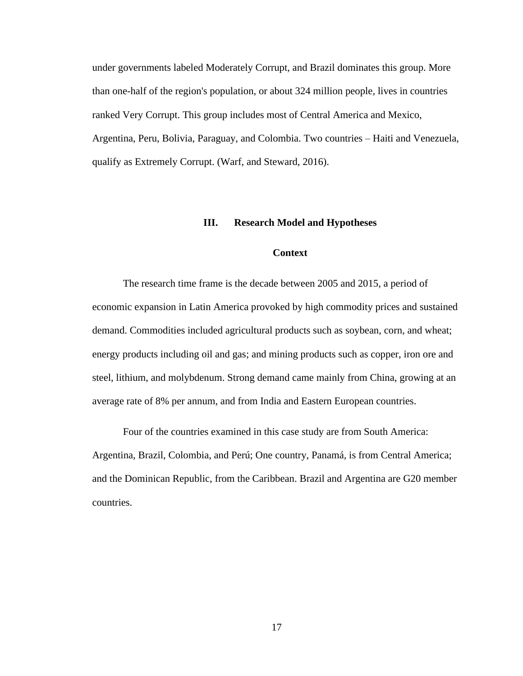under governments labeled Moderately Corrupt, and Brazil dominates this group. More than one-half of the region's population, or about 324 million people, lives in countries ranked Very Corrupt. This group includes most of Central America and Mexico, Argentina, Peru, Bolivia, Paraguay, and Colombia. Two countries – Haiti and Venezuela, qualify as Extremely Corrupt. (Warf, and Steward, 2016).

#### **III. Research Model and Hypotheses**

#### **Context**

The research time frame is the decade between 2005 and 2015, a period of economic expansion in Latin America provoked by high commodity prices and sustained demand. Commodities included agricultural products such as soybean, corn, and wheat; energy products including oil and gas; and mining products such as copper, iron ore and steel, lithium, and molybdenum. Strong demand came mainly from China, growing at an average rate of 8% per annum, and from India and Eastern European countries.

Four of the countries examined in this case study are from South America: Argentina, Brazil, Colombia, and Perú; One country, Panamá, is from Central America; and the Dominican Republic, from the Caribbean. Brazil and Argentina are G20 member countries.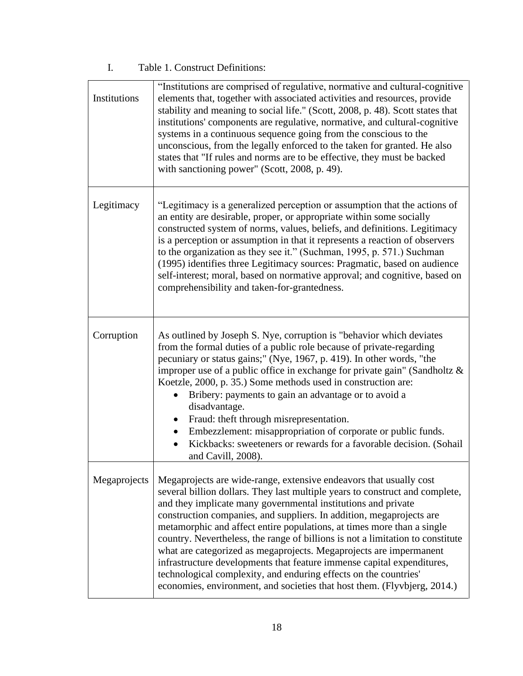## I. Table 1. Construct Definitions:

| Institutions | "Institutions are comprised of regulative, normative and cultural-cognitive<br>elements that, together with associated activities and resources, provide<br>stability and meaning to social life." (Scott, 2008, p. 48). Scott states that<br>institutions' components are regulative, normative, and cultural-cognitive<br>systems in a continuous sequence going from the conscious to the<br>unconscious, from the legally enforced to the taken for granted. He also<br>states that "If rules and norms are to be effective, they must be backed<br>with sanctioning power" (Scott, 2008, p. 49).                                                                                                                                                   |
|--------------|---------------------------------------------------------------------------------------------------------------------------------------------------------------------------------------------------------------------------------------------------------------------------------------------------------------------------------------------------------------------------------------------------------------------------------------------------------------------------------------------------------------------------------------------------------------------------------------------------------------------------------------------------------------------------------------------------------------------------------------------------------|
| Legitimacy   | "Legitimacy is a generalized perception or assumption that the actions of<br>an entity are desirable, proper, or appropriate within some socially<br>constructed system of norms, values, beliefs, and definitions. Legitimacy<br>is a perception or assumption in that it represents a reaction of observers<br>to the organization as they see it." (Suchman, 1995, p. 571.) Suchman<br>(1995) identifies three Legitimacy sources: Pragmatic, based on audience<br>self-interest; moral, based on normative approval; and cognitive, based on<br>comprehensibility and taken-for-grantedness.                                                                                                                                                        |
| Corruption   | As outlined by Joseph S. Nye, corruption is "behavior which deviates<br>from the formal duties of a public role because of private-regarding<br>pecuniary or status gains;" (Nye, 1967, p. 419). In other words, "the<br>improper use of a public office in exchange for private gain" (Sandholtz $\&$<br>Koetzle, 2000, p. 35.) Some methods used in construction are:<br>Bribery: payments to gain an advantage or to avoid a<br>disadvantage.<br>Fraud: theft through misrepresentation.<br>$\bullet$<br>Embezzlement: misappropriation of corporate or public funds.<br>Kickbacks: sweeteners or rewards for a favorable decision. (Sohail<br>and Cavill, 2008).                                                                                    |
| Megaprojects | Megaprojects are wide-range, extensive endeavors that usually cost<br>several billion dollars. They last multiple years to construct and complete,<br>and they implicate many governmental institutions and private<br>construction companies, and suppliers. In addition, megaprojects are<br>metamorphic and affect entire populations, at times more than a single<br>country. Nevertheless, the range of billions is not a limitation to constitute<br>what are categorized as megaprojects. Megaprojects are impermanent<br>infrastructure developments that feature immense capital expenditures,<br>technological complexity, and enduring effects on the countries'<br>economies, environment, and societies that host them. (Flyvbjerg, 2014.) |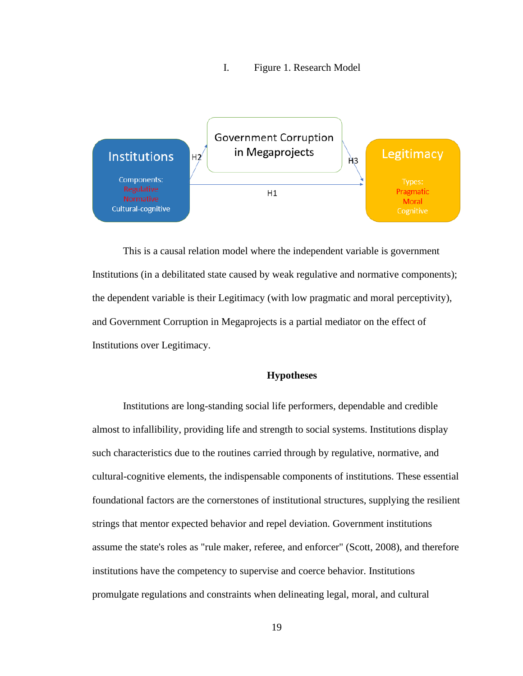#### I. Figure 1. Research Model



This is a causal relation model where the independent variable is government Institutions (in a debilitated state caused by weak regulative and normative components); the dependent variable is their Legitimacy (with low pragmatic and moral perceptivity), and Government Corruption in Megaprojects is a partial mediator on the effect of Institutions over Legitimacy.

#### **Hypotheses**

Institutions are long-standing social life performers, dependable and credible almost to infallibility, providing life and strength to social systems. Institutions display such characteristics due to the routines carried through by regulative, normative, and cultural-cognitive elements, the indispensable components of institutions. These essential foundational factors are the cornerstones of institutional structures, supplying the resilient strings that mentor expected behavior and repel deviation. Government institutions assume the state's roles as "rule maker, referee, and enforcer" (Scott, 2008), and therefore institutions have the competency to supervise and coerce behavior. Institutions promulgate regulations and constraints when delineating legal, moral, and cultural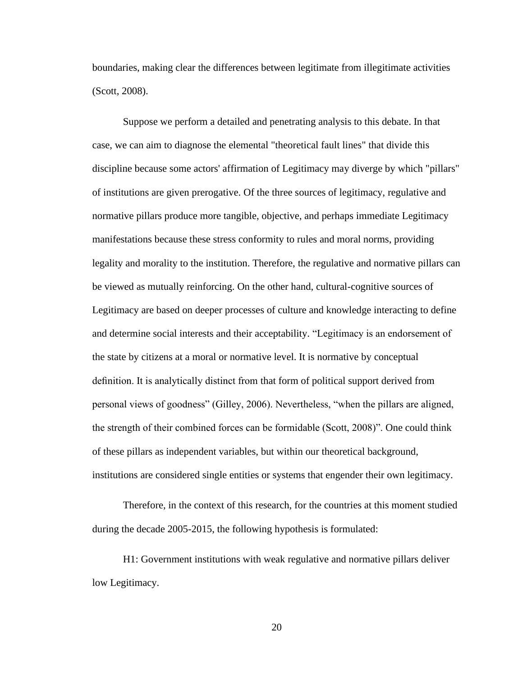boundaries, making clear the differences between legitimate from illegitimate activities (Scott, 2008).

Suppose we perform a detailed and penetrating analysis to this debate. In that case, we can aim to diagnose the elemental "theoretical fault lines" that divide this discipline because some actors' affirmation of Legitimacy may diverge by which "pillars" of institutions are given prerogative. Of the three sources of legitimacy, regulative and normative pillars produce more tangible, objective, and perhaps immediate Legitimacy manifestations because these stress conformity to rules and moral norms, providing legality and morality to the institution. Therefore, the regulative and normative pillars can be viewed as mutually reinforcing. On the other hand, cultural-cognitive sources of Legitimacy are based on deeper processes of culture and knowledge interacting to define and determine social interests and their acceptability. "Legitimacy is an endorsement of the state by citizens at a moral or normative level. It is normative by conceptual definition. It is analytically distinct from that form of political support derived from personal views of goodness" (Gilley, 2006). Nevertheless, "when the pillars are aligned, the strength of their combined forces can be formidable (Scott, 2008)". One could think of these pillars as independent variables, but within our theoretical background, institutions are considered single entities or systems that engender their own legitimacy.

Therefore, in the context of this research, for the countries at this moment studied during the decade 2005-2015, the following hypothesis is formulated:

H1: Government institutions with weak regulative and normative pillars deliver low Legitimacy.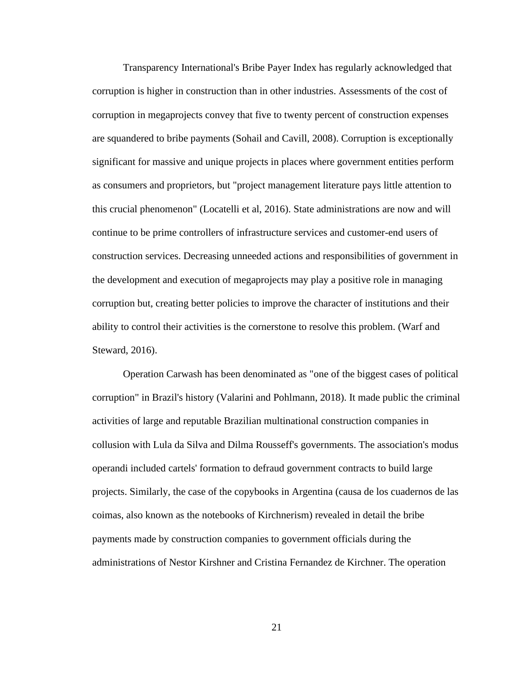Transparency International's Bribe Payer Index has regularly acknowledged that corruption is higher in construction than in other industries. Assessments of the cost of corruption in megaprojects convey that five to twenty percent of construction expenses are squandered to bribe payments (Sohail and Cavill, 2008). Corruption is exceptionally significant for massive and unique projects in places where government entities perform as consumers and proprietors, but "project management literature pays little attention to this crucial phenomenon" (Locatelli et al, 2016). State administrations are now and will continue to be prime controllers of infrastructure services and customer-end users of construction services. Decreasing unneeded actions and responsibilities of government in the development and execution of megaprojects may play a positive role in managing corruption but, creating better policies to improve the character of institutions and their ability to control their activities is the cornerstone to resolve this problem. (Warf and Steward, 2016).

Operation Carwash has been denominated as "one of the biggest cases of political corruption" in Brazil's history (Valarini and Pohlmann, 2018). It made public the criminal activities of large and reputable Brazilian multinational construction companies in collusion with Lula da Silva and Dilma Rousseff's governments. The association's modus operandi included cartels' formation to defraud government contracts to build large projects. Similarly, the case of the copybooks in Argentina (causa de los cuadernos de las coimas, also known as the notebooks of Kirchnerism) revealed in detail the bribe payments made by construction companies to government officials during the administrations of Nestor Kirshner and Cristina Fernandez de Kirchner. The operation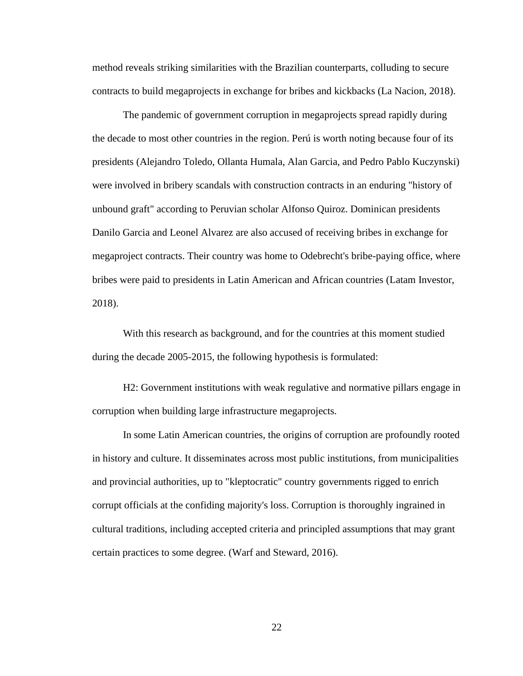method reveals striking similarities with the Brazilian counterparts, colluding to secure contracts to build megaprojects in exchange for bribes and kickbacks (La Nacion, 2018).

The pandemic of government corruption in megaprojects spread rapidly during the decade to most other countries in the region. Perú is worth noting because four of its presidents (Alejandro Toledo, Ollanta Humala, Alan Garcia, and Pedro Pablo Kuczynski) were involved in bribery scandals with construction contracts in an enduring "history of unbound graft" according to Peruvian scholar Alfonso Quiroz. Dominican presidents Danilo Garcia and Leonel Alvarez are also accused of receiving bribes in exchange for megaproject contracts. Their country was home to Odebrecht's bribe-paying office, where bribes were paid to presidents in Latin American and African countries (Latam Investor, 2018).

With this research as background, and for the countries at this moment studied during the decade 2005-2015, the following hypothesis is formulated:

H2: Government institutions with weak regulative and normative pillars engage in corruption when building large infrastructure megaprojects.

In some Latin American countries, the origins of corruption are profoundly rooted in history and culture. It disseminates across most public institutions, from municipalities and provincial authorities, up to "kleptocratic" country governments rigged to enrich corrupt officials at the confiding majority's loss. Corruption is thoroughly ingrained in cultural traditions, including accepted criteria and principled assumptions that may grant certain practices to some degree. (Warf and Steward, 2016).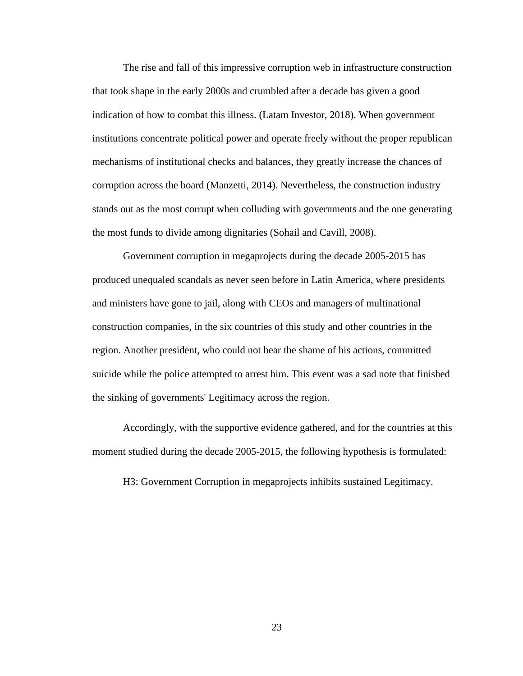The rise and fall of this impressive corruption web in infrastructure construction that took shape in the early 2000s and crumbled after a decade has given a good indication of how to combat this illness. (Latam Investor, 2018). When government institutions concentrate political power and operate freely without the proper republican mechanisms of institutional checks and balances, they greatly increase the chances of corruption across the board (Manzetti, 2014). Nevertheless, the construction industry stands out as the most corrupt when colluding with governments and the one generating the most funds to divide among dignitaries (Sohail and Cavill, 2008).

Government corruption in megaprojects during the decade 2005-2015 has produced unequaled scandals as never seen before in Latin America, where presidents and ministers have gone to jail, along with CEOs and managers of multinational construction companies, in the six countries of this study and other countries in the region. Another president, who could not bear the shame of his actions, committed suicide while the police attempted to arrest him. This event was a sad note that finished the sinking of governments' Legitimacy across the region.

Accordingly, with the supportive evidence gathered, and for the countries at this moment studied during the decade 2005-2015, the following hypothesis is formulated:

H3: Government Corruption in megaprojects inhibits sustained Legitimacy.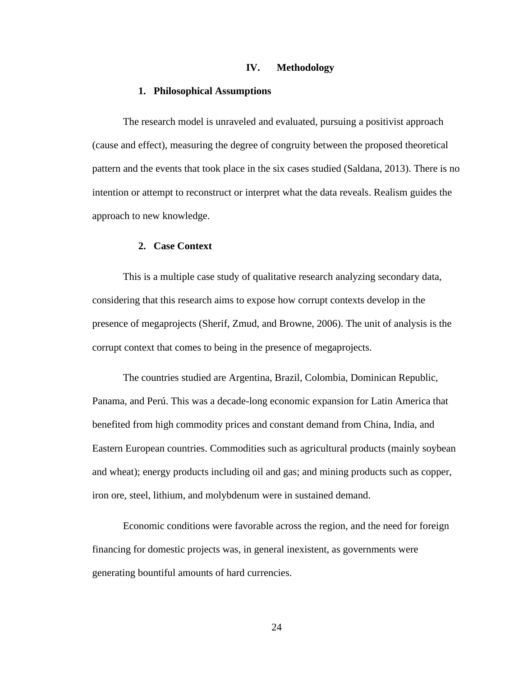#### **IV. Methodology**

#### **1. Philosophical Assumptions**

The research model is unraveled and evaluated, pursuing a positivist approach (cause and effect), measuring the degree of congruity between the proposed theoretical pattern and the events that took place in the six cases studied (Saldana, 2013). There is no intention or attempt to reconstruct or interpret what the data reveals. Realism guides the approach to new knowledge.

#### **2. Case Context**

This is a multiple case study of qualitative research analyzing secondary data, considering that this research aims to expose how corrupt contexts develop in the presence of megaprojects (Sherif, Zmud, and Browne, 2006). The unit of analysis is the corrupt context that comes to being in the presence of megaprojects.

The countries studied are Argentina, Brazil, Colombia, Dominican Republic, Panama, and Perú. This was a decade-long economic expansion for Latin America that benefited from high commodity prices and constant demand from China, India, and Eastern European countries. Commodities such as agricultural products (mainly soybean and wheat); energy products including oil and gas; and mining products such as copper, iron ore, steel, lithium, and molybdenum were in sustained demand.

Economic conditions were favorable across the region, and the need for foreign financing for domestic projects was, in general inexistent, as governments were generating bountiful amounts of hard currencies.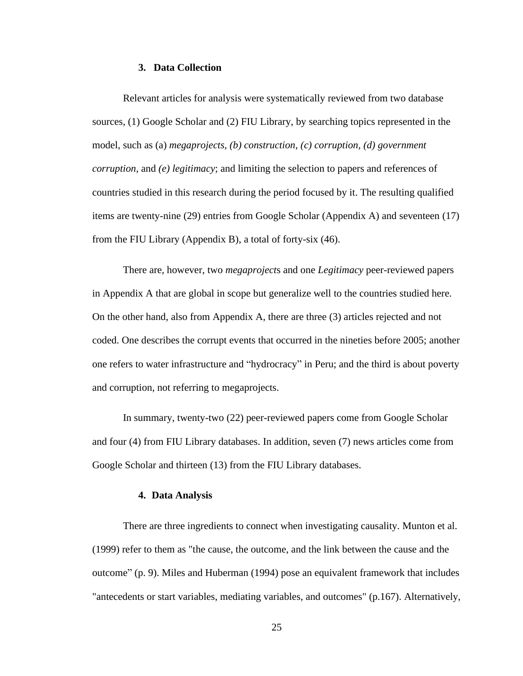#### **3. Data Collection**

Relevant articles for analysis were systematically reviewed from two database sources, (1) Google Scholar and (2) FIU Library, by searching topics represented in the model, such as (a) *megaprojects, (b) construction, (c) corruption, (d) government corruption,* and *(e) legitimacy*; and limiting the selection to papers and references of countries studied in this research during the period focused by it. The resulting qualified items are twenty-nine (29) entries from Google Scholar (Appendix A) and seventeen (17) from the FIU Library (Appendix B), a total of forty-six (46).

There are, however, two *megaproject*s and one *Legitimacy* peer-reviewed papers in Appendix A that are global in scope but generalize well to the countries studied here. On the other hand, also from Appendix A, there are three (3) articles rejected and not coded. One describes the corrupt events that occurred in the nineties before 2005; another one refers to water infrastructure and "hydrocracy" in Peru; and the third is about poverty and corruption, not referring to megaprojects.

In summary, twenty-two (22) peer-reviewed papers come from Google Scholar and four (4) from FIU Library databases. In addition, seven (7) news articles come from Google Scholar and thirteen (13) from the FIU Library databases.

#### **4. Data Analysis**

There are three ingredients to connect when investigating causality. Munton et al. (1999) refer to them as "the cause, the outcome, and the link between the cause and the outcome" (p. 9). Miles and Huberman (1994) pose an equivalent framework that includes "antecedents or start variables, mediating variables, and outcomes" (p.167). Alternatively,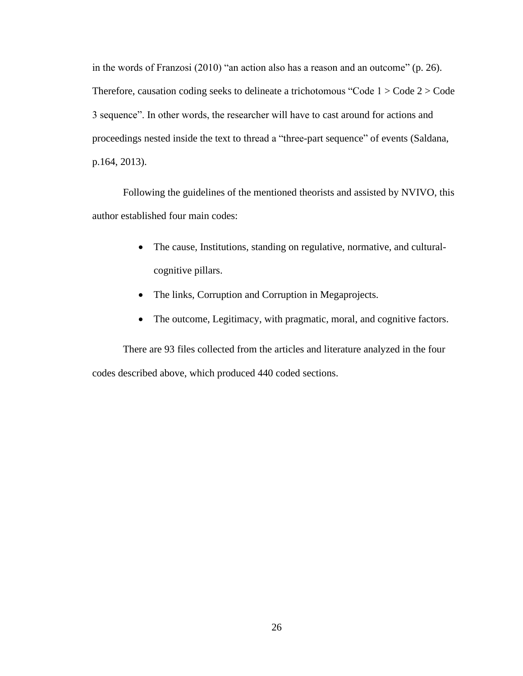in the words of Franzosi (2010) "an action also has a reason and an outcome" (p. 26). Therefore, causation coding seeks to delineate a trichotomous "Code 1 > Code 2 > Code 3 sequence". In other words, the researcher will have to cast around for actions and proceedings nested inside the text to thread a "three-part sequence" of events (Saldana, p.164, 2013).

Following the guidelines of the mentioned theorists and assisted by NVIVO, this author established four main codes:

- The cause, Institutions, standing on regulative, normative, and culturalcognitive pillars.
- The links, Corruption and Corruption in Megaprojects.
- The outcome, Legitimacy, with pragmatic, moral, and cognitive factors.

There are 93 files collected from the articles and literature analyzed in the four codes described above, which produced 440 coded sections.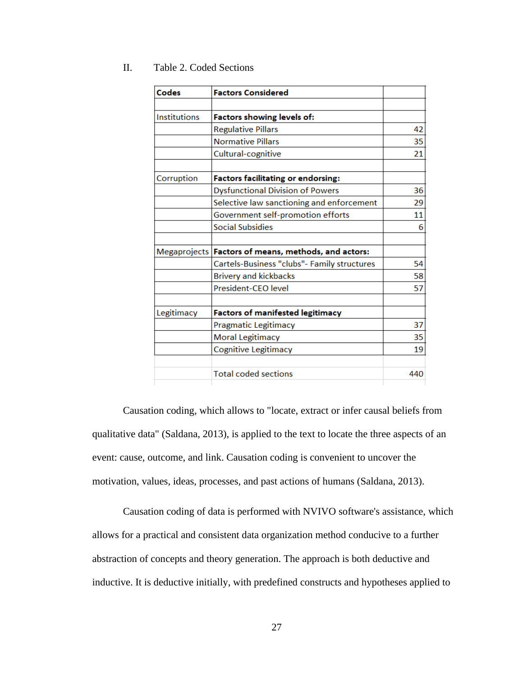| Codes               | <b>Factors Considered</b>                             |     |
|---------------------|-------------------------------------------------------|-----|
|                     |                                                       |     |
| <b>Institutions</b> | Factors showing levels of:                            |     |
|                     | <b>Regulative Pillars</b>                             | 42  |
|                     | <b>Normative Pillars</b>                              | 35  |
|                     | Cultural-cognitive                                    | 21  |
| Corruption          | <b>Factors facilitating or endorsing:</b>             |     |
|                     | <b>Dysfunctional Division of Powers</b>               | 36  |
|                     | Selective law sanctioning and enforcement             | 29  |
|                     | Government self-promotion efforts                     | 11  |
|                     | <b>Social Subsidies</b>                               | 6   |
|                     | Megaprojects   Factors of means, methods, and actors: |     |
|                     | Cartels-Business "clubs"- Family structures           | 54  |
|                     | <b>Brivery and kickbacks</b>                          | 58  |
|                     | President-CEO level                                   | 57  |
| Legitimacy          | <b>Factors of manifested legitimacy</b>               |     |
|                     | Pragmatic Legitimacy                                  | 37  |
|                     | <b>Moral Legitimacy</b>                               | 35  |
|                     | Cognitive Legitimacy                                  | 19  |
|                     | <b>Total coded sections</b>                           | 440 |

#### II. Table 2. Coded Sections

Causation coding, which allows to "locate, extract or infer causal beliefs from qualitative data" (Saldana, 2013), is applied to the text to locate the three aspects of an event: cause, outcome, and link. Causation coding is convenient to uncover the motivation, values, ideas, processes, and past actions of humans (Saldana, 2013).

Causation coding of data is performed with NVIVO software's assistance, which allows for a practical and consistent data organization method conducive to a further abstraction of concepts and theory generation. The approach is both deductive and inductive. It is deductive initially, with predefined constructs and hypotheses applied to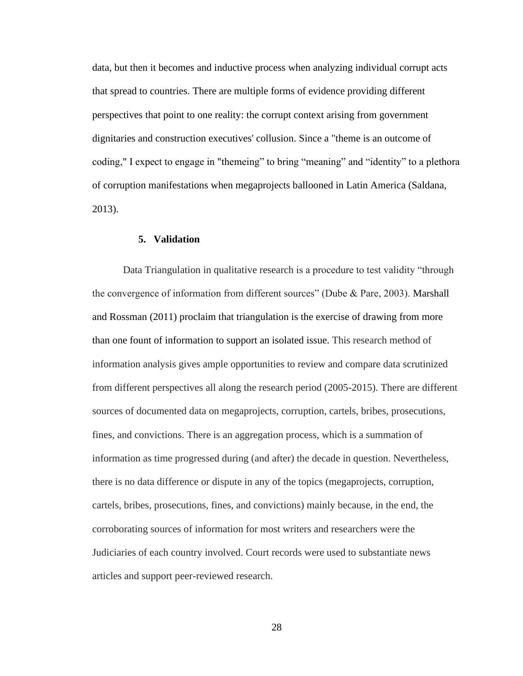data, but then it becomes and inductive process when analyzing individual corrupt acts that spread to countries. There are multiple forms of evidence providing different perspectives that point to one reality: the corrupt context arising from government dignitaries and construction executives' collusion. Since a "theme is an outcome of coding," I expect to engage in "themeing" to bring "meaning" and "identity" to a plethora of corruption manifestations when megaprojects ballooned in Latin America (Saldana, 2013).

#### **5. Validation**

Data Triangulation in qualitative research is a procedure to test validity "through the convergence of information from different sources" (Dube & Pare, 2003). Marshall and Rossman (2011) proclaim that triangulation is the exercise of drawing from more than one fount of information to support an isolated issue. This research method of information analysis gives ample opportunities to review and compare data scrutinized from different perspectives all along the research period (2005-2015). There are different sources of documented data on megaprojects, corruption, cartels, bribes, prosecutions, fines, and convictions. There is an aggregation process, which is a summation of information as time progressed during (and after) the decade in question. Nevertheless, there is no data difference or dispute in any of the topics (megaprojects, corruption, cartels, bribes, prosecutions, fines, and convictions) mainly because, in the end, the corroborating sources of information for most writers and researchers were the Judiciaries of each country involved. Court records were used to substantiate news articles and support peer-reviewed research.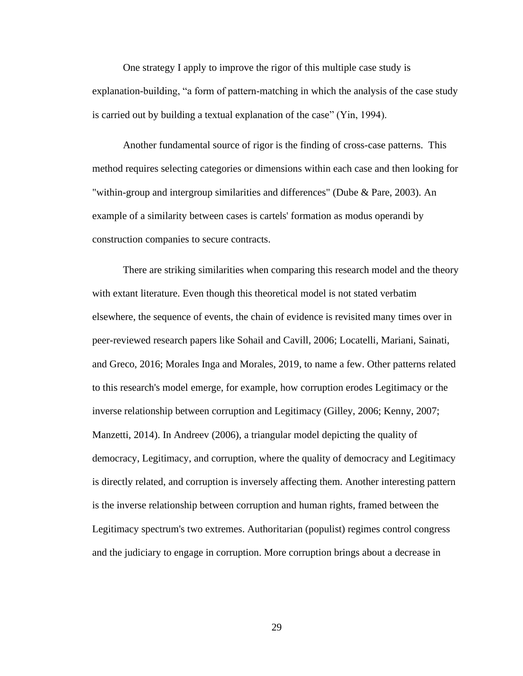One strategy I apply to improve the rigor of this multiple case study is explanation-building, "a form of pattern-matching in which the analysis of the case study is carried out by building a textual explanation of the case" (Yin, 1994).

Another fundamental source of rigor is the finding of cross-case patterns. This method requires selecting categories or dimensions within each case and then looking for "within-group and intergroup similarities and differences" (Dube & Pare, 2003). An example of a similarity between cases is cartels' formation as modus operandi by construction companies to secure contracts.

There are striking similarities when comparing this research model and the theory with extant literature. Even though this theoretical model is not stated verbatim elsewhere, the sequence of events, the chain of evidence is revisited many times over in peer-reviewed research papers like Sohail and Cavill, 2006; Locatelli, Mariani, Sainati, and Greco, 2016; Morales Inga and Morales, 2019, to name a few. Other patterns related to this research's model emerge, for example, how corruption erodes Legitimacy or the inverse relationship between corruption and Legitimacy (Gilley, 2006; Kenny, 2007; Manzetti, 2014). In Andreev (2006), a triangular model depicting the quality of democracy, Legitimacy, and corruption, where the quality of democracy and Legitimacy is directly related, and corruption is inversely affecting them. Another interesting pattern is the inverse relationship between corruption and human rights, framed between the Legitimacy spectrum's two extremes. Authoritarian (populist) regimes control congress and the judiciary to engage in corruption. More corruption brings about a decrease in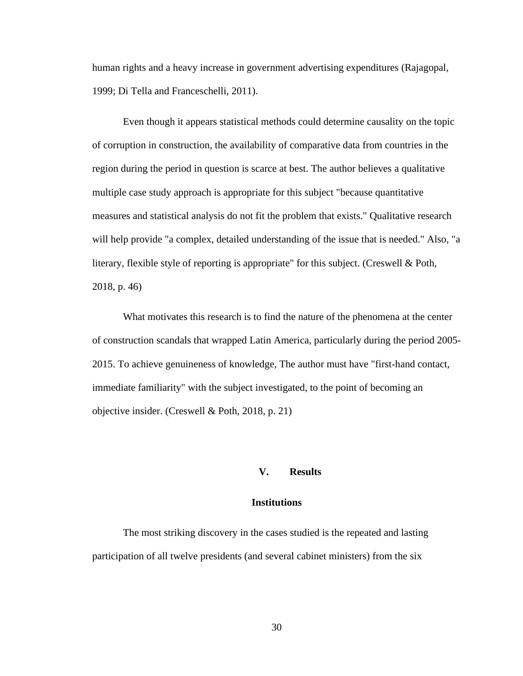human rights and a heavy increase in government advertising expenditures (Rajagopal, 1999; Di Tella and Franceschelli, 2011).

Even though it appears statistical methods could determine causality on the topic of corruption in construction, the availability of comparative data from countries in the region during the period in question is scarce at best. The author believes a qualitative multiple case study approach is appropriate for this subject "because quantitative measures and statistical analysis do not fit the problem that exists." Qualitative research will help provide "a complex, detailed understanding of the issue that is needed." Also, "a literary, flexible style of reporting is appropriate" for this subject. (Creswell & Poth, 2018, p. 46)

What motivates this research is to find the nature of the phenomena at the center of construction scandals that wrapped Latin America, particularly during the period 2005- 2015. To achieve genuineness of knowledge, The author must have "first-hand contact, immediate familiarity" with the subject investigated, to the point of becoming an objective insider. (Creswell & Poth, 2018, p. 21)

#### **V. Results**

## **Institutions**

The most striking discovery in the cases studied is the repeated and lasting participation of all twelve presidents (and several cabinet ministers) from the six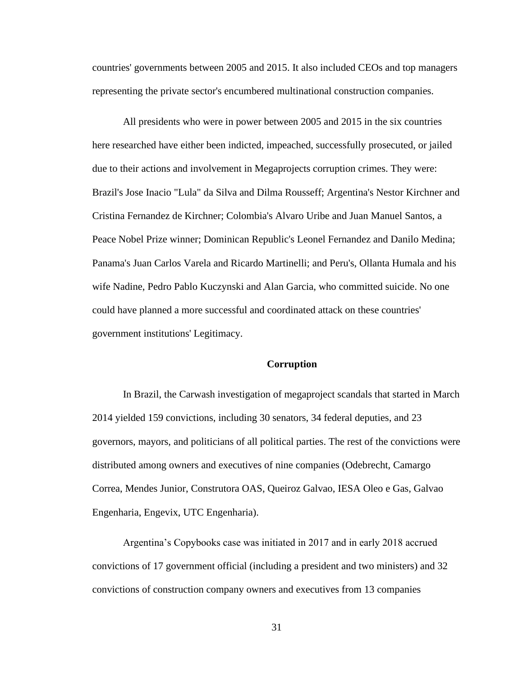countries' governments between 2005 and 2015. It also included CEOs and top managers representing the private sector's encumbered multinational construction companies.

All presidents who were in power between 2005 and 2015 in the six countries here researched have either been indicted, impeached, successfully prosecuted, or jailed due to their actions and involvement in Megaprojects corruption crimes. They were: Brazil's Jose Inacio "Lula" da Silva and Dilma Rousseff; Argentina's Nestor Kirchner and Cristina Fernandez de Kirchner; Colombia's Alvaro Uribe and Juan Manuel Santos, a Peace Nobel Prize winner; Dominican Republic's Leonel Fernandez and Danilo Medina; Panama's Juan Carlos Varela and Ricardo Martinelli; and Peru's, Ollanta Humala and his wife Nadine, Pedro Pablo Kuczynski and Alan Garcia, who committed suicide. No one could have planned a more successful and coordinated attack on these countries' government institutions' Legitimacy.

## **Corruption**

In Brazil, the Carwash investigation of megaproject scandals that started in March 2014 yielded 159 convictions, including 30 senators, 34 federal deputies, and 23 governors, mayors, and politicians of all political parties. The rest of the convictions were distributed among owners and executives of nine companies (Odebrecht, Camargo Correa, Mendes Junior, Construtora OAS, Queiroz Galvao, IESA Oleo e Gas, Galvao Engenharia, Engevix, UTC Engenharia).

Argentina's Copybooks case was initiated in 2017 and in early 2018 accrued convictions of 17 government official (including a president and two ministers) and 32 convictions of construction company owners and executives from 13 companies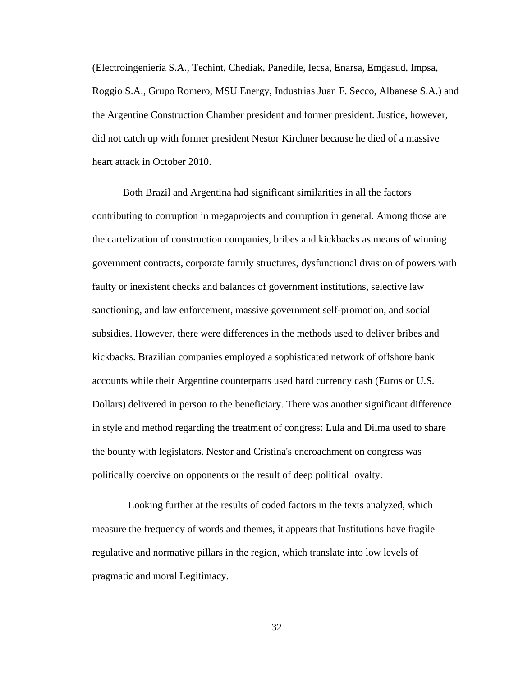(Electroingenieria S.A., Techint, Chediak, Panedile, Iecsa, Enarsa, Emgasud, Impsa, Roggio S.A., Grupo Romero, MSU Energy, Industrias Juan F. Secco, Albanese S.A.) and the Argentine Construction Chamber president and former president. Justice, however, did not catch up with former president Nestor Kirchner because he died of a massive heart attack in October 2010.

Both Brazil and Argentina had significant similarities in all the factors contributing to corruption in megaprojects and corruption in general. Among those are the cartelization of construction companies, bribes and kickbacks as means of winning government contracts, corporate family structures, dysfunctional division of powers with faulty or inexistent checks and balances of government institutions, selective law sanctioning, and law enforcement, massive government self-promotion, and social subsidies. However, there were differences in the methods used to deliver bribes and kickbacks. Brazilian companies employed a sophisticated network of offshore bank accounts while their Argentine counterparts used hard currency cash (Euros or U.S. Dollars) delivered in person to the beneficiary. There was another significant difference in style and method regarding the treatment of congress: Lula and Dilma used to share the bounty with legislators. Nestor and Cristina's encroachment on congress was politically coercive on opponents or the result of deep political loyalty.

 Looking further at the results of coded factors in the texts analyzed, which measure the frequency of words and themes, it appears that Institutions have fragile regulative and normative pillars in the region, which translate into low levels of pragmatic and moral Legitimacy.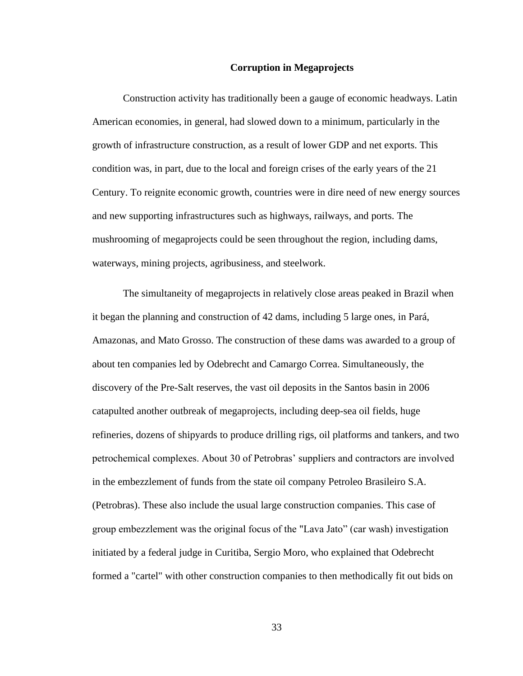#### **Corruption in Megaprojects**

Construction activity has traditionally been a gauge of economic headways. Latin American economies, in general, had slowed down to a minimum, particularly in the growth of infrastructure construction, as a result of lower GDP and net exports. This condition was, in part, due to the local and foreign crises of the early years of the 21 Century. To reignite economic growth, countries were in dire need of new energy sources and new supporting infrastructures such as highways, railways, and ports. The mushrooming of megaprojects could be seen throughout the region, including dams, waterways, mining projects, agribusiness, and steelwork.

The simultaneity of megaprojects in relatively close areas peaked in Brazil when it began the planning and construction of 42 dams, including 5 large ones, in Pará, Amazonas, and Mato Grosso. The construction of these dams was awarded to a group of about ten companies led by Odebrecht and Camargo Correa. Simultaneously, the discovery of the Pre-Salt reserves, the vast oil deposits in the Santos basin in 2006 catapulted another outbreak of megaprojects, including deep-sea oil fields, huge refineries, dozens of shipyards to produce drilling rigs, oil platforms and tankers, and two petrochemical complexes. About 30 of Petrobras' suppliers and contractors are involved in the embezzlement of funds from the state oil company Petroleo Brasileiro S.A. (Petrobras). These also include the usual large construction companies. This case of group embezzlement was the original focus of the "Lava Jato" (car wash) investigation initiated by a federal judge in Curitiba, Sergio Moro, who explained that Odebrecht formed a "cartel" with other construction companies to then methodically fit out bids on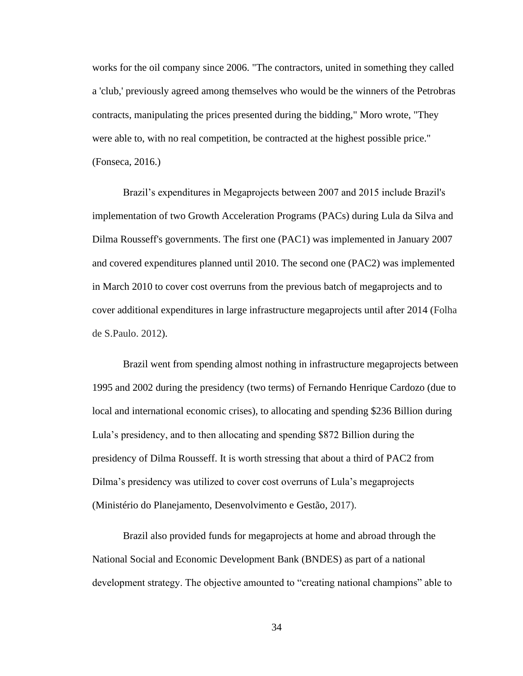works for the oil company since 2006. "The contractors, united in something they called a 'club,' previously agreed among themselves who would be the winners of the Petrobras contracts, manipulating the prices presented during the bidding," Moro wrote, "They were able to, with no real competition, be contracted at the highest possible price." (Fonseca, 2016.)

Brazil's expenditures in Megaprojects between 2007 and 2015 include Brazil's implementation of two Growth Acceleration Programs (PACs) during Lula da Silva and Dilma Rousseff's governments. The first one (PAC1) was implemented in January 2007 and covered expenditures planned until 2010. The second one (PAC2) was implemented in March 2010 to cover cost overruns from the previous batch of megaprojects and to cover additional expenditures in large infrastructure megaprojects until after 2014 (Folha de S.Paulo. 2012).

Brazil went from spending almost nothing in infrastructure megaprojects between 1995 and 2002 during the presidency (two terms) of Fernando Henrique Cardozo (due to local and international economic crises), to allocating and spending \$236 Billion during Lula's presidency, and to then allocating and spending \$872 Billion during the presidency of Dilma Rousseff. It is worth stressing that about a third of PAC2 from Dilma's presidency was utilized to cover cost overruns of Lula's megaprojects (Ministério do Planejamento, Desenvolvimento e Gestão, 2017).

Brazil also provided funds for megaprojects at home and abroad through the National Social and Economic Development Bank (BNDES) as part of a national development strategy. The objective amounted to "creating national champions" able to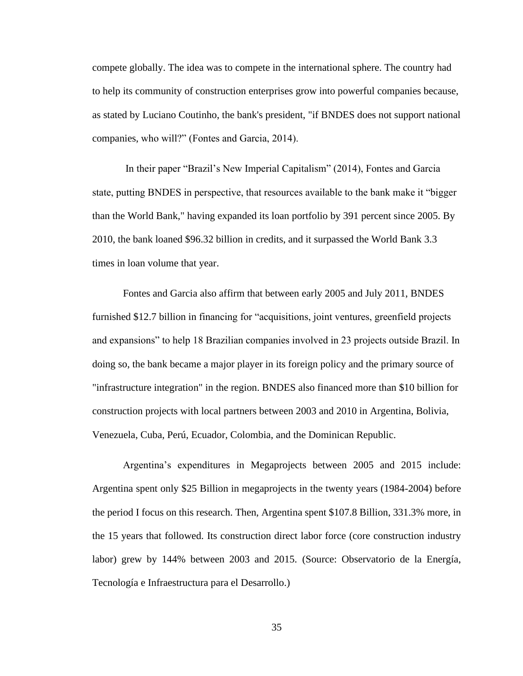compete globally. The idea was to compete in the international sphere. The country had to help its community of construction enterprises grow into powerful companies because, as stated by Luciano Coutinho, the bank's president, "if BNDES does not support national companies, who will?" (Fontes and Garcia, 2014).

In their paper "Brazil's New Imperial Capitalism" (2014), Fontes and Garcia state, putting BNDES in perspective, that resources available to the bank make it "bigger than the World Bank," having expanded its loan portfolio by 391 percent since 2005. By 2010, the bank loaned \$96.32 billion in credits, and it surpassed the World Bank 3.3 times in loan volume that year.

Fontes and Garcia also affirm that between early 2005 and July 2011, BNDES furnished \$12.7 billion in financing for "acquisitions, joint ventures, greenfield projects and expansions" to help 18 Brazilian companies involved in 23 projects outside Brazil. In doing so, the bank became a major player in its foreign policy and the primary source of "infrastructure integration" in the region. BNDES also financed more than \$10 billion for construction projects with local partners between 2003 and 2010 in Argentina, Bolivia, Venezuela, Cuba, Perú, Ecuador, Colombia, and the Dominican Republic.

Argentina's expenditures in Megaprojects between 2005 and 2015 include: Argentina spent only \$25 Billion in megaprojects in the twenty years (1984-2004) before the period I focus on this research. Then, Argentina spent \$107.8 Billion, 331.3% more, in the 15 years that followed. Its construction direct labor force (core construction industry labor) grew by 144% between 2003 and 2015. (Source: Observatorio de la Energía, Tecnología e Infraestructura para el Desarrollo.)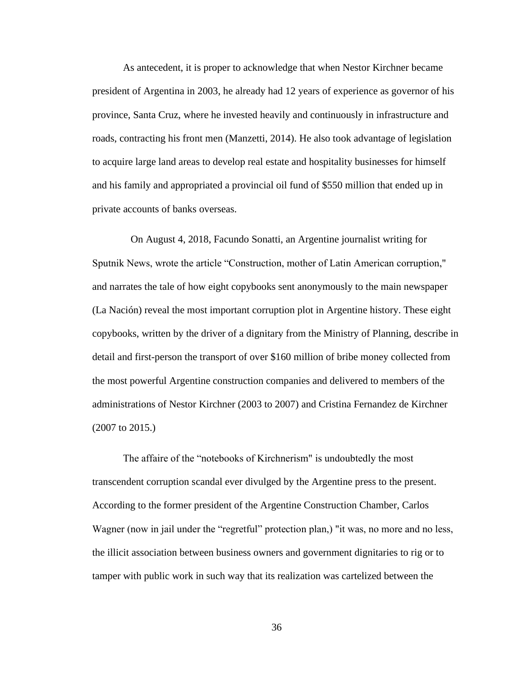As antecedent, it is proper to acknowledge that when Nestor Kirchner became president of Argentina in 2003, he already had 12 years of experience as governor of his province, Santa Cruz, where he invested heavily and continuously in infrastructure and roads, contracting his front men (Manzetti, 2014). He also took advantage of legislation to acquire large land areas to develop real estate and hospitality businesses for himself and his family and appropriated a provincial oil fund of \$550 million that ended up in private accounts of banks overseas.

 On August 4, 2018, Facundo Sonatti, an Argentine journalist writing for Sputnik News, wrote the article "Construction, mother of Latin American corruption," and narrates the tale of how eight copybooks sent anonymously to the main newspaper (La Nación) reveal the most important corruption plot in Argentine history. These eight copybooks, written by the driver of a dignitary from the Ministry of Planning, describe in detail and first-person the transport of over \$160 million of bribe money collected from the most powerful Argentine construction companies and delivered to members of the administrations of Nestor Kirchner (2003 to 2007) and Cristina Fernandez de Kirchner (2007 to 2015.)

The affaire of the "notebooks of Kirchnerism" is undoubtedly the most transcendent corruption scandal ever divulged by the Argentine press to the present. According to the former president of the Argentine Construction Chamber, Carlos Wagner (now in jail under the "regretful" protection plan,) "it was, no more and no less, the illicit association between business owners and government dignitaries to rig or to tamper with public work in such way that its realization was cartelized between the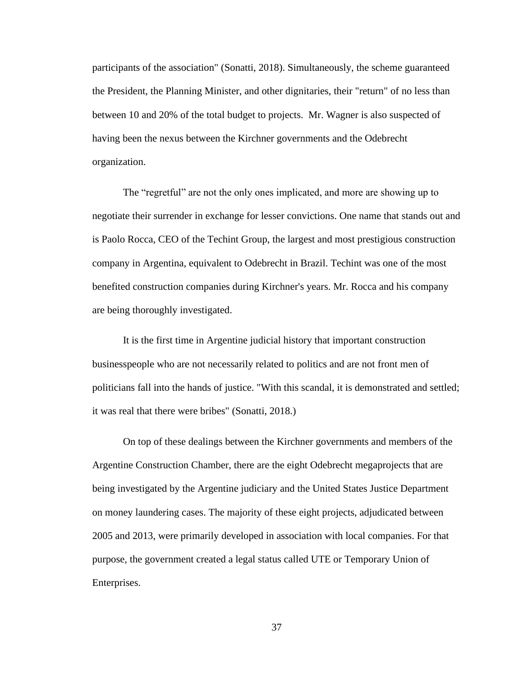participants of the association" (Sonatti, 2018). Simultaneously, the scheme guaranteed the President, the Planning Minister, and other dignitaries, their "return" of no less than between 10 and 20% of the total budget to projects. Mr. Wagner is also suspected of having been the nexus between the Kirchner governments and the Odebrecht organization.

The "regretful" are not the only ones implicated, and more are showing up to negotiate their surrender in exchange for lesser convictions. One name that stands out and is Paolo Rocca, CEO of the Techint Group, the largest and most prestigious construction company in Argentina, equivalent to Odebrecht in Brazil. Techint was one of the most benefited construction companies during Kirchner's years. Mr. Rocca and his company are being thoroughly investigated.

It is the first time in Argentine judicial history that important construction businesspeople who are not necessarily related to politics and are not front men of politicians fall into the hands of justice. "With this scandal, it is demonstrated and settled; it was real that there were bribes" (Sonatti, 2018.)

On top of these dealings between the Kirchner governments and members of the Argentine Construction Chamber, there are the eight Odebrecht megaprojects that are being investigated by the Argentine judiciary and the United States Justice Department on money laundering cases. The majority of these eight projects, adjudicated between 2005 and 2013, were primarily developed in association with local companies. For that purpose, the government created a legal status called UTE or Temporary Union of Enterprises.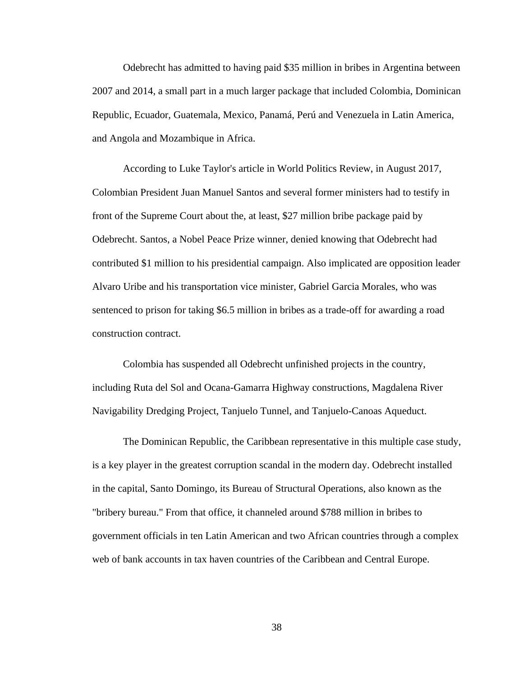Odebrecht has admitted to having paid \$35 million in bribes in Argentina between 2007 and 2014, a small part in a much larger package that included Colombia, Dominican Republic, Ecuador, Guatemala, Mexico, Panamá, Perú and Venezuela in Latin America, and Angola and Mozambique in Africa.

According to Luke Taylor's article in World Politics Review, in August 2017, Colombian President Juan Manuel Santos and several former ministers had to testify in front of the Supreme Court about the, at least, \$27 million bribe package paid by Odebrecht. Santos, a Nobel Peace Prize winner, denied knowing that Odebrecht had contributed \$1 million to his presidential campaign. Also implicated are opposition leader Alvaro Uribe and his transportation vice minister, Gabriel Garcia Morales, who was sentenced to prison for taking \$6.5 million in bribes as a trade-off for awarding a road construction contract.

Colombia has suspended all Odebrecht unfinished projects in the country, including Ruta del Sol and Ocana-Gamarra Highway constructions, Magdalena River Navigability Dredging Project, Tanjuelo Tunnel, and Tanjuelo-Canoas Aqueduct.

The Dominican Republic, the Caribbean representative in this multiple case study, is a key player in the greatest corruption scandal in the modern day. Odebrecht installed in the capital, Santo Domingo, its Bureau of Structural Operations, also known as the "bribery bureau." From that office, it channeled around \$788 million in bribes to government officials in ten Latin American and two African countries through a complex web of bank accounts in tax haven countries of the Caribbean and Central Europe.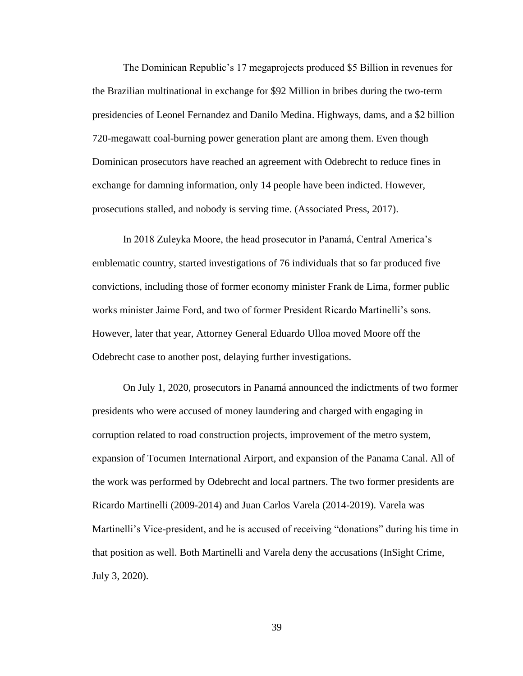The Dominican Republic's 17 megaprojects produced \$5 Billion in revenues for the Brazilian multinational in exchange for \$92 Million in bribes during the two-term presidencies of Leonel Fernandez and Danilo Medina. Highways, dams, and a \$2 billion 720-megawatt coal-burning power generation plant are among them. Even though Dominican prosecutors have reached an agreement with Odebrecht to reduce fines in exchange for damning information, only 14 people have been indicted. However, prosecutions stalled, and nobody is serving time. (Associated Press, 2017).

In 2018 Zuleyka Moore, the head prosecutor in Panamá, Central America's emblematic country, started investigations of 76 individuals that so far produced five convictions, including those of former economy minister Frank de Lima, former public works minister Jaime Ford, and two of former President Ricardo Martinelli's sons. However, later that year, Attorney General Eduardo Ulloa moved Moore off the Odebrecht case to another post, delaying further investigations.

On July 1, 2020, prosecutors in Panamá announced the indictments of two former presidents who were accused of money laundering and charged with engaging in corruption related to road construction projects, improvement of the metro system, expansion of Tocumen International Airport, and expansion of the Panama Canal. All of the work was performed by Odebrecht and local partners. The two former presidents are Ricardo Martinelli (2009-2014) and Juan Carlos Varela (2014-2019). Varela was Martinelli's Vice-president, and he is accused of receiving "donations" during his time in that position as well. Both Martinelli and Varela deny the accusations (InSight Crime, July 3, 2020).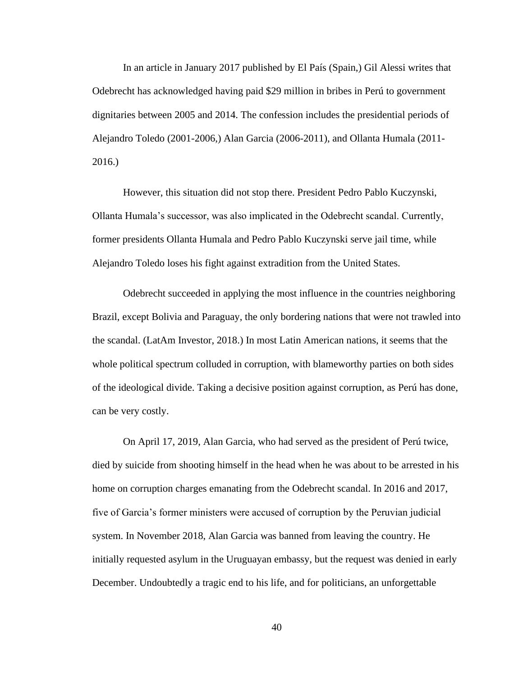In an article in January 2017 published by El País (Spain,) Gil Alessi writes that Odebrecht has acknowledged having paid \$29 million in bribes in Perú to government dignitaries between 2005 and 2014. The confession includes the presidential periods of Alejandro Toledo (2001-2006,) Alan Garcia (2006-2011), and Ollanta Humala (2011- 2016.)

However, this situation did not stop there. President Pedro Pablo Kuczynski, Ollanta Humala's successor, was also implicated in the Odebrecht scandal. Currently, former presidents Ollanta Humala and Pedro Pablo Kuczynski serve jail time, while Alejandro Toledo loses his fight against extradition from the United States.

Odebrecht succeeded in applying the most influence in the countries neighboring Brazil, except Bolivia and Paraguay, the only bordering nations that were not trawled into the scandal. (LatAm Investor, 2018.) In most Latin American nations, it seems that the whole political spectrum colluded in corruption, with blameworthy parties on both sides of the ideological divide. Taking a decisive position against corruption, as Perú has done, can be very costly.

On April 17, 2019, Alan Garcia, who had served as the president of Perú twice, died by suicide from shooting himself in the head when he was about to be arrested in his home on corruption charges emanating from the Odebrecht scandal. In 2016 and 2017, five of Garcia's former ministers were accused of corruption by the Peruvian judicial system. In November 2018, Alan Garcia was banned from leaving the country. He initially requested asylum in the Uruguayan embassy, but the request was denied in early December. Undoubtedly a tragic end to his life, and for politicians, an unforgettable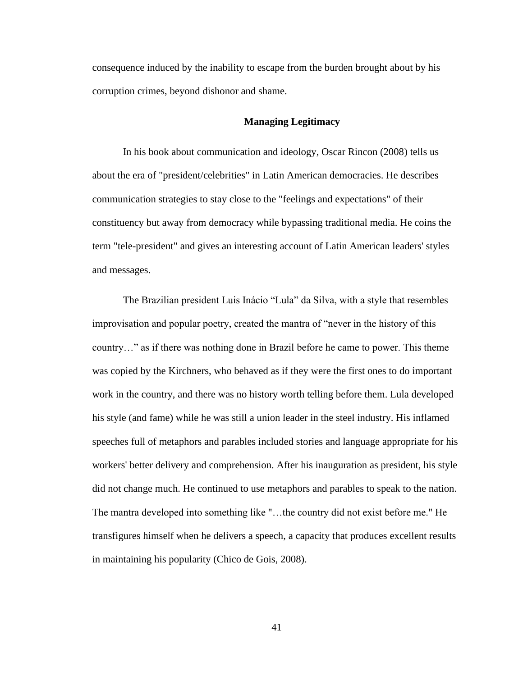consequence induced by the inability to escape from the burden brought about by his corruption crimes, beyond dishonor and shame.

## **Managing Legitimacy**

In his book about communication and ideology, Oscar Rincon (2008) tells us about the era of "president/celebrities" in Latin American democracies. He describes communication strategies to stay close to the "feelings and expectations" of their constituency but away from democracy while bypassing traditional media. He coins the term "tele-president" and gives an interesting account of Latin American leaders' styles and messages.

The Brazilian president Luis Inácio "Lula" da Silva, with a style that resembles improvisation and popular poetry, created the mantra of "never in the history of this country…" as if there was nothing done in Brazil before he came to power. This theme was copied by the Kirchners, who behaved as if they were the first ones to do important work in the country, and there was no history worth telling before them. Lula developed his style (and fame) while he was still a union leader in the steel industry. His inflamed speeches full of metaphors and parables included stories and language appropriate for his workers' better delivery and comprehension. After his inauguration as president, his style did not change much. He continued to use metaphors and parables to speak to the nation. The mantra developed into something like "…the country did not exist before me." He transfigures himself when he delivers a speech, a capacity that produces excellent results in maintaining his popularity (Chico de Gois, 2008).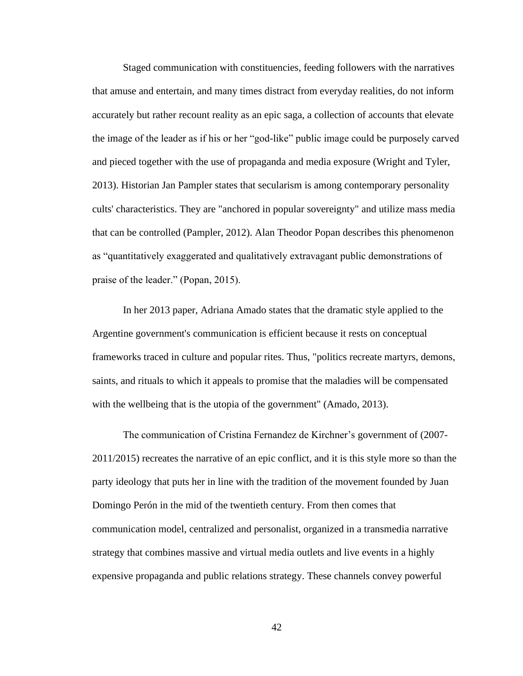Staged communication with constituencies, feeding followers with the narratives that amuse and entertain, and many times distract from everyday realities, do not inform accurately but rather recount reality as an epic saga, a collection of accounts that elevate the image of the leader as if his or her "god-like" public image could be purposely carved and pieced together with the use of propaganda and media exposure (Wright and Tyler, 2013). Historian Jan Pampler states that secularism is among contemporary personality cults' characteristics. They are "anchored in popular sovereignty" and utilize mass media that can be controlled (Pampler, 2012). Alan Theodor Popan describes this phenomenon as "quantitatively exaggerated and qualitatively extravagant public demonstrations of praise of the leader." (Popan, 2015).

In her 2013 paper, Adriana Amado states that the dramatic style applied to the Argentine government's communication is efficient because it rests on conceptual frameworks traced in culture and popular rites. Thus, "politics recreate martyrs, demons, saints, and rituals to which it appeals to promise that the maladies will be compensated with the wellbeing that is the utopia of the government" (Amado, 2013).

The communication of Cristina Fernandez de Kirchner's government of (2007- 2011/2015) recreates the narrative of an epic conflict, and it is this style more so than the party ideology that puts her in line with the tradition of the movement founded by Juan Domingo Perón in the mid of the twentieth century. From then comes that communication model, centralized and personalist, organized in a transmedia narrative strategy that combines massive and virtual media outlets and live events in a highly expensive propaganda and public relations strategy. These channels convey powerful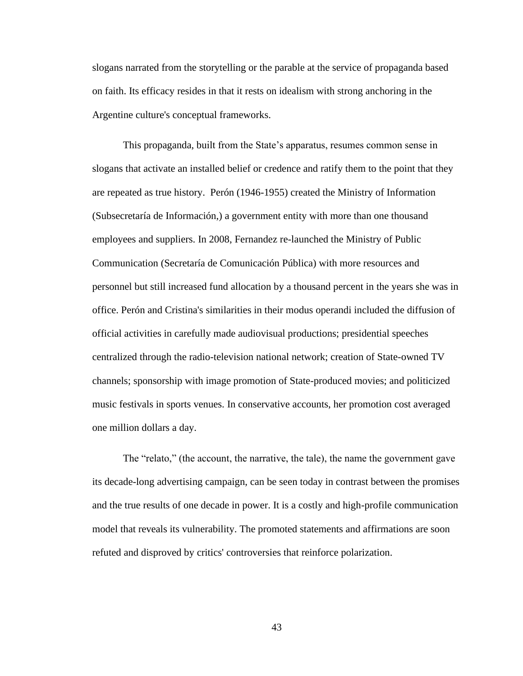slogans narrated from the storytelling or the parable at the service of propaganda based on faith. Its efficacy resides in that it rests on idealism with strong anchoring in the Argentine culture's conceptual frameworks.

This propaganda, built from the State's apparatus, resumes common sense in slogans that activate an installed belief or credence and ratify them to the point that they are repeated as true history. Perón (1946-1955) created the Ministry of Information (Subsecretaría de Información,) a government entity with more than one thousand employees and suppliers. In 2008, Fernandez re-launched the Ministry of Public Communication (Secretaría de Comunicación Pública) with more resources and personnel but still increased fund allocation by a thousand percent in the years she was in office. Perón and Cristina's similarities in their modus operandi included the diffusion of official activities in carefully made audiovisual productions; presidential speeches centralized through the radio-television national network; creation of State-owned TV channels; sponsorship with image promotion of State-produced movies; and politicized music festivals in sports venues. In conservative accounts, her promotion cost averaged one million dollars a day.

The "relato," (the account, the narrative, the tale), the name the government gave its decade-long advertising campaign, can be seen today in contrast between the promises and the true results of one decade in power. It is a costly and high-profile communication model that reveals its vulnerability. The promoted statements and affirmations are soon refuted and disproved by critics' controversies that reinforce polarization.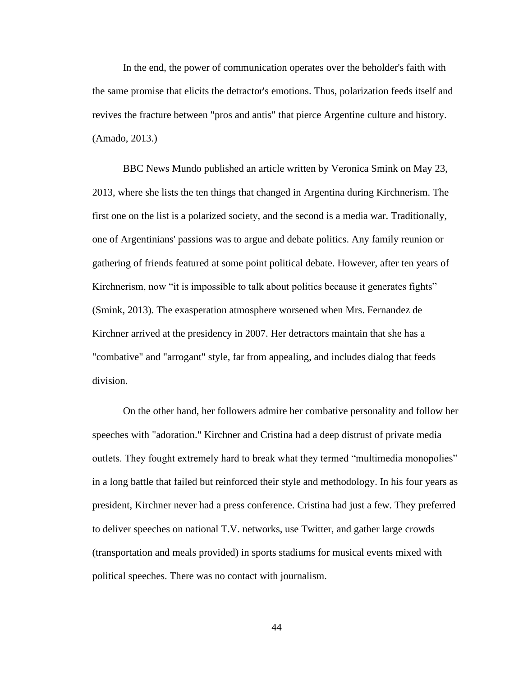In the end, the power of communication operates over the beholder's faith with the same promise that elicits the detractor's emotions. Thus, polarization feeds itself and revives the fracture between "pros and antis" that pierce Argentine culture and history. (Amado, 2013.)

BBC News Mundo published an article written by Veronica Smink on May 23, 2013, where she lists the ten things that changed in Argentina during Kirchnerism. The first one on the list is a polarized society, and the second is a media war. Traditionally, one of Argentinians' passions was to argue and debate politics. Any family reunion or gathering of friends featured at some point political debate. However, after ten years of Kirchnerism, now "it is impossible to talk about politics because it generates fights" (Smink, 2013). The exasperation atmosphere worsened when Mrs. Fernandez de Kirchner arrived at the presidency in 2007. Her detractors maintain that she has a "combative" and "arrogant" style, far from appealing, and includes dialog that feeds division.

On the other hand, her followers admire her combative personality and follow her speeches with "adoration." Kirchner and Cristina had a deep distrust of private media outlets. They fought extremely hard to break what they termed "multimedia monopolies" in a long battle that failed but reinforced their style and methodology. In his four years as president, Kirchner never had a press conference. Cristina had just a few. They preferred to deliver speeches on national T.V. networks, use Twitter, and gather large crowds (transportation and meals provided) in sports stadiums for musical events mixed with political speeches. There was no contact with journalism.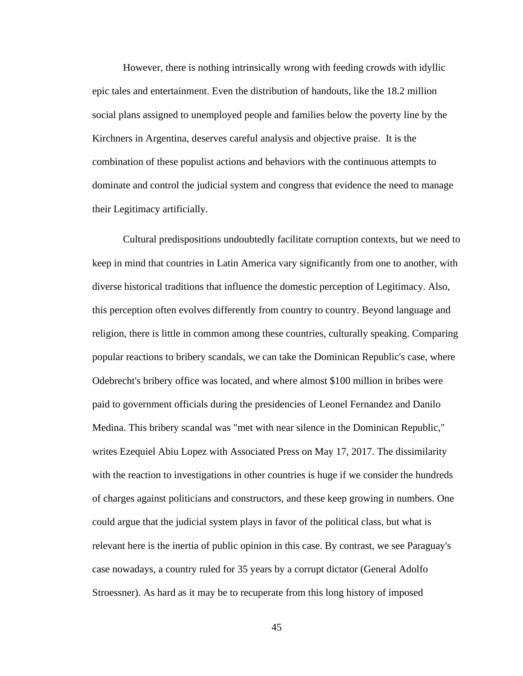However, there is nothing intrinsically wrong with feeding crowds with idyllic epic tales and entertainment. Even the distribution of handouts, like the 18.2 million social plans assigned to unemployed people and families below the poverty line by the Kirchners in Argentina, deserves careful analysis and objective praise. It is the combination of these populist actions and behaviors with the continuous attempts to dominate and control the judicial system and congress that evidence the need to manage their Legitimacy artificially.

Cultural predispositions undoubtedly facilitate corruption contexts, but we need to keep in mind that countries in Latin America vary significantly from one to another, with diverse historical traditions that influence the domestic perception of Legitimacy. Also, this perception often evolves differently from country to country. Beyond language and religion, there is little in common among these countries, culturally speaking. Comparing popular reactions to bribery scandals, we can take the Dominican Republic's case, where Odebrecht's bribery office was located, and where almost \$100 million in bribes were paid to government officials during the presidencies of Leonel Fernandez and Danilo Medina. This bribery scandal was "met with near silence in the Dominican Republic," writes Ezequiel Abiu Lopez with Associated Press on May 17, 2017. The dissimilarity with the reaction to investigations in other countries is huge if we consider the hundreds of charges against politicians and constructors, and these keep growing in numbers. One could argue that the judicial system plays in favor of the political class, but what is relevant here is the inertia of public opinion in this case. By contrast, we see Paraguay's case nowadays, a country ruled for 35 years by a corrupt dictator (General Adolfo Stroessner). As hard as it may be to recuperate from this long history of imposed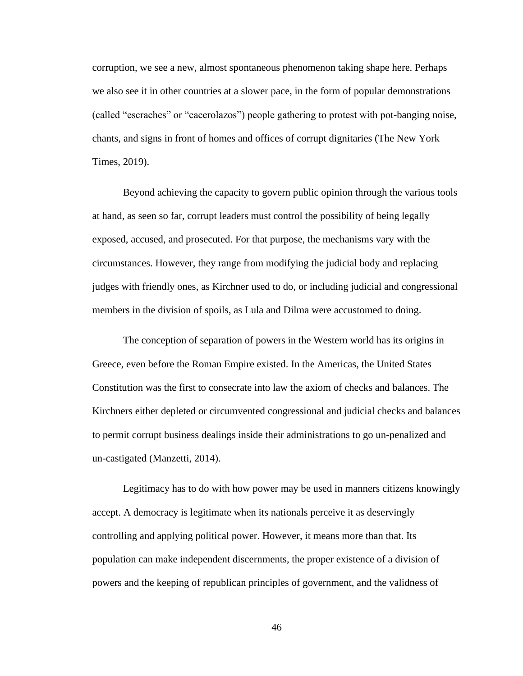corruption, we see a new, almost spontaneous phenomenon taking shape here. Perhaps we also see it in other countries at a slower pace, in the form of popular demonstrations (called "escraches" or "cacerolazos") people gathering to protest with pot-banging noise, chants, and signs in front of homes and offices of corrupt dignitaries (The New York Times, 2019).

Beyond achieving the capacity to govern public opinion through the various tools at hand, as seen so far, corrupt leaders must control the possibility of being legally exposed, accused, and prosecuted. For that purpose, the mechanisms vary with the circumstances. However, they range from modifying the judicial body and replacing judges with friendly ones, as Kirchner used to do, or including judicial and congressional members in the division of spoils, as Lula and Dilma were accustomed to doing.

The conception of separation of powers in the Western world has its origins in Greece, even before the Roman Empire existed. In the Americas, the United States Constitution was the first to consecrate into law the axiom of checks and balances. The Kirchners either depleted or circumvented congressional and judicial checks and balances to permit corrupt business dealings inside their administrations to go un-penalized and un-castigated (Manzetti, 2014).

Legitimacy has to do with how power may be used in manners citizens knowingly accept. A democracy is legitimate when its nationals perceive it as deservingly controlling and applying political power. However, it means more than that. Its population can make independent discernments, the proper existence of a division of powers and the keeping of republican principles of government, and the validness of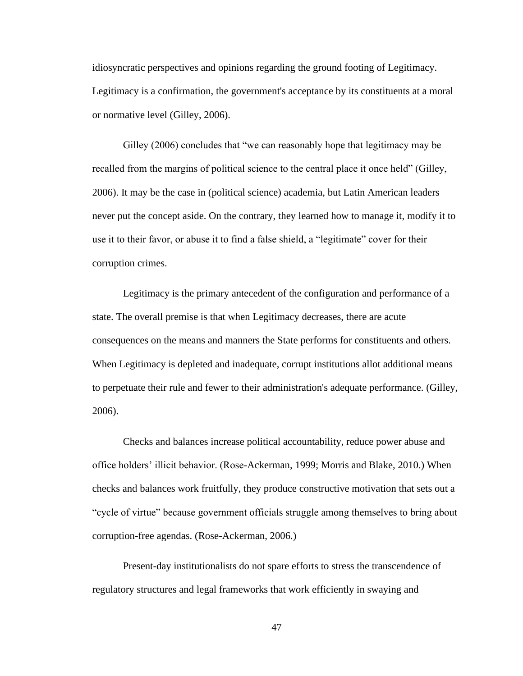idiosyncratic perspectives and opinions regarding the ground footing of Legitimacy. Legitimacy is a confirmation, the government's acceptance by its constituents at a moral or normative level (Gilley, 2006).

Gilley (2006) concludes that "we can reasonably hope that legitimacy may be recalled from the margins of political science to the central place it once held" (Gilley, 2006). It may be the case in (political science) academia, but Latin American leaders never put the concept aside. On the contrary, they learned how to manage it, modify it to use it to their favor, or abuse it to find a false shield, a "legitimate" cover for their corruption crimes.

Legitimacy is the primary antecedent of the configuration and performance of a state. The overall premise is that when Legitimacy decreases, there are acute consequences on the means and manners the State performs for constituents and others. When Legitimacy is depleted and inadequate, corrupt institutions allot additional means to perpetuate their rule and fewer to their administration's adequate performance. (Gilley, 2006).

Checks and balances increase political accountability, reduce power abuse and office holders' illicit behavior. (Rose-Ackerman, 1999; Morris and Blake, 2010.) When checks and balances work fruitfully, they produce constructive motivation that sets out a "cycle of virtue" because government officials struggle among themselves to bring about corruption-free agendas. (Rose-Ackerman, 2006.)

Present-day institutionalists do not spare efforts to stress the transcendence of regulatory structures and legal frameworks that work efficiently in swaying and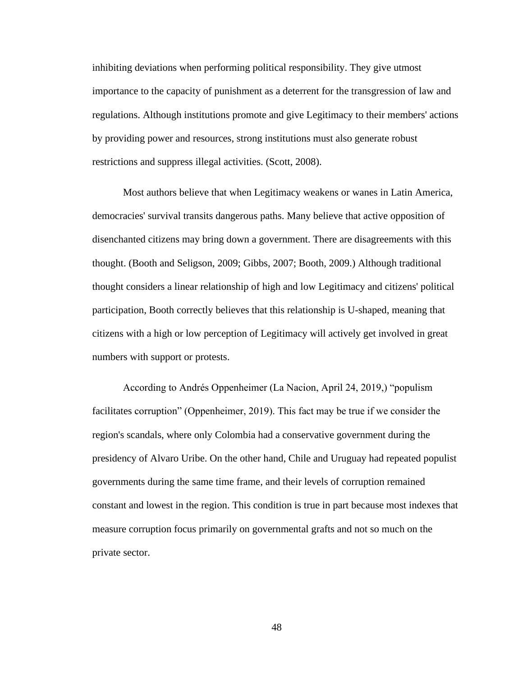inhibiting deviations when performing political responsibility. They give utmost importance to the capacity of punishment as a deterrent for the transgression of law and regulations. Although institutions promote and give Legitimacy to their members' actions by providing power and resources, strong institutions must also generate robust restrictions and suppress illegal activities. (Scott, 2008).

Most authors believe that when Legitimacy weakens or wanes in Latin America, democracies' survival transits dangerous paths. Many believe that active opposition of disenchanted citizens may bring down a government. There are disagreements with this thought. (Booth and Seligson, 2009; Gibbs, 2007; Booth, 2009.) Although traditional thought considers a linear relationship of high and low Legitimacy and citizens' political participation, Booth correctly believes that this relationship is U-shaped, meaning that citizens with a high or low perception of Legitimacy will actively get involved in great numbers with support or protests.

According to Andrés Oppenheimer (La Nacion, April 24, 2019,) "populism facilitates corruption" (Oppenheimer, 2019). This fact may be true if we consider the region's scandals, where only Colombia had a conservative government during the presidency of Alvaro Uribe. On the other hand, Chile and Uruguay had repeated populist governments during the same time frame, and their levels of corruption remained constant and lowest in the region. This condition is true in part because most indexes that measure corruption focus primarily on governmental grafts and not so much on the private sector.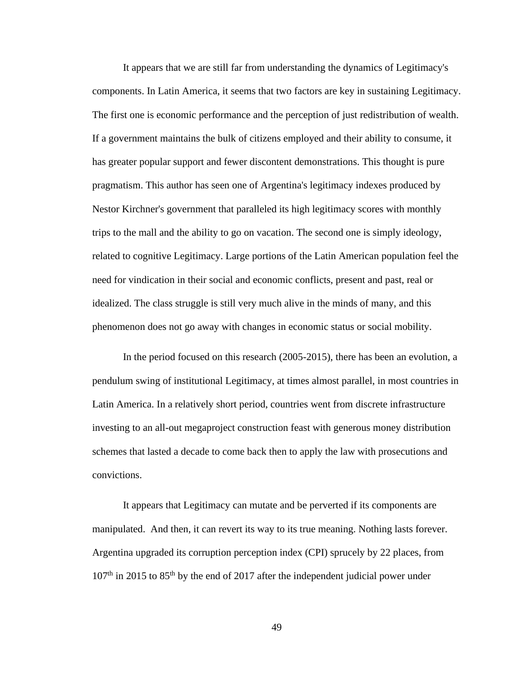It appears that we are still far from understanding the dynamics of Legitimacy's components. In Latin America, it seems that two factors are key in sustaining Legitimacy. The first one is economic performance and the perception of just redistribution of wealth. If a government maintains the bulk of citizens employed and their ability to consume, it has greater popular support and fewer discontent demonstrations. This thought is pure pragmatism. This author has seen one of Argentina's legitimacy indexes produced by Nestor Kirchner's government that paralleled its high legitimacy scores with monthly trips to the mall and the ability to go on vacation. The second one is simply ideology, related to cognitive Legitimacy. Large portions of the Latin American population feel the need for vindication in their social and economic conflicts, present and past, real or idealized. The class struggle is still very much alive in the minds of many, and this phenomenon does not go away with changes in economic status or social mobility.

In the period focused on this research (2005-2015), there has been an evolution, a pendulum swing of institutional Legitimacy, at times almost parallel, in most countries in Latin America. In a relatively short period, countries went from discrete infrastructure investing to an all-out megaproject construction feast with generous money distribution schemes that lasted a decade to come back then to apply the law with prosecutions and convictions.

It appears that Legitimacy can mutate and be perverted if its components are manipulated. And then, it can revert its way to its true meaning. Nothing lasts forever. Argentina upgraded its corruption perception index (CPI) sprucely by 22 places, from  $107<sup>th</sup>$  in 2015 to 85<sup>th</sup> by the end of 2017 after the independent judicial power under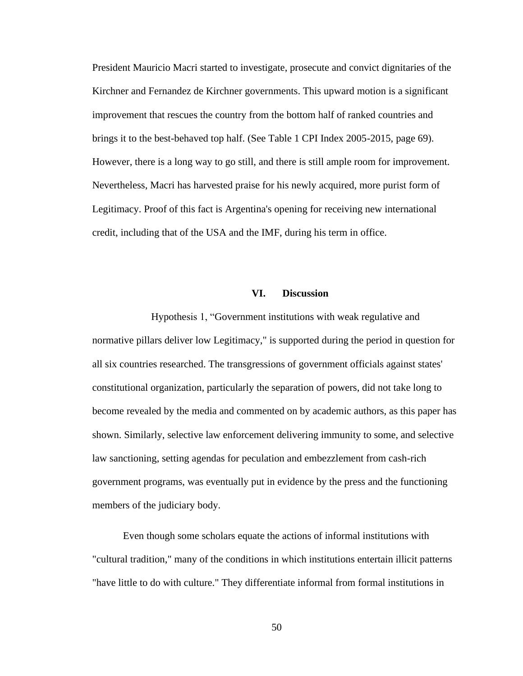President Mauricio Macri started to investigate, prosecute and convict dignitaries of the Kirchner and Fernandez de Kirchner governments. This upward motion is a significant improvement that rescues the country from the bottom half of ranked countries and brings it to the best-behaved top half. (See Table 1 CPI Index 2005-2015, page 69). However, there is a long way to go still, and there is still ample room for improvement. Nevertheless, Macri has harvested praise for his newly acquired, more purist form of Legitimacy. Proof of this fact is Argentina's opening for receiving new international credit, including that of the USA and the IMF, during his term in office.

## **VI. Discussion**

 Hypothesis 1, "Government institutions with weak regulative and normative pillars deliver low Legitimacy," is supported during the period in question for all six countries researched. The transgressions of government officials against states' constitutional organization, particularly the separation of powers, did not take long to become revealed by the media and commented on by academic authors, as this paper has shown. Similarly, selective law enforcement delivering immunity to some, and selective law sanctioning, setting agendas for peculation and embezzlement from cash-rich government programs, was eventually put in evidence by the press and the functioning members of the judiciary body.

Even though some scholars equate the actions of informal institutions with "cultural tradition," many of the conditions in which institutions entertain illicit patterns "have little to do with culture." They differentiate informal from formal institutions in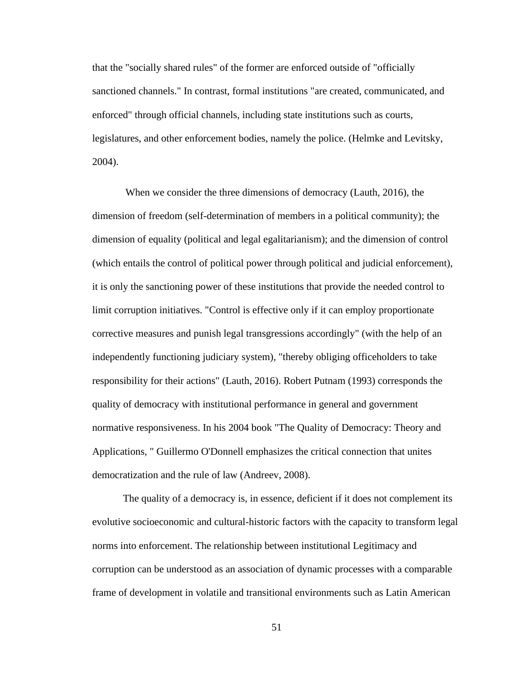that the "socially shared rules" of the former are enforced outside of "officially sanctioned channels." In contrast, formal institutions "are created, communicated, and enforced" through official channels, including state institutions such as courts, legislatures, and other enforcement bodies, namely the police. (Helmke and Levitsky, 2004).

When we consider the three dimensions of democracy (Lauth, 2016), the dimension of freedom (self-determination of members in a political community); the dimension of equality (political and legal egalitarianism); and the dimension of control (which entails the control of political power through political and judicial enforcement), it is only the sanctioning power of these institutions that provide the needed control to limit corruption initiatives. "Control is effective only if it can employ proportionate corrective measures and punish legal transgressions accordingly" (with the help of an independently functioning judiciary system), "thereby obliging officeholders to take responsibility for their actions" (Lauth, 2016). Robert Putnam (1993) corresponds the quality of democracy with institutional performance in general and government normative responsiveness. In his 2004 book "The Quality of Democracy: Theory and Applications, " Guillermo O'Donnell emphasizes the critical connection that unites democratization and the rule of law (Andreev, 2008).

The quality of a democracy is, in essence, deficient if it does not complement its evolutive socioeconomic and cultural-historic factors with the capacity to transform legal norms into enforcement. The relationship between institutional Legitimacy and corruption can be understood as an association of dynamic processes with a comparable frame of development in volatile and transitional environments such as Latin American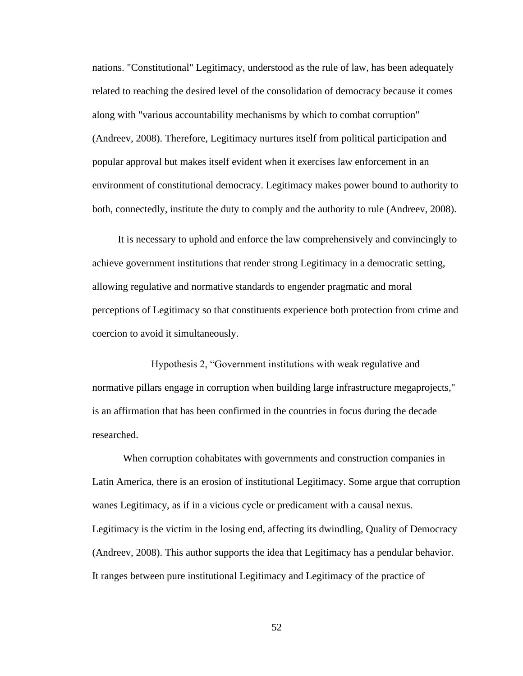nations. "Constitutional" Legitimacy, understood as the rule of law, has been adequately related to reaching the desired level of the consolidation of democracy because it comes along with "various accountability mechanisms by which to combat corruption" (Andreev, 2008). Therefore, Legitimacy nurtures itself from political participation and popular approval but makes itself evident when it exercises law enforcement in an environment of constitutional democracy. Legitimacy makes power bound to authority to both, connectedly, institute the duty to comply and the authority to rule (Andreev, 2008).

 It is necessary to uphold and enforce the law comprehensively and convincingly to achieve government institutions that render strong Legitimacy in a democratic setting, allowing regulative and normative standards to engender pragmatic and moral perceptions of Legitimacy so that constituents experience both protection from crime and coercion to avoid it simultaneously.

 Hypothesis 2, "Government institutions with weak regulative and normative pillars engage in corruption when building large infrastructure megaprojects," is an affirmation that has been confirmed in the countries in focus during the decade researched.

When corruption cohabitates with governments and construction companies in Latin America, there is an erosion of institutional Legitimacy. Some argue that corruption wanes Legitimacy, as if in a vicious cycle or predicament with a causal nexus. Legitimacy is the victim in the losing end, affecting its dwindling, Quality of Democracy (Andreev, 2008). This author supports the idea that Legitimacy has a pendular behavior. It ranges between pure institutional Legitimacy and Legitimacy of the practice of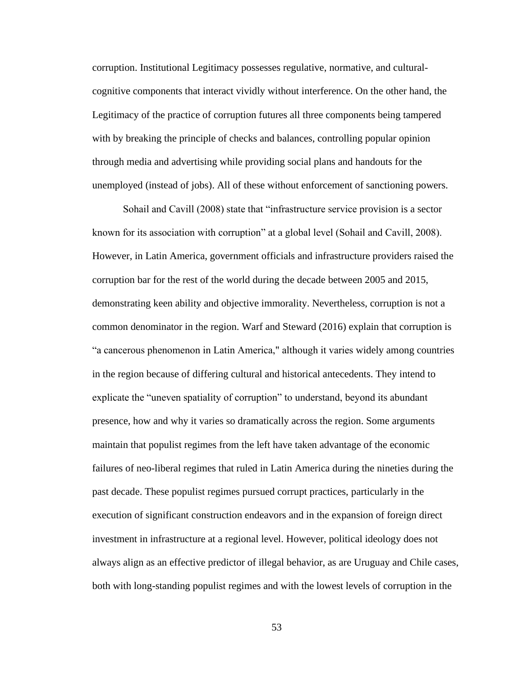corruption. Institutional Legitimacy possesses regulative, normative, and culturalcognitive components that interact vividly without interference. On the other hand, the Legitimacy of the practice of corruption futures all three components being tampered with by breaking the principle of checks and balances, controlling popular opinion through media and advertising while providing social plans and handouts for the unemployed (instead of jobs). All of these without enforcement of sanctioning powers.

Sohail and Cavill (2008) state that "infrastructure service provision is a sector known for its association with corruption" at a global level (Sohail and Cavill, 2008). However, in Latin America, government officials and infrastructure providers raised the corruption bar for the rest of the world during the decade between 2005 and 2015, demonstrating keen ability and objective immorality. Nevertheless, corruption is not a common denominator in the region. Warf and Steward (2016) explain that corruption is "a cancerous phenomenon in Latin America," although it varies widely among countries in the region because of differing cultural and historical antecedents. They intend to explicate the "uneven spatiality of corruption" to understand, beyond its abundant presence, how and why it varies so dramatically across the region. Some arguments maintain that populist regimes from the left have taken advantage of the economic failures of neo-liberal regimes that ruled in Latin America during the nineties during the past decade. These populist regimes pursued corrupt practices, particularly in the execution of significant construction endeavors and in the expansion of foreign direct investment in infrastructure at a regional level. However, political ideology does not always align as an effective predictor of illegal behavior, as are Uruguay and Chile cases, both with long-standing populist regimes and with the lowest levels of corruption in the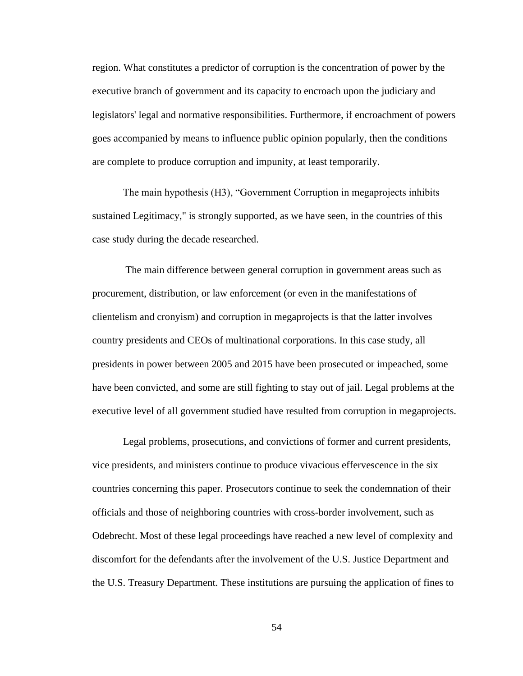region. What constitutes a predictor of corruption is the concentration of power by the executive branch of government and its capacity to encroach upon the judiciary and legislators' legal and normative responsibilities. Furthermore, if encroachment of powers goes accompanied by means to influence public opinion popularly, then the conditions are complete to produce corruption and impunity, at least temporarily.

The main hypothesis (H3), "Government Corruption in megaprojects inhibits sustained Legitimacy," is strongly supported, as we have seen, in the countries of this case study during the decade researched.

The main difference between general corruption in government areas such as procurement, distribution, or law enforcement (or even in the manifestations of clientelism and cronyism) and corruption in megaprojects is that the latter involves country presidents and CEOs of multinational corporations. In this case study, all presidents in power between 2005 and 2015 have been prosecuted or impeached, some have been convicted, and some are still fighting to stay out of jail. Legal problems at the executive level of all government studied have resulted from corruption in megaprojects.

Legal problems, prosecutions, and convictions of former and current presidents, vice presidents, and ministers continue to produce vivacious effervescence in the six countries concerning this paper. Prosecutors continue to seek the condemnation of their officials and those of neighboring countries with cross-border involvement, such as Odebrecht. Most of these legal proceedings have reached a new level of complexity and discomfort for the defendants after the involvement of the U.S. Justice Department and the U.S. Treasury Department. These institutions are pursuing the application of fines to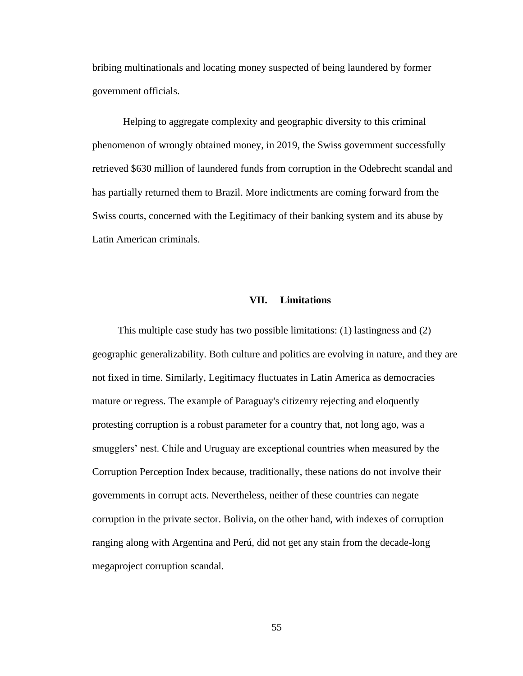bribing multinationals and locating money suspected of being laundered by former government officials.

Helping to aggregate complexity and geographic diversity to this criminal phenomenon of wrongly obtained money, in 2019, the Swiss government successfully retrieved \$630 million of laundered funds from corruption in the Odebrecht scandal and has partially returned them to Brazil. More indictments are coming forward from the Swiss courts, concerned with the Legitimacy of their banking system and its abuse by Latin American criminals.

### **VII. Limitations**

 This multiple case study has two possible limitations: (1) lastingness and (2) geographic generalizability. Both culture and politics are evolving in nature, and they are not fixed in time. Similarly, Legitimacy fluctuates in Latin America as democracies mature or regress. The example of Paraguay's citizenry rejecting and eloquently protesting corruption is a robust parameter for a country that, not long ago, was a smugglers' nest. Chile and Uruguay are exceptional countries when measured by the Corruption Perception Index because, traditionally, these nations do not involve their governments in corrupt acts. Nevertheless, neither of these countries can negate corruption in the private sector. Bolivia, on the other hand, with indexes of corruption ranging along with Argentina and Perú, did not get any stain from the decade-long megaproject corruption scandal.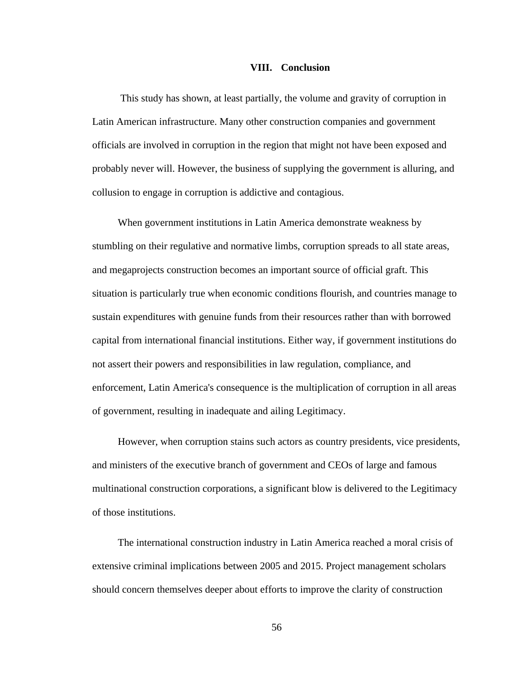#### **VIII. Conclusion**

 This study has shown, at least partially, the volume and gravity of corruption in Latin American infrastructure. Many other construction companies and government officials are involved in corruption in the region that might not have been exposed and probably never will. However, the business of supplying the government is alluring, and collusion to engage in corruption is addictive and contagious.

 When government institutions in Latin America demonstrate weakness by stumbling on their regulative and normative limbs, corruption spreads to all state areas, and megaprojects construction becomes an important source of official graft. This situation is particularly true when economic conditions flourish, and countries manage to sustain expenditures with genuine funds from their resources rather than with borrowed capital from international financial institutions. Either way, if government institutions do not assert their powers and responsibilities in law regulation, compliance, and enforcement, Latin America's consequence is the multiplication of corruption in all areas of government, resulting in inadequate and ailing Legitimacy.

 However, when corruption stains such actors as country presidents, vice presidents, and ministers of the executive branch of government and CEOs of large and famous multinational construction corporations, a significant blow is delivered to the Legitimacy of those institutions.

 The international construction industry in Latin America reached a moral crisis of extensive criminal implications between 2005 and 2015. Project management scholars should concern themselves deeper about efforts to improve the clarity of construction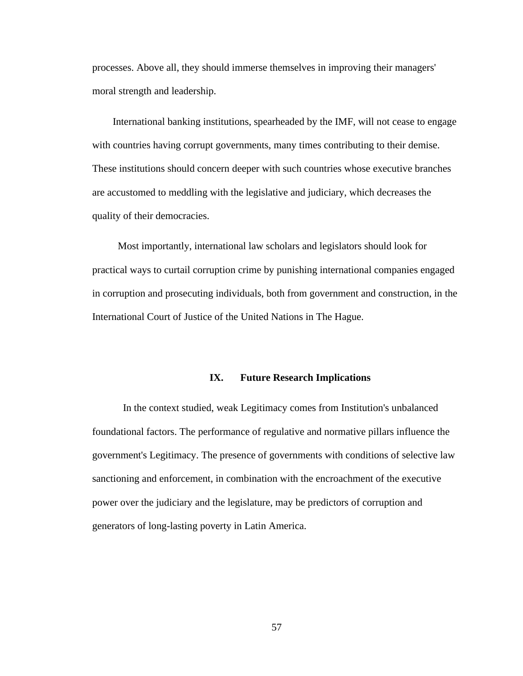processes. Above all, they should immerse themselves in improving their managers' moral strength and leadership.

 International banking institutions, spearheaded by the IMF, will not cease to engage with countries having corrupt governments, many times contributing to their demise. These institutions should concern deeper with such countries whose executive branches are accustomed to meddling with the legislative and judiciary, which decreases the quality of their democracies.

 Most importantly, international law scholars and legislators should look for practical ways to curtail corruption crime by punishing international companies engaged in corruption and prosecuting individuals, both from government and construction, in the International Court of Justice of the United Nations in The Hague.

#### **IX. Future Research Implications**

In the context studied, weak Legitimacy comes from Institution's unbalanced foundational factors. The performance of regulative and normative pillars influence the government's Legitimacy. The presence of governments with conditions of selective law sanctioning and enforcement, in combination with the encroachment of the executive power over the judiciary and the legislature, may be predictors of corruption and generators of long-lasting poverty in Latin America.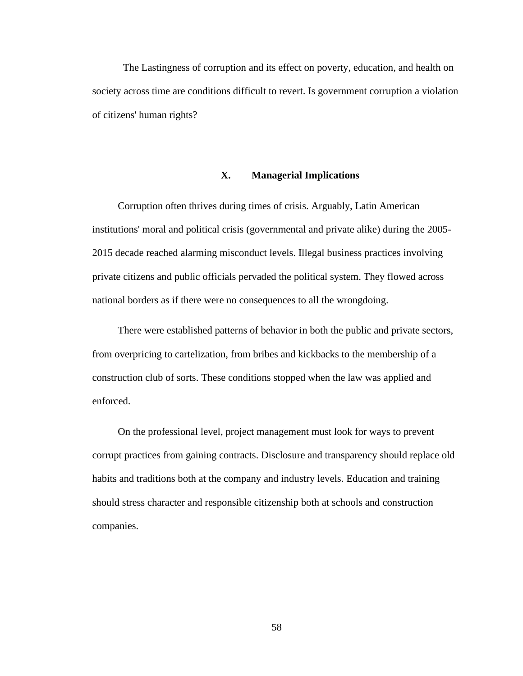The Lastingness of corruption and its effect on poverty, education, and health on society across time are conditions difficult to revert. Is government corruption a violation of citizens' human rights?

# **X. Managerial Implications**

 Corruption often thrives during times of crisis. Arguably, Latin American institutions' moral and political crisis (governmental and private alike) during the 2005- 2015 decade reached alarming misconduct levels. Illegal business practices involving private citizens and public officials pervaded the political system. They flowed across national borders as if there were no consequences to all the wrongdoing.

 There were established patterns of behavior in both the public and private sectors, from overpricing to cartelization, from bribes and kickbacks to the membership of a construction club of sorts. These conditions stopped when the law was applied and enforced.

 On the professional level, project management must look for ways to prevent corrupt practices from gaining contracts. Disclosure and transparency should replace old habits and traditions both at the company and industry levels. Education and training should stress character and responsible citizenship both at schools and construction companies.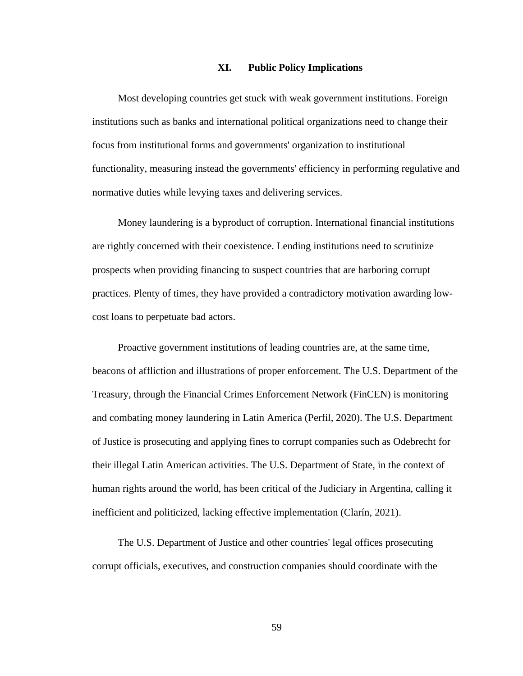## **XI. Public Policy Implications**

 Most developing countries get stuck with weak government institutions. Foreign institutions such as banks and international political organizations need to change their focus from institutional forms and governments' organization to institutional functionality, measuring instead the governments' efficiency in performing regulative and normative duties while levying taxes and delivering services.

 Money laundering is a byproduct of corruption. International financial institutions are rightly concerned with their coexistence. Lending institutions need to scrutinize prospects when providing financing to suspect countries that are harboring corrupt practices. Plenty of times, they have provided a contradictory motivation awarding lowcost loans to perpetuate bad actors.

 Proactive government institutions of leading countries are, at the same time, beacons of affliction and illustrations of proper enforcement. The U.S. Department of the Treasury, through the Financial Crimes Enforcement Network (FinCEN) is monitoring and combating money laundering in Latin America (Perfil, 2020). The U.S. Department of Justice is prosecuting and applying fines to corrupt companies such as Odebrecht for their illegal Latin American activities. The U.S. Department of State, in the context of human rights around the world, has been critical of the Judiciary in Argentina, calling it inefficient and politicized, lacking effective implementation (Clarín, 2021).

 The U.S. Department of Justice and other countries' legal offices prosecuting corrupt officials, executives, and construction companies should coordinate with the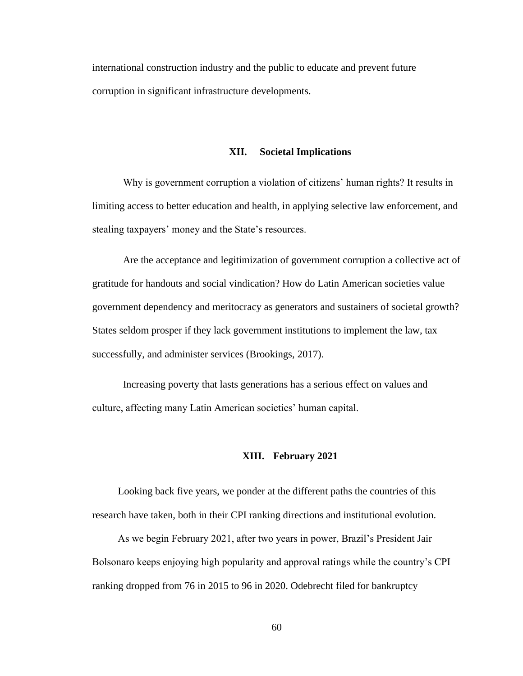international construction industry and the public to educate and prevent future corruption in significant infrastructure developments.

### **XII. Societal Implications**

Why is government corruption a violation of citizens' human rights? It results in limiting access to better education and health, in applying selective law enforcement, and stealing taxpayers' money and the State's resources.

Are the acceptance and legitimization of government corruption a collective act of gratitude for handouts and social vindication? How do Latin American societies value government dependency and meritocracy as generators and sustainers of societal growth? States seldom prosper if they lack government institutions to implement the law, tax successfully, and administer services (Brookings, 2017).

Increasing poverty that lasts generations has a serious effect on values and culture, affecting many Latin American societies' human capital.

## **XIII. February 2021**

 Looking back five years, we ponder at the different paths the countries of this research have taken, both in their CPI ranking directions and institutional evolution.

 As we begin February 2021, after two years in power, Brazil's President Jair Bolsonaro keeps enjoying high popularity and approval ratings while the country's CPI ranking dropped from 76 in 2015 to 96 in 2020. Odebrecht filed for bankruptcy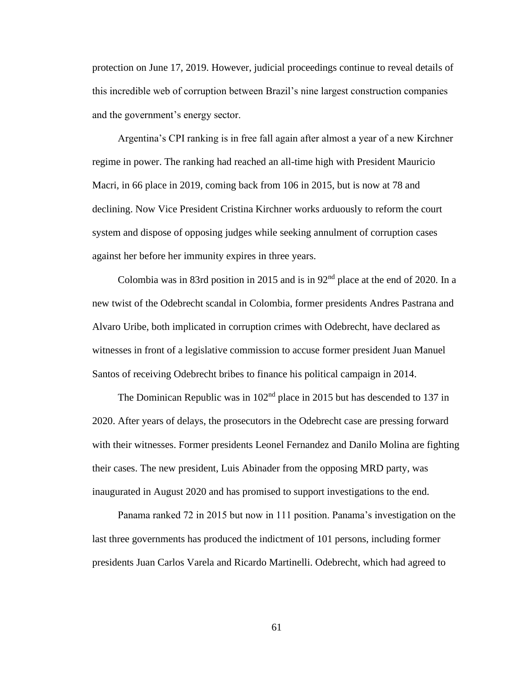protection on June 17, 2019. However, judicial proceedings continue to reveal details of this incredible web of corruption between Brazil's nine largest construction companies and the government's energy sector.

 Argentina's CPI ranking is in free fall again after almost a year of a new Kirchner regime in power. The ranking had reached an all-time high with President Mauricio Macri, in 66 place in 2019, coming back from 106 in 2015, but is now at 78 and declining. Now Vice President Cristina Kirchner works arduously to reform the court system and dispose of opposing judges while seeking annulment of corruption cases against her before her immunity expires in three years.

 Colombia was in 83rd position in 2015 and is in 92nd place at the end of 2020. In a new twist of the Odebrecht scandal in Colombia, former presidents Andres Pastrana and Alvaro Uribe, both implicated in corruption crimes with Odebrecht, have declared as witnesses in front of a legislative commission to accuse former president Juan Manuel Santos of receiving Odebrecht bribes to finance his political campaign in 2014.

The Dominican Republic was in 102<sup>nd</sup> place in 2015 but has descended to 137 in 2020. After years of delays, the prosecutors in the Odebrecht case are pressing forward with their witnesses. Former presidents Leonel Fernandez and Danilo Molina are fighting their cases. The new president, Luis Abinader from the opposing MRD party, was inaugurated in August 2020 and has promised to support investigations to the end.

 Panama ranked 72 in 2015 but now in 111 position. Panama's investigation on the last three governments has produced the indictment of 101 persons, including former presidents Juan Carlos Varela and Ricardo Martinelli. Odebrecht, which had agreed to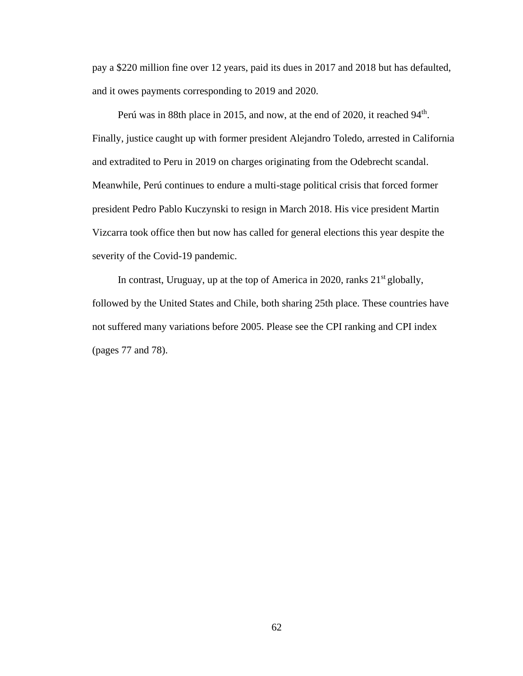pay a \$220 million fine over 12 years, paid its dues in 2017 and 2018 but has defaulted, and it owes payments corresponding to 2019 and 2020.

Perú was in 88th place in 2015, and now, at the end of 2020, it reached 94<sup>th</sup>. Finally, justice caught up with former president Alejandro Toledo, arrested in California and extradited to Peru in 2019 on charges originating from the Odebrecht scandal. Meanwhile, Perú continues to endure a multi-stage political crisis that forced former president Pedro Pablo Kuczynski to resign in March 2018. His vice president Martin Vizcarra took office then but now has called for general elections this year despite the severity of the Covid-19 pandemic.

In contrast, Uruguay, up at the top of America in 2020, ranks  $21<sup>st</sup>$  globally, followed by the United States and Chile, both sharing 25th place. These countries have not suffered many variations before 2005. Please see the CPI ranking and CPI index (pages 77 and 78).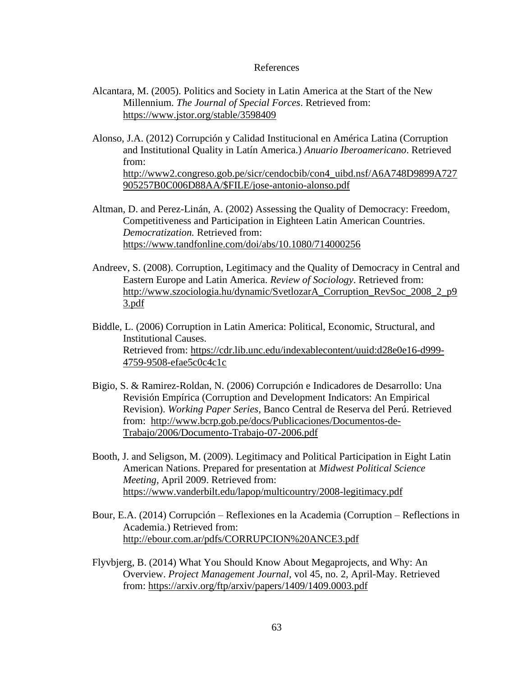## References

- Alcantara, M. (2005). Politics and Society in Latin America at the Start of the New Millennium. *The Journal of Special Forces*. Retrieved from: <https://www.jstor.org/stable/3598409>
- Alonso, J.A. (2012) Corrupción y Calidad Institucional en América Latina (Corruption and Institutional Quality in Latín America.) *Anuario Iberoamericano*. Retrieved from:

[http://www2.congreso.gob.pe/sicr/cendocbib/con4\\_uibd.nsf/A6A748D9899A727](http://www2.congreso.gob.pe/sicr/cendocbib/con4_uibd.nsf/A6A748D9899A727905257B0C006D88AA/$FILE/jose-antonio-alonso.pdf) [905257B0C006D88AA/\\$FILE/jose-antonio-alonso.pdf](http://www2.congreso.gob.pe/sicr/cendocbib/con4_uibd.nsf/A6A748D9899A727905257B0C006D88AA/$FILE/jose-antonio-alonso.pdf)

- Altman, D. and Perez-Linán, A. (2002) Assessing the Quality of Democracy: Freedom, Competitiveness and Participation in Eighteen Latin American Countries. *Democratization.* Retrieved from: <https://www.tandfonline.com/doi/abs/10.1080/714000256>
- Andreev, S. (2008). Corruption, Legitimacy and the Quality of Democracy in Central and Eastern Europe and Latin America. *Review of Sociology*. Retrieved from: [http://www.szociologia.hu/dynamic/SvetlozarA\\_Corruption\\_RevSoc\\_2008\\_2\\_p9](http://www.szociologia.hu/dynamic/SvetlozarA_Corruption_RevSoc_2008_2_p93.pdf) [3.pdf](http://www.szociologia.hu/dynamic/SvetlozarA_Corruption_RevSoc_2008_2_p93.pdf)
- Biddle, L. (2006) Corruption in Latin America: Political, Economic, Structural, and Institutional Causes. Retrieved from: [https://cdr.lib.unc.edu/indexablecontent/uuid:d28e0e16-d999-](https://cdr.lib.unc.edu/indexablecontent/uuid:d28e0e16-d999-4759-9508-efae5c0c4c1c) [4759-9508-efae5c0c4c1c](https://cdr.lib.unc.edu/indexablecontent/uuid:d28e0e16-d999-4759-9508-efae5c0c4c1c)
- Bigio, S. & Ramirez-Roldan, N. (2006) Corrupción e Indicadores de Desarrollo: Una Revisión Empírica (Corruption and Development Indicators: An Empirical Revision). *Working Paper Series*, Banco Central de Reserva del Perú. Retrieved from: [http://www.bcrp.gob.pe/docs/Publicaciones/Documentos-de-](http://www.bcrp.gob.pe/docs/Publicaciones/Documentos-de-Trabajo/2006/Documento-Trabajo-07-2006.pdf)[Trabajo/2006/Documento-Trabajo-07-2006.pdf](http://www.bcrp.gob.pe/docs/Publicaciones/Documentos-de-Trabajo/2006/Documento-Trabajo-07-2006.pdf)
- Booth, J. and Seligson, M. (2009). Legitimacy and Political Participation in Eight Latin American Nations. Prepared for presentation at *Midwest Political Science Meeting,* April 2009. Retrieved from: <https://www.vanderbilt.edu/lapop/multicountry/2008-legitimacy.pdf>
- Bour, E.A. (2014) Corrupción Reflexiones en la Academia (Corruption Reflections in Academia.) Retrieved from: <http://ebour.com.ar/pdfs/CORRUPCION%20ANCE3.pdf>
- Flyvbjerg, B. (2014) What You Should Know About Megaprojects, and Why: An Overview. *Project Management Journal*, vol 45, no. 2, April-May. Retrieved from:<https://arxiv.org/ftp/arxiv/papers/1409/1409.0003.pdf>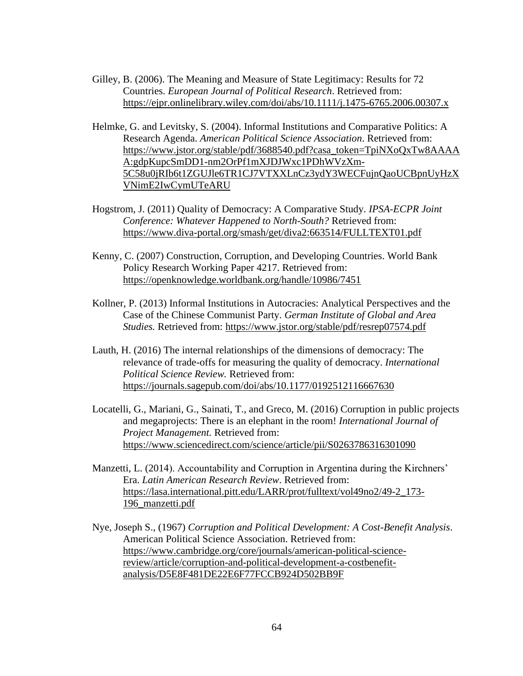- Gilley, B. (2006). The Meaning and Measure of State Legitimacy: Results for 72 Countries. *European Journal of Political Research*. Retrieved from: <https://ejpr.onlinelibrary.wiley.com/doi/abs/10.1111/j.1475-6765.2006.00307.x>
- Helmke, G. and Levitsky, S. (2004). Informal Institutions and Comparative Politics: A Research Agenda. *American Political Science Association*. Retrieved from: [https://www.jstor.org/stable/pdf/3688540.pdf?casa\\_token=TpiNXoQxTw8AAAA](https://www.jstor.org/stable/pdf/3688540.pdf?casa_token=TpiNXoQxTw8AAAAA:gdpKupcSmDD1-nm2OrPf1mXJDJWxc1PDhWVzXm-5C58u0jRIb6t1ZGUJle6TR1CJ7VTXXLnCz3ydY3WECFujnQaoUCBpnUyHzXVNimE2IwCymUTeARU) [A:gdpKupcSmDD1-nm2OrPf1mXJDJWxc1PDhWVzXm-](https://www.jstor.org/stable/pdf/3688540.pdf?casa_token=TpiNXoQxTw8AAAAA:gdpKupcSmDD1-nm2OrPf1mXJDJWxc1PDhWVzXm-5C58u0jRIb6t1ZGUJle6TR1CJ7VTXXLnCz3ydY3WECFujnQaoUCBpnUyHzXVNimE2IwCymUTeARU)[5C58u0jRIb6t1ZGUJle6TR1CJ7VTXXLnCz3ydY3WECFujnQaoUCBpnUyHzX](https://www.jstor.org/stable/pdf/3688540.pdf?casa_token=TpiNXoQxTw8AAAAA:gdpKupcSmDD1-nm2OrPf1mXJDJWxc1PDhWVzXm-5C58u0jRIb6t1ZGUJle6TR1CJ7VTXXLnCz3ydY3WECFujnQaoUCBpnUyHzXVNimE2IwCymUTeARU) [VNimE2IwCymUTeARU](https://www.jstor.org/stable/pdf/3688540.pdf?casa_token=TpiNXoQxTw8AAAAA:gdpKupcSmDD1-nm2OrPf1mXJDJWxc1PDhWVzXm-5C58u0jRIb6t1ZGUJle6TR1CJ7VTXXLnCz3ydY3WECFujnQaoUCBpnUyHzXVNimE2IwCymUTeARU)
- Hogstrom, J. (2011) Quality of Democracy: A Comparative Study. *IPSA-ECPR Joint Conference: Whatever Happened to North-South?* Retrieved from: <https://www.diva-portal.org/smash/get/diva2:663514/FULLTEXT01.pdf>
- Kenny, C. (2007) Construction, Corruption, and Developing Countries. World Bank Policy Research Working Paper 4217. Retrieved from: <https://openknowledge.worldbank.org/handle/10986/7451>
- Kollner, P. (2013) Informal Institutions in Autocracies: Analytical Perspectives and the Case of the Chinese Communist Party. *German Institute of Global and Area Studies.* Retrieved from:<https://www.jstor.org/stable/pdf/resrep07574.pdf>
- Lauth, H. (2016) The internal relationships of the dimensions of democracy: The relevance of trade-offs for measuring the quality of democracy. *International Political Science Review.* Retrieved from: <https://journals.sagepub.com/doi/abs/10.1177/0192512116667630>
- Locatelli, G., Mariani, G., Sainati, T., and Greco, M. (2016) Corruption in public projects and megaprojects: There is an elephant in the room! *International Journal of Project Management.* Retrieved from: <https://www.sciencedirect.com/science/article/pii/S0263786316301090>
- Manzetti, L. (2014). Accountability and Corruption in Argentina during the Kirchners' Era. *Latin American Research Review*. Retrieved from: [https://lasa.international.pitt.edu/LARR/prot/fulltext/vol49no2/49-2\\_173-](https://lasa.international.pitt.edu/LARR/prot/fulltext/vol49no2/49-2_173-196_manzetti.pdf) [196\\_manzetti.pdf](https://lasa.international.pitt.edu/LARR/prot/fulltext/vol49no2/49-2_173-196_manzetti.pdf)
- Nye, Joseph S., (1967) *Corruption and Political Development: A Cost-Benefit Analysis*. American Political Science Association. Retrieved from: [https://www.cambridge.org/core/journals/american-political-science](https://www.cambridge.org/core/journals/american-political-science-review/article/corruption-and-political-development-a-costbenefit-analysis/D5E8F481DE22E6F77FCCB924D502BB9F)[review/article/corruption-and-political-development-a-costbenefit](https://www.cambridge.org/core/journals/american-political-science-review/article/corruption-and-political-development-a-costbenefit-analysis/D5E8F481DE22E6F77FCCB924D502BB9F)[analysis/D5E8F481DE22E6F77FCCB924D502BB9F](https://www.cambridge.org/core/journals/american-political-science-review/article/corruption-and-political-development-a-costbenefit-analysis/D5E8F481DE22E6F77FCCB924D502BB9F)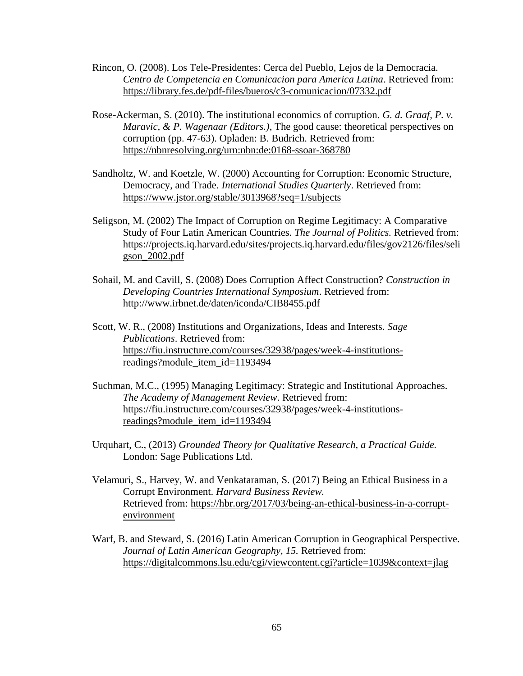- Rincon, O. (2008). Los Tele-Presidentes: Cerca del Pueblo, Lejos de la Democracia. *Centro de Competencia en Comunicacion para America Latina*. Retrieved from: <https://library.fes.de/pdf-files/bueros/c3-comunicacion/07332.pdf>
- Rose-Ackerman, S. (2010). The institutional economics of corruption. *G. d. Graaf, P. v. Maravic, & P. Wagenaar (Editors.)*, The good cause: theoretical perspectives on corruption (pp. 47-63). Opladen: B. Budrich. Retrieved from: <https://nbnresolving.org/urn:nbn:de:0168-ssoar-368780>
- Sandholtz, W. and Koetzle, W. (2000) Accounting for Corruption: Economic Structure, Democracy, and Trade. *International Studies Quarterly*. Retrieved from: <https://www.jstor.org/stable/3013968?seq=1/subjects>
- Seligson, M. (2002) The Impact of Corruption on Regime Legitimacy: A Comparative Study of Four Latin American Countries. *The Journal of Politics.* Retrieved from: [https://projects.iq.harvard.edu/sites/projects.iq.harvard.edu/files/gov2126/files/seli](https://projects.iq.harvard.edu/sites/projects.iq.harvard.edu/files/gov2126/files/seligson_2002.pdf) [gson\\_2002.pdf](https://projects.iq.harvard.edu/sites/projects.iq.harvard.edu/files/gov2126/files/seligson_2002.pdf)
- Sohail, M. and Cavill, S. (2008) Does Corruption Affect Construction? *Construction in Developing Countries International Symposium*. Retrieved from: <http://www.irbnet.de/daten/iconda/CIB8455.pdf>
- Scott, W. R., (2008) Institutions and Organizations, Ideas and Interests. *Sage Publications*. Retrieved from: [https://fiu.instructure.com/courses/32938/pages/week-4-institutions](https://fiu.instructure.com/courses/32938/pages/week-4-institutions-readings?module_item_id=1193494)[readings?module\\_item\\_id=1193494](https://fiu.instructure.com/courses/32938/pages/week-4-institutions-readings?module_item_id=1193494)
- Suchman, M.C., (1995) Managing Legitimacy: Strategic and Institutional Approaches. *The Academy of Management Review*. Retrieved from: [https://fiu.instructure.com/courses/32938/pages/week-4-institutions](https://fiu.instructure.com/courses/32938/pages/week-4-institutions-readings?module_item_id=1193494)[readings?module\\_item\\_id=1193494](https://fiu.instructure.com/courses/32938/pages/week-4-institutions-readings?module_item_id=1193494)
- Urquhart, C., (2013) *Grounded Theory for Qualitative Research, a Practical Guide.*  London: Sage Publications Ltd.
- Velamuri, S., Harvey, W. and Venkataraman, S. (2017) Being an Ethical Business in a Corrupt Environment. *Harvard Business Review.*  Retrieved from: [https://hbr.org/2017/03/being-an-ethical-business-in-a-corrupt](https://hbr.org/2017/03/being-an-ethical-business-in-a-corrupt-environment)[environment](https://hbr.org/2017/03/being-an-ethical-business-in-a-corrupt-environment)
- Warf, B. and Steward, S. (2016) Latin American Corruption in Geographical Perspective. *Journal of Latin American Geography, 15.* Retrieved from: <https://digitalcommons.lsu.edu/cgi/viewcontent.cgi?article=1039&context=jlag>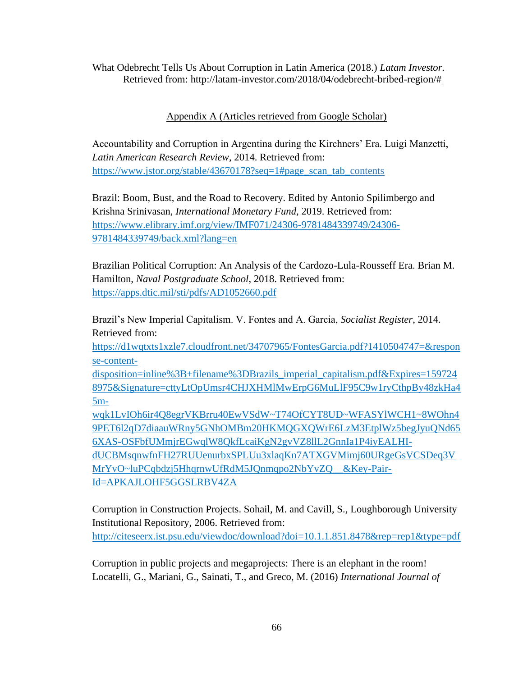What Odebrecht Tells Us About Corruption in Latin America (2018.) *Latam Investor.*  Retrieved from: http://latam-investor.com/2018/04/odebrecht-bribed-region/#

# Appendix A (Articles retrieved from Google Scholar)

Accountability and Corruption in Argentina during the Kirchners' Era. Luigi Manzetti, *Latin American Research Review*, 2014. Retrieved from: [https://www.jstor.org/stable/43670178?seq=1#page\\_scan\\_tab\\_contents](https://www.jstor.org/stable/43670178?seq=1#page_scan_tab_contents)

Brazil: Boom, Bust, and the Road to Recovery. Edited by Antonio Spilimbergo and Krishna Srinivasan, *International Monetary Fund*, 2019. Retrieved from: [https://www.elibrary.imf.org/view/IMF071/24306-9781484339749/24306-](https://www.elibrary.imf.org/view/IMF071/24306-9781484339749/24306-9781484339749/back.xml?lang=en) [9781484339749/back.xml?lang=en](https://www.elibrary.imf.org/view/IMF071/24306-9781484339749/24306-9781484339749/back.xml?lang=en)

Brazilian Political Corruption: An Analysis of the Cardozo-Lula-Rousseff Era. Brian M. Hamilton, *Naval Postgraduate School*, 2018. Retrieved from: <https://apps.dtic.mil/sti/pdfs/AD1052660.pdf>

Brazil's New Imperial Capitalism. V. Fontes and A. Garcia, *Socialist Register*, 2014. Retrieved from:

[https://d1wqtxts1xzle7.cloudfront.net/34707965/FontesGarcia.pdf?1410504747=&respon](https://d1wqtxts1xzle7.cloudfront.net/34707965/FontesGarcia.pdf?1410504747=&response-content-disposition=inline%3B+filename%3DBrazils_imperial_capitalism.pdf&Expires=1597248975&Signature=cttyLtOpUmsr4CHJXHMlMwErpG6MuLlF95C9w1ryCthpBy48zkHa45m-wqk1LvIOh6ir4Q8egrVKBrru40EwVSdW~T74OfCYT8UD~WFASYlWCH1~8WOhn49PET6l2qD7diaauWRny5GNhOMBm20HKMQGXQWrE6LzM3EtplWz5begJyuQNd656XAS-OSFbfUMmjrEGwqlW8QkfLcaiKgN2gvVZ8llL2GnnIa1P4iyEALHI-dUCBMsqnwfnFH27RUUenurbxSPLUu3xlaqKn7ATXGVMimj60URgeGsVCSDeq3VMrYvO~luPCqbdzj5HhqrnwUfRdM5JQnmqpo2NbYvZQ__&Key-Pair-Id=APKAJLOHF5GGSLRBV4ZA) [se-content-](https://d1wqtxts1xzle7.cloudfront.net/34707965/FontesGarcia.pdf?1410504747=&response-content-disposition=inline%3B+filename%3DBrazils_imperial_capitalism.pdf&Expires=1597248975&Signature=cttyLtOpUmsr4CHJXHMlMwErpG6MuLlF95C9w1ryCthpBy48zkHa45m-wqk1LvIOh6ir4Q8egrVKBrru40EwVSdW~T74OfCYT8UD~WFASYlWCH1~8WOhn49PET6l2qD7diaauWRny5GNhOMBm20HKMQGXQWrE6LzM3EtplWz5begJyuQNd656XAS-OSFbfUMmjrEGwqlW8QkfLcaiKgN2gvVZ8llL2GnnIa1P4iyEALHI-dUCBMsqnwfnFH27RUUenurbxSPLUu3xlaqKn7ATXGVMimj60URgeGsVCSDeq3VMrYvO~luPCqbdzj5HhqrnwUfRdM5JQnmqpo2NbYvZQ__&Key-Pair-Id=APKAJLOHF5GGSLRBV4ZA)

[disposition=inline%3B+filename%3DBrazils\\_imperial\\_capitalism.pdf&Expires=159724](https://d1wqtxts1xzle7.cloudfront.net/34707965/FontesGarcia.pdf?1410504747=&response-content-disposition=inline%3B+filename%3DBrazils_imperial_capitalism.pdf&Expires=1597248975&Signature=cttyLtOpUmsr4CHJXHMlMwErpG6MuLlF95C9w1ryCthpBy48zkHa45m-wqk1LvIOh6ir4Q8egrVKBrru40EwVSdW~T74OfCYT8UD~WFASYlWCH1~8WOhn49PET6l2qD7diaauWRny5GNhOMBm20HKMQGXQWrE6LzM3EtplWz5begJyuQNd656XAS-OSFbfUMmjrEGwqlW8QkfLcaiKgN2gvVZ8llL2GnnIa1P4iyEALHI-dUCBMsqnwfnFH27RUUenurbxSPLUu3xlaqKn7ATXGVMimj60URgeGsVCSDeq3VMrYvO~luPCqbdzj5HhqrnwUfRdM5JQnmqpo2NbYvZQ__&Key-Pair-Id=APKAJLOHF5GGSLRBV4ZA) [8975&Signature=cttyLtOpUmsr4CHJXHMlMwErpG6MuLlF95C9w1ryCthpBy48zkHa4](https://d1wqtxts1xzle7.cloudfront.net/34707965/FontesGarcia.pdf?1410504747=&response-content-disposition=inline%3B+filename%3DBrazils_imperial_capitalism.pdf&Expires=1597248975&Signature=cttyLtOpUmsr4CHJXHMlMwErpG6MuLlF95C9w1ryCthpBy48zkHa45m-wqk1LvIOh6ir4Q8egrVKBrru40EwVSdW~T74OfCYT8UD~WFASYlWCH1~8WOhn49PET6l2qD7diaauWRny5GNhOMBm20HKMQGXQWrE6LzM3EtplWz5begJyuQNd656XAS-OSFbfUMmjrEGwqlW8QkfLcaiKgN2gvVZ8llL2GnnIa1P4iyEALHI-dUCBMsqnwfnFH27RUUenurbxSPLUu3xlaqKn7ATXGVMimj60URgeGsVCSDeq3VMrYvO~luPCqbdzj5HhqrnwUfRdM5JQnmqpo2NbYvZQ__&Key-Pair-Id=APKAJLOHF5GGSLRBV4ZA) [5m-](https://d1wqtxts1xzle7.cloudfront.net/34707965/FontesGarcia.pdf?1410504747=&response-content-disposition=inline%3B+filename%3DBrazils_imperial_capitalism.pdf&Expires=1597248975&Signature=cttyLtOpUmsr4CHJXHMlMwErpG6MuLlF95C9w1ryCthpBy48zkHa45m-wqk1LvIOh6ir4Q8egrVKBrru40EwVSdW~T74OfCYT8UD~WFASYlWCH1~8WOhn49PET6l2qD7diaauWRny5GNhOMBm20HKMQGXQWrE6LzM3EtplWz5begJyuQNd656XAS-OSFbfUMmjrEGwqlW8QkfLcaiKgN2gvVZ8llL2GnnIa1P4iyEALHI-dUCBMsqnwfnFH27RUUenurbxSPLUu3xlaqKn7ATXGVMimj60URgeGsVCSDeq3VMrYvO~luPCqbdzj5HhqrnwUfRdM5JQnmqpo2NbYvZQ__&Key-Pair-Id=APKAJLOHF5GGSLRBV4ZA)

[wqk1LvIOh6ir4Q8egrVKBrru40EwVSdW~T74OfCYT8UD~WFASYlWCH1~8WOhn4](https://d1wqtxts1xzle7.cloudfront.net/34707965/FontesGarcia.pdf?1410504747=&response-content-disposition=inline%3B+filename%3DBrazils_imperial_capitalism.pdf&Expires=1597248975&Signature=cttyLtOpUmsr4CHJXHMlMwErpG6MuLlF95C9w1ryCthpBy48zkHa45m-wqk1LvIOh6ir4Q8egrVKBrru40EwVSdW~T74OfCYT8UD~WFASYlWCH1~8WOhn49PET6l2qD7diaauWRny5GNhOMBm20HKMQGXQWrE6LzM3EtplWz5begJyuQNd656XAS-OSFbfUMmjrEGwqlW8QkfLcaiKgN2gvVZ8llL2GnnIa1P4iyEALHI-dUCBMsqnwfnFH27RUUenurbxSPLUu3xlaqKn7ATXGVMimj60URgeGsVCSDeq3VMrYvO~luPCqbdzj5HhqrnwUfRdM5JQnmqpo2NbYvZQ__&Key-Pair-Id=APKAJLOHF5GGSLRBV4ZA) [9PET6l2qD7diaauWRny5GNhOMBm20HKMQGXQWrE6LzM3EtplWz5begJyuQNd65](https://d1wqtxts1xzle7.cloudfront.net/34707965/FontesGarcia.pdf?1410504747=&response-content-disposition=inline%3B+filename%3DBrazils_imperial_capitalism.pdf&Expires=1597248975&Signature=cttyLtOpUmsr4CHJXHMlMwErpG6MuLlF95C9w1ryCthpBy48zkHa45m-wqk1LvIOh6ir4Q8egrVKBrru40EwVSdW~T74OfCYT8UD~WFASYlWCH1~8WOhn49PET6l2qD7diaauWRny5GNhOMBm20HKMQGXQWrE6LzM3EtplWz5begJyuQNd656XAS-OSFbfUMmjrEGwqlW8QkfLcaiKgN2gvVZ8llL2GnnIa1P4iyEALHI-dUCBMsqnwfnFH27RUUenurbxSPLUu3xlaqKn7ATXGVMimj60URgeGsVCSDeq3VMrYvO~luPCqbdzj5HhqrnwUfRdM5JQnmqpo2NbYvZQ__&Key-Pair-Id=APKAJLOHF5GGSLRBV4ZA) [6XAS-OSFbfUMmjrEGwqlW8QkfLcaiKgN2gvVZ8llL2GnnIa1P4iyEALHI](https://d1wqtxts1xzle7.cloudfront.net/34707965/FontesGarcia.pdf?1410504747=&response-content-disposition=inline%3B+filename%3DBrazils_imperial_capitalism.pdf&Expires=1597248975&Signature=cttyLtOpUmsr4CHJXHMlMwErpG6MuLlF95C9w1ryCthpBy48zkHa45m-wqk1LvIOh6ir4Q8egrVKBrru40EwVSdW~T74OfCYT8UD~WFASYlWCH1~8WOhn49PET6l2qD7diaauWRny5GNhOMBm20HKMQGXQWrE6LzM3EtplWz5begJyuQNd656XAS-OSFbfUMmjrEGwqlW8QkfLcaiKgN2gvVZ8llL2GnnIa1P4iyEALHI-dUCBMsqnwfnFH27RUUenurbxSPLUu3xlaqKn7ATXGVMimj60URgeGsVCSDeq3VMrYvO~luPCqbdzj5HhqrnwUfRdM5JQnmqpo2NbYvZQ__&Key-Pair-Id=APKAJLOHF5GGSLRBV4ZA)[dUCBMsqnwfnFH27RUUenurbxSPLUu3xlaqKn7ATXGVMimj60URgeGsVCSDeq3V](https://d1wqtxts1xzle7.cloudfront.net/34707965/FontesGarcia.pdf?1410504747=&response-content-disposition=inline%3B+filename%3DBrazils_imperial_capitalism.pdf&Expires=1597248975&Signature=cttyLtOpUmsr4CHJXHMlMwErpG6MuLlF95C9w1ryCthpBy48zkHa45m-wqk1LvIOh6ir4Q8egrVKBrru40EwVSdW~T74OfCYT8UD~WFASYlWCH1~8WOhn49PET6l2qD7diaauWRny5GNhOMBm20HKMQGXQWrE6LzM3EtplWz5begJyuQNd656XAS-OSFbfUMmjrEGwqlW8QkfLcaiKgN2gvVZ8llL2GnnIa1P4iyEALHI-dUCBMsqnwfnFH27RUUenurbxSPLUu3xlaqKn7ATXGVMimj60URgeGsVCSDeq3VMrYvO~luPCqbdzj5HhqrnwUfRdM5JQnmqpo2NbYvZQ__&Key-Pair-Id=APKAJLOHF5GGSLRBV4ZA) [MrYvO~luPCqbdzj5HhqrnwUfRdM5JQnmqpo2NbYvZQ\\_\\_&Key-Pair-](https://d1wqtxts1xzle7.cloudfront.net/34707965/FontesGarcia.pdf?1410504747=&response-content-disposition=inline%3B+filename%3DBrazils_imperial_capitalism.pdf&Expires=1597248975&Signature=cttyLtOpUmsr4CHJXHMlMwErpG6MuLlF95C9w1ryCthpBy48zkHa45m-wqk1LvIOh6ir4Q8egrVKBrru40EwVSdW~T74OfCYT8UD~WFASYlWCH1~8WOhn49PET6l2qD7diaauWRny5GNhOMBm20HKMQGXQWrE6LzM3EtplWz5begJyuQNd656XAS-OSFbfUMmjrEGwqlW8QkfLcaiKgN2gvVZ8llL2GnnIa1P4iyEALHI-dUCBMsqnwfnFH27RUUenurbxSPLUu3xlaqKn7ATXGVMimj60URgeGsVCSDeq3VMrYvO~luPCqbdzj5HhqrnwUfRdM5JQnmqpo2NbYvZQ__&Key-Pair-Id=APKAJLOHF5GGSLRBV4ZA)[Id=APKAJLOHF5GGSLRBV4ZA](https://d1wqtxts1xzle7.cloudfront.net/34707965/FontesGarcia.pdf?1410504747=&response-content-disposition=inline%3B+filename%3DBrazils_imperial_capitalism.pdf&Expires=1597248975&Signature=cttyLtOpUmsr4CHJXHMlMwErpG6MuLlF95C9w1ryCthpBy48zkHa45m-wqk1LvIOh6ir4Q8egrVKBrru40EwVSdW~T74OfCYT8UD~WFASYlWCH1~8WOhn49PET6l2qD7diaauWRny5GNhOMBm20HKMQGXQWrE6LzM3EtplWz5begJyuQNd656XAS-OSFbfUMmjrEGwqlW8QkfLcaiKgN2gvVZ8llL2GnnIa1P4iyEALHI-dUCBMsqnwfnFH27RUUenurbxSPLUu3xlaqKn7ATXGVMimj60URgeGsVCSDeq3VMrYvO~luPCqbdzj5HhqrnwUfRdM5JQnmqpo2NbYvZQ__&Key-Pair-Id=APKAJLOHF5GGSLRBV4ZA)

Corruption in Construction Projects. Sohail, M. and Cavill, S., Loughborough University Institutional Repository, 2006. Retrieved from: <http://citeseerx.ist.psu.edu/viewdoc/download?doi=10.1.1.851.8478&rep=rep1&type=pdf>

Corruption in public projects and megaprojects: There is an elephant in the room! Locatelli, G., Mariani, G., Sainati, T., and Greco, M. (2016) *International Journal of*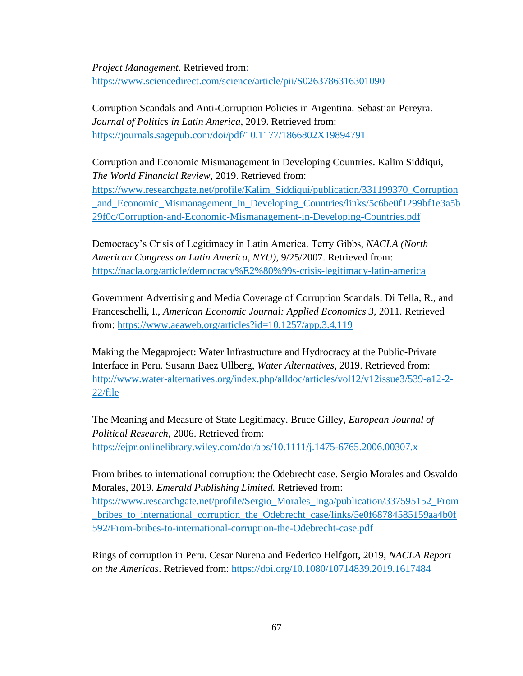*Project Management.* Retrieved from: <https://www.sciencedirect.com/science/article/pii/S0263786316301090>

Corruption Scandals and Anti-Corruption Policies in Argentina. Sebastian Pereyra. *Journal of Politics in Latin America*, 2019. Retrieved from: <https://journals.sagepub.com/doi/pdf/10.1177/1866802X19894791>

Corruption and Economic Mismanagement in Developing Countries. Kalim Siddiqui, *The World Financial Review*, 2019. Retrieved from: [https://www.researchgate.net/profile/Kalim\\_Siddiqui/publication/331199370\\_Corruption](https://www.researchgate.net/profile/Kalim_Siddiqui/publication/331199370_Corruption_and_Economic_Mismanagement_in_Developing_Countries/links/5c6be0f1299bf1e3a5b29f0c/Corruption-and-Economic-Mismanagement-in-Developing-Countries.pdf) [\\_and\\_Economic\\_Mismanagement\\_in\\_Developing\\_Countries/links/5c6be0f1299bf1e3a5b](https://www.researchgate.net/profile/Kalim_Siddiqui/publication/331199370_Corruption_and_Economic_Mismanagement_in_Developing_Countries/links/5c6be0f1299bf1e3a5b29f0c/Corruption-and-Economic-Mismanagement-in-Developing-Countries.pdf) [29f0c/Corruption-and-Economic-Mismanagement-in-Developing-Countries.pdf](https://www.researchgate.net/profile/Kalim_Siddiqui/publication/331199370_Corruption_and_Economic_Mismanagement_in_Developing_Countries/links/5c6be0f1299bf1e3a5b29f0c/Corruption-and-Economic-Mismanagement-in-Developing-Countries.pdf)

Democracy's Crisis of Legitimacy in Latin America. Terry Gibbs, *NACLA (North American Congress on Latin America, NYU)*, 9/25/2007. Retrieved from: <https://nacla.org/article/democracy%E2%80%99s-crisis-legitimacy-latin-america>

Government Advertising and Media Coverage of Corruption Scandals. Di Tella, R., and Franceschelli, I., *American Economic Journal: Applied Economics 3*, 2011. Retrieved from:<https://www.aeaweb.org/articles?id=10.1257/app.3.4.119>

Making the Megaproject: Water Infrastructure and Hydrocracy at the Public-Private Interface in Peru. Susann Baez Ullberg, *Water Alternatives*, 2019. Retrieved from: [http://www.water-alternatives.org/index.php/alldoc/articles/vol12/v12issue3/539-a12-2-](http://www.water-alternatives.org/index.php/alldoc/articles/vol12/v12issue3/539-a12-2-22/file) [22/file](http://www.water-alternatives.org/index.php/alldoc/articles/vol12/v12issue3/539-a12-2-22/file)

The Meaning and Measure of State Legitimacy. Bruce Gilley, *European Journal of Political Research*, 2006. Retrieved from: https://ejpr.onlinelibrary.wiley.com/doi/abs/10.1111/j.1475-6765.2006.00307.x

From bribes to international corruption: the Odebrecht case. Sergio Morales and Osvaldo Morales, 2019. *Emerald Publishing Limited.* Retrieved from: [https://www.researchgate.net/profile/Sergio\\_Morales\\_Inga/publication/337595152\\_From](https://www.researchgate.net/profile/Sergio_Morales_Inga/publication/337595152_From_bribes_to_international_corruption_the_Odebrecht_case/links/5e0f68784585159aa4b0f592/From-bribes-to-international-corruption-the-Odebrecht-case.pdf) [\\_bribes\\_to\\_international\\_corruption\\_the\\_Odebrecht\\_case/links/5e0f68784585159aa4b0f](https://www.researchgate.net/profile/Sergio_Morales_Inga/publication/337595152_From_bribes_to_international_corruption_the_Odebrecht_case/links/5e0f68784585159aa4b0f592/From-bribes-to-international-corruption-the-Odebrecht-case.pdf) [592/From-bribes-to-international-corruption-the-Odebrecht-case.pdf](https://www.researchgate.net/profile/Sergio_Morales_Inga/publication/337595152_From_bribes_to_international_corruption_the_Odebrecht_case/links/5e0f68784585159aa4b0f592/From-bribes-to-international-corruption-the-Odebrecht-case.pdf)

Rings of corruption in Peru. Cesar Nurena and Federico Helfgott, 2019, *NACLA Report on the Americas*. Retrieved from: https://doi.org/10.1080/10714839.2019.1617484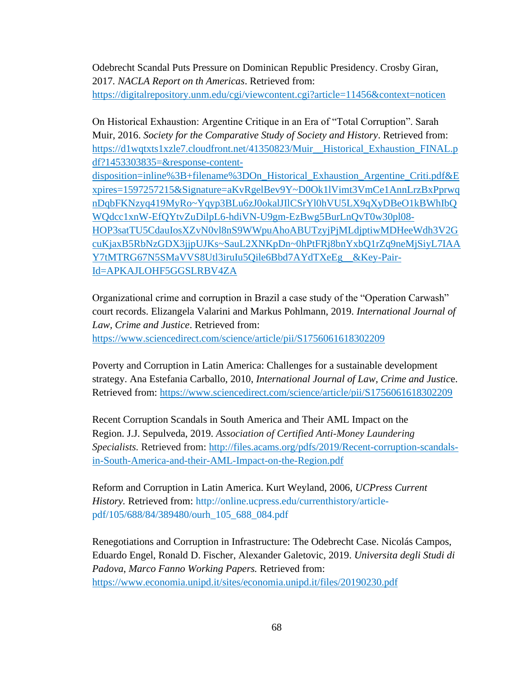Odebrecht Scandal Puts Pressure on Dominican Republic Presidency. Crosby Giran, 2017*. NACLA Report on th Americas*. Retrieved from:

<https://digitalrepository.unm.edu/cgi/viewcontent.cgi?article=11456&context=noticen>

On Historical Exhaustion: Argentine Critique in an Era of "Total Corruption". Sarah Muir, 2016. *Society for the Comparative Study of Society and History*. Retrieved from: [https://d1wqtxts1xzle7.cloudfront.net/41350823/Muir\\_\\_Historical\\_Exhaustion\\_FINAL.p](https://d1wqtxts1xzle7.cloudfront.net/41350823/Muir__Historical_Exhaustion_FINAL.pdf?1453303835=&response-content-disposition=inline%3B+filename%3DOn_Historical_Exhaustion_Argentine_Criti.pdf&Expires=1597257215&Signature=aKvRgelBev9Y~D0Ok1lVimt3VmCe1AnnLrzBxPprwqnDqbFKNzyq419MyRo~Yqyp3BLu6zJ0okalJIlCSrYl0hVU5LX9qXyDBeO1kBWhIbQWQdcc1xnW-EfQYtvZuDilpL6-hdiVN-U9gm-EzBwg5BurLnQvT0w30pl08-HOP3satTU5CdauIosXZvN0vl8nS9WWpuAhoABUTzyjPjMLdjptiwMDHeeWdh3V2GcuKjaxB5RbNzGDX3jjpUJKs~SauL2XNKpDn~0hPtFRj8bnYxbQ1rZq9neMjSiyL7IAAY7tMTRG67N5SMaVVS8Utl3iruIu5Qile6Bbd7AYdTXeEg__&Key-Pair-Id=APKAJLOHF5GGSLRBV4ZA) [df?1453303835=&response-content](https://d1wqtxts1xzle7.cloudfront.net/41350823/Muir__Historical_Exhaustion_FINAL.pdf?1453303835=&response-content-disposition=inline%3B+filename%3DOn_Historical_Exhaustion_Argentine_Criti.pdf&Expires=1597257215&Signature=aKvRgelBev9Y~D0Ok1lVimt3VmCe1AnnLrzBxPprwqnDqbFKNzyq419MyRo~Yqyp3BLu6zJ0okalJIlCSrYl0hVU5LX9qXyDBeO1kBWhIbQWQdcc1xnW-EfQYtvZuDilpL6-hdiVN-U9gm-EzBwg5BurLnQvT0w30pl08-HOP3satTU5CdauIosXZvN0vl8nS9WWpuAhoABUTzyjPjMLdjptiwMDHeeWdh3V2GcuKjaxB5RbNzGDX3jjpUJKs~SauL2XNKpDn~0hPtFRj8bnYxbQ1rZq9neMjSiyL7IAAY7tMTRG67N5SMaVVS8Utl3iruIu5Qile6Bbd7AYdTXeEg__&Key-Pair-Id=APKAJLOHF5GGSLRBV4ZA)[disposition=inline%3B+filename%3DOn\\_Historical\\_Exhaustion\\_Argentine\\_Criti.pdf&E](https://d1wqtxts1xzle7.cloudfront.net/41350823/Muir__Historical_Exhaustion_FINAL.pdf?1453303835=&response-content-disposition=inline%3B+filename%3DOn_Historical_Exhaustion_Argentine_Criti.pdf&Expires=1597257215&Signature=aKvRgelBev9Y~D0Ok1lVimt3VmCe1AnnLrzBxPprwqnDqbFKNzyq419MyRo~Yqyp3BLu6zJ0okalJIlCSrYl0hVU5LX9qXyDBeO1kBWhIbQWQdcc1xnW-EfQYtvZuDilpL6-hdiVN-U9gm-EzBwg5BurLnQvT0w30pl08-HOP3satTU5CdauIosXZvN0vl8nS9WWpuAhoABUTzyjPjMLdjptiwMDHeeWdh3V2GcuKjaxB5RbNzGDX3jjpUJKs~SauL2XNKpDn~0hPtFRj8bnYxbQ1rZq9neMjSiyL7IAAY7tMTRG67N5SMaVVS8Utl3iruIu5Qile6Bbd7AYdTXeEg__&Key-Pair-Id=APKAJLOHF5GGSLRBV4ZA) [xpires=1597257215&Signature=aKvRgelBev9Y~D0Ok1lVimt3VmCe1AnnLrzBxPprwq](https://d1wqtxts1xzle7.cloudfront.net/41350823/Muir__Historical_Exhaustion_FINAL.pdf?1453303835=&response-content-disposition=inline%3B+filename%3DOn_Historical_Exhaustion_Argentine_Criti.pdf&Expires=1597257215&Signature=aKvRgelBev9Y~D0Ok1lVimt3VmCe1AnnLrzBxPprwqnDqbFKNzyq419MyRo~Yqyp3BLu6zJ0okalJIlCSrYl0hVU5LX9qXyDBeO1kBWhIbQWQdcc1xnW-EfQYtvZuDilpL6-hdiVN-U9gm-EzBwg5BurLnQvT0w30pl08-HOP3satTU5CdauIosXZvN0vl8nS9WWpuAhoABUTzyjPjMLdjptiwMDHeeWdh3V2GcuKjaxB5RbNzGDX3jjpUJKs~SauL2XNKpDn~0hPtFRj8bnYxbQ1rZq9neMjSiyL7IAAY7tMTRG67N5SMaVVS8Utl3iruIu5Qile6Bbd7AYdTXeEg__&Key-Pair-Id=APKAJLOHF5GGSLRBV4ZA) [nDqbFKNzyq419MyRo~Yqyp3BLu6zJ0okalJIlCSrYl0hVU5LX9qXyDBeO1kBWhIbQ](https://d1wqtxts1xzle7.cloudfront.net/41350823/Muir__Historical_Exhaustion_FINAL.pdf?1453303835=&response-content-disposition=inline%3B+filename%3DOn_Historical_Exhaustion_Argentine_Criti.pdf&Expires=1597257215&Signature=aKvRgelBev9Y~D0Ok1lVimt3VmCe1AnnLrzBxPprwqnDqbFKNzyq419MyRo~Yqyp3BLu6zJ0okalJIlCSrYl0hVU5LX9qXyDBeO1kBWhIbQWQdcc1xnW-EfQYtvZuDilpL6-hdiVN-U9gm-EzBwg5BurLnQvT0w30pl08-HOP3satTU5CdauIosXZvN0vl8nS9WWpuAhoABUTzyjPjMLdjptiwMDHeeWdh3V2GcuKjaxB5RbNzGDX3jjpUJKs~SauL2XNKpDn~0hPtFRj8bnYxbQ1rZq9neMjSiyL7IAAY7tMTRG67N5SMaVVS8Utl3iruIu5Qile6Bbd7AYdTXeEg__&Key-Pair-Id=APKAJLOHF5GGSLRBV4ZA) [WQdcc1xnW-EfQYtvZuDilpL6-hdiVN-U9gm-EzBwg5BurLnQvT0w30pl08-](https://d1wqtxts1xzle7.cloudfront.net/41350823/Muir__Historical_Exhaustion_FINAL.pdf?1453303835=&response-content-disposition=inline%3B+filename%3DOn_Historical_Exhaustion_Argentine_Criti.pdf&Expires=1597257215&Signature=aKvRgelBev9Y~D0Ok1lVimt3VmCe1AnnLrzBxPprwqnDqbFKNzyq419MyRo~Yqyp3BLu6zJ0okalJIlCSrYl0hVU5LX9qXyDBeO1kBWhIbQWQdcc1xnW-EfQYtvZuDilpL6-hdiVN-U9gm-EzBwg5BurLnQvT0w30pl08-HOP3satTU5CdauIosXZvN0vl8nS9WWpuAhoABUTzyjPjMLdjptiwMDHeeWdh3V2GcuKjaxB5RbNzGDX3jjpUJKs~SauL2XNKpDn~0hPtFRj8bnYxbQ1rZq9neMjSiyL7IAAY7tMTRG67N5SMaVVS8Utl3iruIu5Qile6Bbd7AYdTXeEg__&Key-Pair-Id=APKAJLOHF5GGSLRBV4ZA) [HOP3satTU5CdauIosXZvN0vl8nS9WWpuAhoABUTzyjPjMLdjptiwMDHeeWdh3V2G](https://d1wqtxts1xzle7.cloudfront.net/41350823/Muir__Historical_Exhaustion_FINAL.pdf?1453303835=&response-content-disposition=inline%3B+filename%3DOn_Historical_Exhaustion_Argentine_Criti.pdf&Expires=1597257215&Signature=aKvRgelBev9Y~D0Ok1lVimt3VmCe1AnnLrzBxPprwqnDqbFKNzyq419MyRo~Yqyp3BLu6zJ0okalJIlCSrYl0hVU5LX9qXyDBeO1kBWhIbQWQdcc1xnW-EfQYtvZuDilpL6-hdiVN-U9gm-EzBwg5BurLnQvT0w30pl08-HOP3satTU5CdauIosXZvN0vl8nS9WWpuAhoABUTzyjPjMLdjptiwMDHeeWdh3V2GcuKjaxB5RbNzGDX3jjpUJKs~SauL2XNKpDn~0hPtFRj8bnYxbQ1rZq9neMjSiyL7IAAY7tMTRG67N5SMaVVS8Utl3iruIu5Qile6Bbd7AYdTXeEg__&Key-Pair-Id=APKAJLOHF5GGSLRBV4ZA) [cuKjaxB5RbNzGDX3jjpUJKs~SauL2XNKpDn~0hPtFRj8bnYxbQ1rZq9neMjSiyL7IAA](https://d1wqtxts1xzle7.cloudfront.net/41350823/Muir__Historical_Exhaustion_FINAL.pdf?1453303835=&response-content-disposition=inline%3B+filename%3DOn_Historical_Exhaustion_Argentine_Criti.pdf&Expires=1597257215&Signature=aKvRgelBev9Y~D0Ok1lVimt3VmCe1AnnLrzBxPprwqnDqbFKNzyq419MyRo~Yqyp3BLu6zJ0okalJIlCSrYl0hVU5LX9qXyDBeO1kBWhIbQWQdcc1xnW-EfQYtvZuDilpL6-hdiVN-U9gm-EzBwg5BurLnQvT0w30pl08-HOP3satTU5CdauIosXZvN0vl8nS9WWpuAhoABUTzyjPjMLdjptiwMDHeeWdh3V2GcuKjaxB5RbNzGDX3jjpUJKs~SauL2XNKpDn~0hPtFRj8bnYxbQ1rZq9neMjSiyL7IAAY7tMTRG67N5SMaVVS8Utl3iruIu5Qile6Bbd7AYdTXeEg__&Key-Pair-Id=APKAJLOHF5GGSLRBV4ZA)

[Y7tMTRG67N5SMaVVS8Utl3iruIu5Qile6Bbd7AYdTXeEg\\_\\_&Key-Pair-](https://d1wqtxts1xzle7.cloudfront.net/41350823/Muir__Historical_Exhaustion_FINAL.pdf?1453303835=&response-content-disposition=inline%3B+filename%3DOn_Historical_Exhaustion_Argentine_Criti.pdf&Expires=1597257215&Signature=aKvRgelBev9Y~D0Ok1lVimt3VmCe1AnnLrzBxPprwqnDqbFKNzyq419MyRo~Yqyp3BLu6zJ0okalJIlCSrYl0hVU5LX9qXyDBeO1kBWhIbQWQdcc1xnW-EfQYtvZuDilpL6-hdiVN-U9gm-EzBwg5BurLnQvT0w30pl08-HOP3satTU5CdauIosXZvN0vl8nS9WWpuAhoABUTzyjPjMLdjptiwMDHeeWdh3V2GcuKjaxB5RbNzGDX3jjpUJKs~SauL2XNKpDn~0hPtFRj8bnYxbQ1rZq9neMjSiyL7IAAY7tMTRG67N5SMaVVS8Utl3iruIu5Qile6Bbd7AYdTXeEg__&Key-Pair-Id=APKAJLOHF5GGSLRBV4ZA)[Id=APKAJLOHF5GGSLRBV4ZA](https://d1wqtxts1xzle7.cloudfront.net/41350823/Muir__Historical_Exhaustion_FINAL.pdf?1453303835=&response-content-disposition=inline%3B+filename%3DOn_Historical_Exhaustion_Argentine_Criti.pdf&Expires=1597257215&Signature=aKvRgelBev9Y~D0Ok1lVimt3VmCe1AnnLrzBxPprwqnDqbFKNzyq419MyRo~Yqyp3BLu6zJ0okalJIlCSrYl0hVU5LX9qXyDBeO1kBWhIbQWQdcc1xnW-EfQYtvZuDilpL6-hdiVN-U9gm-EzBwg5BurLnQvT0w30pl08-HOP3satTU5CdauIosXZvN0vl8nS9WWpuAhoABUTzyjPjMLdjptiwMDHeeWdh3V2GcuKjaxB5RbNzGDX3jjpUJKs~SauL2XNKpDn~0hPtFRj8bnYxbQ1rZq9neMjSiyL7IAAY7tMTRG67N5SMaVVS8Utl3iruIu5Qile6Bbd7AYdTXeEg__&Key-Pair-Id=APKAJLOHF5GGSLRBV4ZA)

Organizational crime and corruption in Brazil a case study of the "Operation Carwash" court records. Elizangela Valarini and Markus Pohlmann, 2019. *International Journal of Law, Crime and Justice*. Retrieved from: <https://www.sciencedirect.com/science/article/pii/S1756061618302209>

Poverty and Corruption in Latin America: Challenges for a sustainable development strategy. Ana Estefania Carballo, 2010, *International Journal of Law, Crime and Justic*e. Retrieved from:<https://www.sciencedirect.com/science/article/pii/S1756061618302209>

Recent Corruption Scandals in South America and Their AML Impact on the Region. J.J. Sepulveda, 2019. *Association of Certified Anti-Money Laundering Specialists.* Retrieved from: [http://files.acams.org/pdfs/2019/Recent-corruption-scandals](http://files.acams.org/pdfs/2019/Recent-corruption-scandals-in-South-America-and-their-AML-Impact-on-the-Region.pdf)[in-South-America-and-their-AML-Impact-on-the-Region.pdf](http://files.acams.org/pdfs/2019/Recent-corruption-scandals-in-South-America-and-their-AML-Impact-on-the-Region.pdf)

Reform and Corruption in Latin America. Kurt Weyland, 2006, *UCPress Current History.* Retrieved from: http://online.ucpress.edu/currenthistory/articlepdf/105/688/84/389480/ourh\_105\_688\_084.pdf

Renegotiations and Corruption in Infrastructure: The Odebrecht Case. Nicolás Campos, Eduardo Engel, Ronald D. Fischer, Alexander Galetovic, 2019. *Universita degli Studi di Padova*, *Marco Fanno Working Papers.* Retrieved from: <https://www.economia.unipd.it/sites/economia.unipd.it/files/20190230.pdf>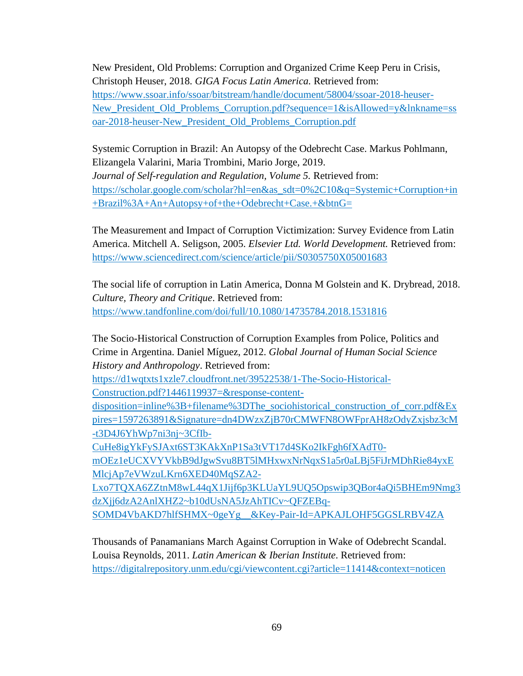New President, Old Problems: Corruption and Organized Crime Keep Peru in Crisis, Christoph Heuser, 2018. *GIGA Focus Latin America.* Retrieved from: [https://www.ssoar.info/ssoar/bitstream/handle/document/58004/ssoar-2018-heuser-](https://www.ssoar.info/ssoar/bitstream/handle/document/58004/ssoar-2018-heuser-New_President_Old_Problems_Corruption.pdf?sequence=1&isAllowed=y&lnkname=ssoar-2018-heuser-New_President_Old_Problems_Corruption.pdf)[New\\_President\\_Old\\_Problems\\_Corruption.pdf?sequence=1&isAllowed=y&lnkname=ss](https://www.ssoar.info/ssoar/bitstream/handle/document/58004/ssoar-2018-heuser-New_President_Old_Problems_Corruption.pdf?sequence=1&isAllowed=y&lnkname=ssoar-2018-heuser-New_President_Old_Problems_Corruption.pdf) [oar-2018-heuser-New\\_President\\_Old\\_Problems\\_Corruption.pdf](https://www.ssoar.info/ssoar/bitstream/handle/document/58004/ssoar-2018-heuser-New_President_Old_Problems_Corruption.pdf?sequence=1&isAllowed=y&lnkname=ssoar-2018-heuser-New_President_Old_Problems_Corruption.pdf)

Systemic Corruption in Brazil: An Autopsy of the Odebrecht Case. Markus Pohlmann, Elizangela Valarini, Maria Trombini, Mario Jorge, 2019. *Journal of Self-regulation and Regulation, Volume 5.* Retrieved from: [https://scholar.google.com/scholar?hl=en&as\\_sdt=0%2C10&q=Systemic+Corruption+in](https://scholar.google.com/scholar?hl=en&as_sdt=0%2C10&q=Systemic+Corruption+in+Brazil%3A+An+Autopsy+of+the+Odebrecht+Case.+&btnG=) [+Brazil%3A+An+Autopsy+of+the+Odebrecht+Case.+&btnG=](https://scholar.google.com/scholar?hl=en&as_sdt=0%2C10&q=Systemic+Corruption+in+Brazil%3A+An+Autopsy+of+the+Odebrecht+Case.+&btnG=)

The Measurement and Impact of Corruption Victimization: Survey Evidence from Latin America. Mitchell A. Seligson, 2005. *Elsevier Ltd. World Development.* Retrieved from: <https://www.sciencedirect.com/science/article/pii/S0305750X05001683>

The social life of corruption in Latin America, Donna M Golstein and K. Drybread, 2018. *Culture, Theory and Critique*. Retrieved from: <https://www.tandfonline.com/doi/full/10.1080/14735784.2018.1531816>

The Socio-Historical Construction of Corruption Examples from Police, Politics and Crime in Argentina. Daniel Míguez, 2012. *Global Journal of Human Social Science History and Anthropology*. Retrieved from:

[https://d1wqtxts1xzle7.cloudfront.net/39522538/1-The-Socio-Historical-](https://d1wqtxts1xzle7.cloudfront.net/39522538/1-The-Socio-Historical-Construction.pdf?1446119937=&response-content-disposition=inline%3B+filename%3DThe_sociohistorical_construction_of_corr.pdf&Expires=1597263891&Signature=dn4DWzxZjB70rCMWFN8OWFprAH8zOdyZxjsbz3cM-t3D4J6YhWp7ni3nj~3CfIb-CuHe8igYkFySJAxt6ST3KAkXnP1Sa3tVT17d4SKo2IkFgh6fXAdT0-mOEz1eUCXVYVkbB9dJgwSvu8BT5lMHxwxNrNqxS1a5r0aLBj5FiJrMDhRie84yxEMlcjAp7eVWzuLKrn6XED40MqSZA2-Lxo7TQXA6ZZtnM8wL44qX1Jijf6p3KLUaYL9UQ5Opswip3QBor4aQi5BHEm9Nmg3dzXjj6dzA2AnlXHZ2~b10dUsNA5JzAhTICv~QFZEBq-SOMD4VbAKD7hlfSHMX~0geYg__&Key-Pair-Id=APKAJLOHF5GGSLRBV4ZA)

[Construction.pdf?1446119937=&response-content-](https://d1wqtxts1xzle7.cloudfront.net/39522538/1-The-Socio-Historical-Construction.pdf?1446119937=&response-content-disposition=inline%3B+filename%3DThe_sociohistorical_construction_of_corr.pdf&Expires=1597263891&Signature=dn4DWzxZjB70rCMWFN8OWFprAH8zOdyZxjsbz3cM-t3D4J6YhWp7ni3nj~3CfIb-CuHe8igYkFySJAxt6ST3KAkXnP1Sa3tVT17d4SKo2IkFgh6fXAdT0-mOEz1eUCXVYVkbB9dJgwSvu8BT5lMHxwxNrNqxS1a5r0aLBj5FiJrMDhRie84yxEMlcjAp7eVWzuLKrn6XED40MqSZA2-Lxo7TQXA6ZZtnM8wL44qX1Jijf6p3KLUaYL9UQ5Opswip3QBor4aQi5BHEm9Nmg3dzXjj6dzA2AnlXHZ2~b10dUsNA5JzAhTICv~QFZEBq-SOMD4VbAKD7hlfSHMX~0geYg__&Key-Pair-Id=APKAJLOHF5GGSLRBV4ZA)

[disposition=inline%3B+filename%3DThe\\_sociohistorical\\_construction\\_of\\_corr.pdf&Ex](https://d1wqtxts1xzle7.cloudfront.net/39522538/1-The-Socio-Historical-Construction.pdf?1446119937=&response-content-disposition=inline%3B+filename%3DThe_sociohistorical_construction_of_corr.pdf&Expires=1597263891&Signature=dn4DWzxZjB70rCMWFN8OWFprAH8zOdyZxjsbz3cM-t3D4J6YhWp7ni3nj~3CfIb-CuHe8igYkFySJAxt6ST3KAkXnP1Sa3tVT17d4SKo2IkFgh6fXAdT0-mOEz1eUCXVYVkbB9dJgwSvu8BT5lMHxwxNrNqxS1a5r0aLBj5FiJrMDhRie84yxEMlcjAp7eVWzuLKrn6XED40MqSZA2-Lxo7TQXA6ZZtnM8wL44qX1Jijf6p3KLUaYL9UQ5Opswip3QBor4aQi5BHEm9Nmg3dzXjj6dzA2AnlXHZ2~b10dUsNA5JzAhTICv~QFZEBq-SOMD4VbAKD7hlfSHMX~0geYg__&Key-Pair-Id=APKAJLOHF5GGSLRBV4ZA) [pires=1597263891&Signature=dn4DWzxZjB70rCMWFN8OWFprAH8zOdyZxjsbz3cM](https://d1wqtxts1xzle7.cloudfront.net/39522538/1-The-Socio-Historical-Construction.pdf?1446119937=&response-content-disposition=inline%3B+filename%3DThe_sociohistorical_construction_of_corr.pdf&Expires=1597263891&Signature=dn4DWzxZjB70rCMWFN8OWFprAH8zOdyZxjsbz3cM-t3D4J6YhWp7ni3nj~3CfIb-CuHe8igYkFySJAxt6ST3KAkXnP1Sa3tVT17d4SKo2IkFgh6fXAdT0-mOEz1eUCXVYVkbB9dJgwSvu8BT5lMHxwxNrNqxS1a5r0aLBj5FiJrMDhRie84yxEMlcjAp7eVWzuLKrn6XED40MqSZA2-Lxo7TQXA6ZZtnM8wL44qX1Jijf6p3KLUaYL9UQ5Opswip3QBor4aQi5BHEm9Nmg3dzXjj6dzA2AnlXHZ2~b10dUsNA5JzAhTICv~QFZEBq-SOMD4VbAKD7hlfSHMX~0geYg__&Key-Pair-Id=APKAJLOHF5GGSLRBV4ZA) [-t3D4J6YhWp7ni3nj~3CfIb-](https://d1wqtxts1xzle7.cloudfront.net/39522538/1-The-Socio-Historical-Construction.pdf?1446119937=&response-content-disposition=inline%3B+filename%3DThe_sociohistorical_construction_of_corr.pdf&Expires=1597263891&Signature=dn4DWzxZjB70rCMWFN8OWFprAH8zOdyZxjsbz3cM-t3D4J6YhWp7ni3nj~3CfIb-CuHe8igYkFySJAxt6ST3KAkXnP1Sa3tVT17d4SKo2IkFgh6fXAdT0-mOEz1eUCXVYVkbB9dJgwSvu8BT5lMHxwxNrNqxS1a5r0aLBj5FiJrMDhRie84yxEMlcjAp7eVWzuLKrn6XED40MqSZA2-Lxo7TQXA6ZZtnM8wL44qX1Jijf6p3KLUaYL9UQ5Opswip3QBor4aQi5BHEm9Nmg3dzXjj6dzA2AnlXHZ2~b10dUsNA5JzAhTICv~QFZEBq-SOMD4VbAKD7hlfSHMX~0geYg__&Key-Pair-Id=APKAJLOHF5GGSLRBV4ZA)

[CuHe8igYkFySJAxt6ST3KAkXnP1Sa3tVT17d4SKo2IkFgh6fXAdT0-](https://d1wqtxts1xzle7.cloudfront.net/39522538/1-The-Socio-Historical-Construction.pdf?1446119937=&response-content-disposition=inline%3B+filename%3DThe_sociohistorical_construction_of_corr.pdf&Expires=1597263891&Signature=dn4DWzxZjB70rCMWFN8OWFprAH8zOdyZxjsbz3cM-t3D4J6YhWp7ni3nj~3CfIb-CuHe8igYkFySJAxt6ST3KAkXnP1Sa3tVT17d4SKo2IkFgh6fXAdT0-mOEz1eUCXVYVkbB9dJgwSvu8BT5lMHxwxNrNqxS1a5r0aLBj5FiJrMDhRie84yxEMlcjAp7eVWzuLKrn6XED40MqSZA2-Lxo7TQXA6ZZtnM8wL44qX1Jijf6p3KLUaYL9UQ5Opswip3QBor4aQi5BHEm9Nmg3dzXjj6dzA2AnlXHZ2~b10dUsNA5JzAhTICv~QFZEBq-SOMD4VbAKD7hlfSHMX~0geYg__&Key-Pair-Id=APKAJLOHF5GGSLRBV4ZA)

[mOEz1eUCXVYVkbB9dJgwSvu8BT5lMHxwxNrNqxS1a5r0aLBj5FiJrMDhRie84yxE](https://d1wqtxts1xzle7.cloudfront.net/39522538/1-The-Socio-Historical-Construction.pdf?1446119937=&response-content-disposition=inline%3B+filename%3DThe_sociohistorical_construction_of_corr.pdf&Expires=1597263891&Signature=dn4DWzxZjB70rCMWFN8OWFprAH8zOdyZxjsbz3cM-t3D4J6YhWp7ni3nj~3CfIb-CuHe8igYkFySJAxt6ST3KAkXnP1Sa3tVT17d4SKo2IkFgh6fXAdT0-mOEz1eUCXVYVkbB9dJgwSvu8BT5lMHxwxNrNqxS1a5r0aLBj5FiJrMDhRie84yxEMlcjAp7eVWzuLKrn6XED40MqSZA2-Lxo7TQXA6ZZtnM8wL44qX1Jijf6p3KLUaYL9UQ5Opswip3QBor4aQi5BHEm9Nmg3dzXjj6dzA2AnlXHZ2~b10dUsNA5JzAhTICv~QFZEBq-SOMD4VbAKD7hlfSHMX~0geYg__&Key-Pair-Id=APKAJLOHF5GGSLRBV4ZA) [MlcjAp7eVWzuLKrn6XED40MqSZA2-](https://d1wqtxts1xzle7.cloudfront.net/39522538/1-The-Socio-Historical-Construction.pdf?1446119937=&response-content-disposition=inline%3B+filename%3DThe_sociohistorical_construction_of_corr.pdf&Expires=1597263891&Signature=dn4DWzxZjB70rCMWFN8OWFprAH8zOdyZxjsbz3cM-t3D4J6YhWp7ni3nj~3CfIb-CuHe8igYkFySJAxt6ST3KAkXnP1Sa3tVT17d4SKo2IkFgh6fXAdT0-mOEz1eUCXVYVkbB9dJgwSvu8BT5lMHxwxNrNqxS1a5r0aLBj5FiJrMDhRie84yxEMlcjAp7eVWzuLKrn6XED40MqSZA2-Lxo7TQXA6ZZtnM8wL44qX1Jijf6p3KLUaYL9UQ5Opswip3QBor4aQi5BHEm9Nmg3dzXjj6dzA2AnlXHZ2~b10dUsNA5JzAhTICv~QFZEBq-SOMD4VbAKD7hlfSHMX~0geYg__&Key-Pair-Id=APKAJLOHF5GGSLRBV4ZA)

[Lxo7TQXA6ZZtnM8wL44qX1Jijf6p3KLUaYL9UQ5Opswip3QBor4aQi5BHEm9Nmg3](https://d1wqtxts1xzle7.cloudfront.net/39522538/1-The-Socio-Historical-Construction.pdf?1446119937=&response-content-disposition=inline%3B+filename%3DThe_sociohistorical_construction_of_corr.pdf&Expires=1597263891&Signature=dn4DWzxZjB70rCMWFN8OWFprAH8zOdyZxjsbz3cM-t3D4J6YhWp7ni3nj~3CfIb-CuHe8igYkFySJAxt6ST3KAkXnP1Sa3tVT17d4SKo2IkFgh6fXAdT0-mOEz1eUCXVYVkbB9dJgwSvu8BT5lMHxwxNrNqxS1a5r0aLBj5FiJrMDhRie84yxEMlcjAp7eVWzuLKrn6XED40MqSZA2-Lxo7TQXA6ZZtnM8wL44qX1Jijf6p3KLUaYL9UQ5Opswip3QBor4aQi5BHEm9Nmg3dzXjj6dzA2AnlXHZ2~b10dUsNA5JzAhTICv~QFZEBq-SOMD4VbAKD7hlfSHMX~0geYg__&Key-Pair-Id=APKAJLOHF5GGSLRBV4ZA) [dzXjj6dzA2AnlXHZ2~b10dUsNA5JzAhTICv~QFZEBq-](https://d1wqtxts1xzle7.cloudfront.net/39522538/1-The-Socio-Historical-Construction.pdf?1446119937=&response-content-disposition=inline%3B+filename%3DThe_sociohistorical_construction_of_corr.pdf&Expires=1597263891&Signature=dn4DWzxZjB70rCMWFN8OWFprAH8zOdyZxjsbz3cM-t3D4J6YhWp7ni3nj~3CfIb-CuHe8igYkFySJAxt6ST3KAkXnP1Sa3tVT17d4SKo2IkFgh6fXAdT0-mOEz1eUCXVYVkbB9dJgwSvu8BT5lMHxwxNrNqxS1a5r0aLBj5FiJrMDhRie84yxEMlcjAp7eVWzuLKrn6XED40MqSZA2-Lxo7TQXA6ZZtnM8wL44qX1Jijf6p3KLUaYL9UQ5Opswip3QBor4aQi5BHEm9Nmg3dzXjj6dzA2AnlXHZ2~b10dUsNA5JzAhTICv~QFZEBq-SOMD4VbAKD7hlfSHMX~0geYg__&Key-Pair-Id=APKAJLOHF5GGSLRBV4ZA)

[SOMD4VbAKD7hlfSHMX~0geYg\\_\\_&Key-Pair-Id=APKAJLOHF5GGSLRBV4ZA](https://d1wqtxts1xzle7.cloudfront.net/39522538/1-The-Socio-Historical-Construction.pdf?1446119937=&response-content-disposition=inline%3B+filename%3DThe_sociohistorical_construction_of_corr.pdf&Expires=1597263891&Signature=dn4DWzxZjB70rCMWFN8OWFprAH8zOdyZxjsbz3cM-t3D4J6YhWp7ni3nj~3CfIb-CuHe8igYkFySJAxt6ST3KAkXnP1Sa3tVT17d4SKo2IkFgh6fXAdT0-mOEz1eUCXVYVkbB9dJgwSvu8BT5lMHxwxNrNqxS1a5r0aLBj5FiJrMDhRie84yxEMlcjAp7eVWzuLKrn6XED40MqSZA2-Lxo7TQXA6ZZtnM8wL44qX1Jijf6p3KLUaYL9UQ5Opswip3QBor4aQi5BHEm9Nmg3dzXjj6dzA2AnlXHZ2~b10dUsNA5JzAhTICv~QFZEBq-SOMD4VbAKD7hlfSHMX~0geYg__&Key-Pair-Id=APKAJLOHF5GGSLRBV4ZA)

Thousands of Panamanians March Against Corruption in Wake of Odebrecht Scandal. Louisa Reynolds, 2011. *Latin American & Iberian Institute*. Retrieved from: <https://digitalrepository.unm.edu/cgi/viewcontent.cgi?article=11414&context=noticen>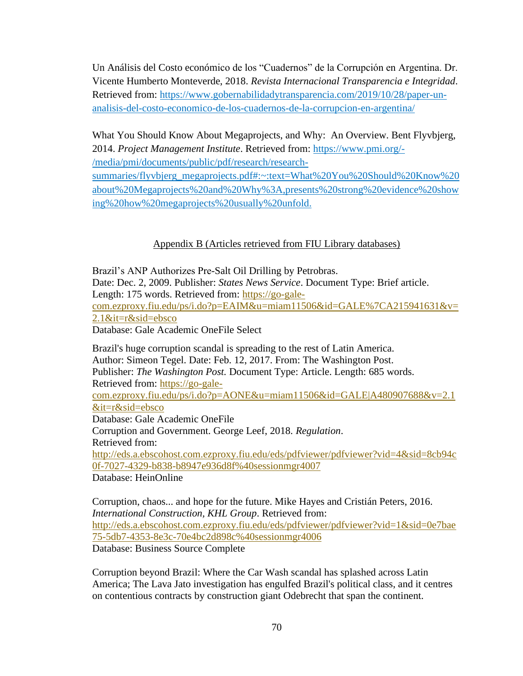Un Análisis del Costo económico de los "Cuadernos" de la Corrupción en Argentina. Dr. Vicente Humberto Monteverde, 2018. *Revista Internacional Transparencia e Integridad*. Retrieved from: [https://www.gobernabilidadytransparencia.com/2019/10/28/paper-un](https://www.gobernabilidadytransparencia.com/2019/10/28/paper-un-analisis-del-costo-economico-de-los-cuadernos-de-la-corrupcion-en-argentina/)[analisis-del-costo-economico-de-los-cuadernos-de-la-corrupcion-en-argentina/](https://www.gobernabilidadytransparencia.com/2019/10/28/paper-un-analisis-del-costo-economico-de-los-cuadernos-de-la-corrupcion-en-argentina/)

What You Should Know About Megaprojects, and Why: An Overview. Bent Flyvbjerg, 2014. *Project Management Institute*. Retrieved from: [https://www.pmi.org/-](https://www.pmi.org/-/media/pmi/documents/public/pdf/research/research-summaries/flyvbjerg_megaprojects.pdf#:~:text=What%20You%20Should%20Know%20about%20Megaprojects%20and%20Why%3A,presents%20strong%20evidence%20showing%20how%20megaprojects%20usually%20unfold.) [/media/pmi/documents/public/pdf/research/research-](https://www.pmi.org/-/media/pmi/documents/public/pdf/research/research-summaries/flyvbjerg_megaprojects.pdf#:~:text=What%20You%20Should%20Know%20about%20Megaprojects%20and%20Why%3A,presents%20strong%20evidence%20showing%20how%20megaprojects%20usually%20unfold.)

[summaries/flyvbjerg\\_megaprojects.pdf#:~:text=What%20You%20Should%20Know%20](https://www.pmi.org/-/media/pmi/documents/public/pdf/research/research-summaries/flyvbjerg_megaprojects.pdf#:~:text=What%20You%20Should%20Know%20about%20Megaprojects%20and%20Why%3A,presents%20strong%20evidence%20showing%20how%20megaprojects%20usually%20unfold.) [about%20Megaprojects%20and%20Why%3A,presents%20strong%20evidence%20show](https://www.pmi.org/-/media/pmi/documents/public/pdf/research/research-summaries/flyvbjerg_megaprojects.pdf#:~:text=What%20You%20Should%20Know%20about%20Megaprojects%20and%20Why%3A,presents%20strong%20evidence%20showing%20how%20megaprojects%20usually%20unfold.) [ing%20how%20megaprojects%20usually%20unfold.](https://www.pmi.org/-/media/pmi/documents/public/pdf/research/research-summaries/flyvbjerg_megaprojects.pdf#:~:text=What%20You%20Should%20Know%20about%20Megaprojects%20and%20Why%3A,presents%20strong%20evidence%20showing%20how%20megaprojects%20usually%20unfold.)

## Appendix B (Articles retrieved from FIU Library databases)

Brazil's ANP Authorizes Pre-Salt Oil Drilling by Petrobras. Date: Dec. 2, 2009. Publisher: *States News Service*. Document Type: Brief article. Length: 175 words. Retrieved from: [https://go-gale](https://go-gale-com.ezproxy.fiu.edu/ps/i.do?p=EAIM&u=miam11506&id=GALE%7CA215941631&v=2.1&it=r&sid=ebsco)[com.ezproxy.fiu.edu/ps/i.do?p=EAIM&u=miam11506&id=GALE%7CA215941631&v=](https://go-gale-com.ezproxy.fiu.edu/ps/i.do?p=EAIM&u=miam11506&id=GALE%7CA215941631&v=2.1&it=r&sid=ebsco) [2.1&it=r&sid=ebsco](https://go-gale-com.ezproxy.fiu.edu/ps/i.do?p=EAIM&u=miam11506&id=GALE%7CA215941631&v=2.1&it=r&sid=ebsco) Database: Gale Academic OneFile Select

Brazil's huge corruption scandal is spreading to the rest of Latin America. Author: Simeon Tegel. Date: Feb. 12, 2017. From: The Washington Post. Publisher: *The Washington Post.* Document Type: Article. Length: 685 words. Retrieved from: [https://go-gale](https://go-gale-com.ezproxy.fiu.edu/ps/i.do?p=AONE&u=miam11506&id=GALE|A480907688&v=2.1&it=r&sid=ebsco)[com.ezproxy.fiu.edu/ps/i.do?p=AONE&u=miam11506&id=GALE|A480907688&v=2.1](https://go-gale-com.ezproxy.fiu.edu/ps/i.do?p=AONE&u=miam11506&id=GALE|A480907688&v=2.1&it=r&sid=ebsco) [&it=r&sid=ebsco](https://go-gale-com.ezproxy.fiu.edu/ps/i.do?p=AONE&u=miam11506&id=GALE|A480907688&v=2.1&it=r&sid=ebsco) Database: Gale Academic OneFile Corruption and Government. George Leef, 2018. *Regulation*. Retrieved from: [http://eds.a.ebscohost.com.ezproxy.fiu.edu/eds/pdfviewer/pdfviewer?vid=4&sid=8cb94c](http://eds.a.ebscohost.com.ezproxy.fiu.edu/eds/pdfviewer/pdfviewer?vid=4&sid=8cb94c0f-7027-4329-b838-b8947e936d8f%40sessionmgr4007) [0f-7027-4329-b838-b8947e936d8f%40sessionmgr4007](http://eds.a.ebscohost.com.ezproxy.fiu.edu/eds/pdfviewer/pdfviewer?vid=4&sid=8cb94c0f-7027-4329-b838-b8947e936d8f%40sessionmgr4007) Database: HeinOnline

Corruption, chaos... and hope for the future. Mike Hayes and Cristián Peters, 2016. *International Construction, KHL Group*. Retrieved from: [http://eds.a.ebscohost.com.ezproxy.fiu.edu/eds/pdfviewer/pdfviewer?vid=1&sid=0e7bae](http://eds.a.ebscohost.com.ezproxy.fiu.edu/eds/pdfviewer/pdfviewer?vid=1&sid=0e7bae75-5db7-4353-8e3c-70e4bc2d898c%40sessionmgr4006) [75-5db7-4353-8e3c-70e4bc2d898c%40sessionmgr4006](http://eds.a.ebscohost.com.ezproxy.fiu.edu/eds/pdfviewer/pdfviewer?vid=1&sid=0e7bae75-5db7-4353-8e3c-70e4bc2d898c%40sessionmgr4006) Database: Business Source Complete

Corruption beyond Brazil: Where the Car Wash scandal has splashed across Latin America; The Lava Jato investigation has engulfed Brazil's political class, and it centres on contentious contracts by construction giant Odebrecht that span the continent.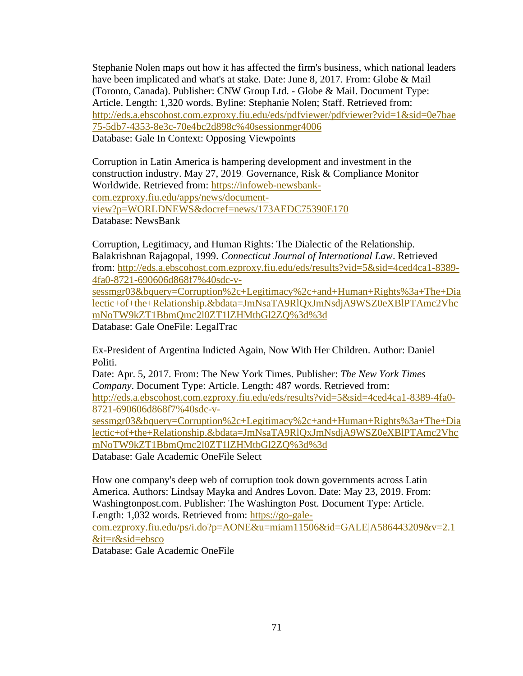Stephanie Nolen maps out how it has affected the firm's business, which national leaders have been implicated and what's at stake. Date: June 8, 2017. From: Globe & Mail (Toronto, Canada). Publisher: CNW Group Ltd. - Globe & Mail. Document Type: Article. Length: 1,320 words. Byline: Stephanie Nolen; Staff. Retrieved from: [http://eds.a.ebscohost.com.ezproxy.fiu.edu/eds/pdfviewer/pdfviewer?vid=1&sid=0e7bae](http://eds.a.ebscohost.com.ezproxy.fiu.edu/eds/pdfviewer/pdfviewer?vid=1&sid=0e7bae75-5db7-4353-8e3c-70e4bc2d898c%40sessionmgr4006) [75-5db7-4353-8e3c-70e4bc2d898c%40sessionmgr4006](http://eds.a.ebscohost.com.ezproxy.fiu.edu/eds/pdfviewer/pdfviewer?vid=1&sid=0e7bae75-5db7-4353-8e3c-70e4bc2d898c%40sessionmgr4006) Database: Gale In Context: Opposing Viewpoints

Corruption in Latin America is hampering development and investment in the construction industry. May 27, 2019. Governance, Risk & Compliance Monitor Worldwide. Retrieved from: [https://infoweb-newsbank](https://infoweb-newsbank-com.ezproxy.fiu.edu/apps/news/document-view?p=WORLDNEWS&docref=news/173AEDC75390E170)[com.ezproxy.fiu.edu/apps/news/document](https://infoweb-newsbank-com.ezproxy.fiu.edu/apps/news/document-view?p=WORLDNEWS&docref=news/173AEDC75390E170)[view?p=WORLDNEWS&docref=news/173AEDC75390E170](https://infoweb-newsbank-com.ezproxy.fiu.edu/apps/news/document-view?p=WORLDNEWS&docref=news/173AEDC75390E170) Database: NewsBank

Corruption, Legitimacy, and Human Rights: The Dialectic of the Relationship. Balakrishnan Rajagopal, 1999. *Connecticut Journal of International Law*. Retrieved from: [http://eds.a.ebscohost.com.ezproxy.fiu.edu/eds/results?vid=5&sid=4ced4ca1-8389-](http://eds.a.ebscohost.com.ezproxy.fiu.edu/eds/results?vid=5&sid=4ced4ca1-8389-4fa0-8721-690606d868f7%40sdc-v-sessmgr03&bquery=Corruption%2c+Legitimacy%2c+and+Human+Rights%3a+The+Dialectic+of+the+Relationship.&bdata=JmNsaTA9RlQxJmNsdjA9WSZ0eXBlPTAmc2VhcmNoTW9kZT1BbmQmc2l0ZT1lZHMtbGl2ZQ%3d%3d) [4fa0-8721-690606d868f7%40sdc-v-](http://eds.a.ebscohost.com.ezproxy.fiu.edu/eds/results?vid=5&sid=4ced4ca1-8389-4fa0-8721-690606d868f7%40sdc-v-sessmgr03&bquery=Corruption%2c+Legitimacy%2c+and+Human+Rights%3a+The+Dialectic+of+the+Relationship.&bdata=JmNsaTA9RlQxJmNsdjA9WSZ0eXBlPTAmc2VhcmNoTW9kZT1BbmQmc2l0ZT1lZHMtbGl2ZQ%3d%3d)

[sessmgr03&bquery=Corruption%2c+Legitimacy%2c+and+Human+Rights%3a+The+Dia](http://eds.a.ebscohost.com.ezproxy.fiu.edu/eds/results?vid=5&sid=4ced4ca1-8389-4fa0-8721-690606d868f7%40sdc-v-sessmgr03&bquery=Corruption%2c+Legitimacy%2c+and+Human+Rights%3a+The+Dialectic+of+the+Relationship.&bdata=JmNsaTA9RlQxJmNsdjA9WSZ0eXBlPTAmc2VhcmNoTW9kZT1BbmQmc2l0ZT1lZHMtbGl2ZQ%3d%3d) [lectic+of+the+Relationship.&bdata=JmNsaTA9RlQxJmNsdjA9WSZ0eXBlPTAmc2Vhc](http://eds.a.ebscohost.com.ezproxy.fiu.edu/eds/results?vid=5&sid=4ced4ca1-8389-4fa0-8721-690606d868f7%40sdc-v-sessmgr03&bquery=Corruption%2c+Legitimacy%2c+and+Human+Rights%3a+The+Dialectic+of+the+Relationship.&bdata=JmNsaTA9RlQxJmNsdjA9WSZ0eXBlPTAmc2VhcmNoTW9kZT1BbmQmc2l0ZT1lZHMtbGl2ZQ%3d%3d) [mNoTW9kZT1BbmQmc2l0ZT1lZHMtbGl2ZQ%3d%3d](http://eds.a.ebscohost.com.ezproxy.fiu.edu/eds/results?vid=5&sid=4ced4ca1-8389-4fa0-8721-690606d868f7%40sdc-v-sessmgr03&bquery=Corruption%2c+Legitimacy%2c+and+Human+Rights%3a+The+Dialectic+of+the+Relationship.&bdata=JmNsaTA9RlQxJmNsdjA9WSZ0eXBlPTAmc2VhcmNoTW9kZT1BbmQmc2l0ZT1lZHMtbGl2ZQ%3d%3d)

Database: Gale OneFile: LegalTrac

Ex-President of Argentina Indicted Again, Now With Her Children. Author: Daniel Politi.

Date: Apr. 5, 2017. From: The New York Times. Publisher: *The New York Times Company*. Document Type: Article. Length: 487 words. Retrieved from: [http://eds.a.ebscohost.com.ezproxy.fiu.edu/eds/results?vid=5&sid=4ced4ca1-8389-4fa0-](http://eds.a.ebscohost.com.ezproxy.fiu.edu/eds/results?vid=5&sid=4ced4ca1-8389-4fa0-8721-690606d868f7%40sdc-v-sessmgr03&bquery=Corruption%2c+Legitimacy%2c+and+Human+Rights%3a+The+Dialectic+of+the+Relationship.&bdata=JmNsaTA9RlQxJmNsdjA9WSZ0eXBlPTAmc2VhcmNoTW9kZT1BbmQmc2l0ZT1lZHMtbGl2ZQ%3d%3d) [8721-690606d868f7%40sdc-v-](http://eds.a.ebscohost.com.ezproxy.fiu.edu/eds/results?vid=5&sid=4ced4ca1-8389-4fa0-8721-690606d868f7%40sdc-v-sessmgr03&bquery=Corruption%2c+Legitimacy%2c+and+Human+Rights%3a+The+Dialectic+of+the+Relationship.&bdata=JmNsaTA9RlQxJmNsdjA9WSZ0eXBlPTAmc2VhcmNoTW9kZT1BbmQmc2l0ZT1lZHMtbGl2ZQ%3d%3d)

[sessmgr03&bquery=Corruption%2c+Legitimacy%2c+and+Human+Rights%3a+The+Dia](http://eds.a.ebscohost.com.ezproxy.fiu.edu/eds/results?vid=5&sid=4ced4ca1-8389-4fa0-8721-690606d868f7%40sdc-v-sessmgr03&bquery=Corruption%2c+Legitimacy%2c+and+Human+Rights%3a+The+Dialectic+of+the+Relationship.&bdata=JmNsaTA9RlQxJmNsdjA9WSZ0eXBlPTAmc2VhcmNoTW9kZT1BbmQmc2l0ZT1lZHMtbGl2ZQ%3d%3d) [lectic+of+the+Relationship.&bdata=JmNsaTA9RlQxJmNsdjA9WSZ0eXBlPTAmc2Vhc](http://eds.a.ebscohost.com.ezproxy.fiu.edu/eds/results?vid=5&sid=4ced4ca1-8389-4fa0-8721-690606d868f7%40sdc-v-sessmgr03&bquery=Corruption%2c+Legitimacy%2c+and+Human+Rights%3a+The+Dialectic+of+the+Relationship.&bdata=JmNsaTA9RlQxJmNsdjA9WSZ0eXBlPTAmc2VhcmNoTW9kZT1BbmQmc2l0ZT1lZHMtbGl2ZQ%3d%3d) [mNoTW9kZT1BbmQmc2l0ZT1lZHMtbGl2ZQ%3d%3d](http://eds.a.ebscohost.com.ezproxy.fiu.edu/eds/results?vid=5&sid=4ced4ca1-8389-4fa0-8721-690606d868f7%40sdc-v-sessmgr03&bquery=Corruption%2c+Legitimacy%2c+and+Human+Rights%3a+The+Dialectic+of+the+Relationship.&bdata=JmNsaTA9RlQxJmNsdjA9WSZ0eXBlPTAmc2VhcmNoTW9kZT1BbmQmc2l0ZT1lZHMtbGl2ZQ%3d%3d)

Database: Gale Academic OneFile Select

How one company's deep web of corruption took down governments across Latin America. Authors: Lindsay Mayka and Andres Lovon. Date: May 23, 2019. From: Washingtonpost.com. Publisher: The Washington Post. Document Type: Article. Length: 1,032 words. Retrieved from: [https://go-gale-](https://go-gale-com.ezproxy.fiu.edu/ps/i.do?p=AONE&u=miam11506&id=GALE|A586443209&v=2.1&it=r&sid=ebsco)

[com.ezproxy.fiu.edu/ps/i.do?p=AONE&u=miam11506&id=GALE|A586443209&v=2.1](https://go-gale-com.ezproxy.fiu.edu/ps/i.do?p=AONE&u=miam11506&id=GALE|A586443209&v=2.1&it=r&sid=ebsco) [&it=r&sid=ebsco](https://go-gale-com.ezproxy.fiu.edu/ps/i.do?p=AONE&u=miam11506&id=GALE|A586443209&v=2.1&it=r&sid=ebsco)

Database: Gale Academic OneFile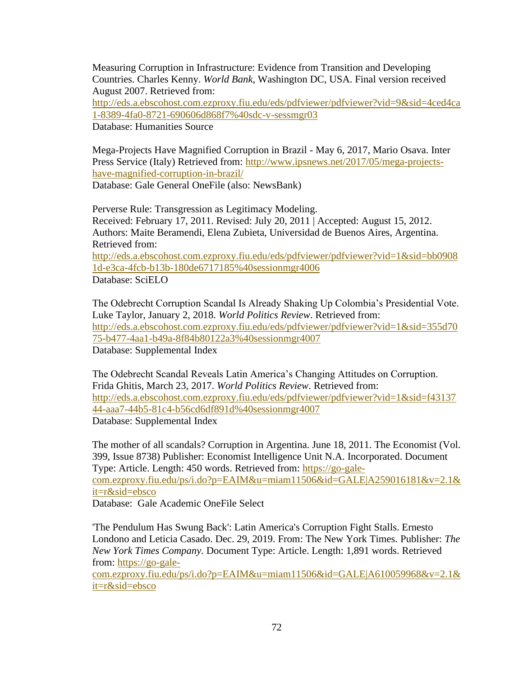Measuring Corruption in Infrastructure: Evidence from Transition and Developing Countries. Charles Kenny. *World Bank*, Washington DC, USA. Final version received August 2007. Retrieved from:

[http://eds.a.ebscohost.com.ezproxy.fiu.edu/eds/pdfviewer/pdfviewer?vid=9&sid=4ced4ca](http://eds.a.ebscohost.com.ezproxy.fiu.edu/eds/pdfviewer/pdfviewer?vid=9&sid=4ced4ca1-8389-4fa0-8721-690606d868f7%40sdc-v-sessmgr03) [1-8389-4fa0-8721-690606d868f7%40sdc-v-sessmgr03](http://eds.a.ebscohost.com.ezproxy.fiu.edu/eds/pdfviewer/pdfviewer?vid=9&sid=4ced4ca1-8389-4fa0-8721-690606d868f7%40sdc-v-sessmgr03)

Database: Humanities Source

Mega-Projects Have Magnified Corruption in Brazil - May 6, 2017, Mario Osava. Inter Press Service (Italy) Retrieved from: [http://www.ipsnews.net/2017/05/mega-projects](http://www.ipsnews.net/2017/05/mega-projects-have-magnified-corruption-in-brazil/)[have-magnified-corruption-in-brazil/](http://www.ipsnews.net/2017/05/mega-projects-have-magnified-corruption-in-brazil/) Database: Gale General OneFile (also: NewsBank)

Perverse Rule: Transgression as Legitimacy Modeling. Received: February 17, 2011. Revised: July 20, 2011 | Accepted: August 15, 2012. Authors: Maite Beramendi, Elena Zubieta, Universidad de Buenos Aires, Argentina. Retrieved from: [http://eds.a.ebscohost.com.ezproxy.fiu.edu/eds/pdfviewer/pdfviewer?vid=1&sid=bb0908](http://eds.a.ebscohost.com.ezproxy.fiu.edu/eds/pdfviewer/pdfviewer?vid=1&sid=bb09081d-e3ca-4fcb-b13b-180de6717185%40sessionmgr4006) [1d-e3ca-4fcb-b13b-180de6717185%40sessionmgr4006](http://eds.a.ebscohost.com.ezproxy.fiu.edu/eds/pdfviewer/pdfviewer?vid=1&sid=bb09081d-e3ca-4fcb-b13b-180de6717185%40sessionmgr4006) Database: SciELO

The Odebrecht Corruption Scandal Is Already Shaking Up Colombia's Presidential Vote. Luke Taylor, January 2, 2018. *World Politics Review*. Retrieved from: [http://eds.a.ebscohost.com.ezproxy.fiu.edu/eds/pdfviewer/pdfviewer?vid=1&sid=355d70](http://eds.a.ebscohost.com.ezproxy.fiu.edu/eds/pdfviewer/pdfviewer?vid=1&sid=355d7075-b477-4aa1-b49a-8f84b80122a3%40sessionmgr4007) [75-b477-4aa1-b49a-8f84b80122a3%40sessionmgr4007](http://eds.a.ebscohost.com.ezproxy.fiu.edu/eds/pdfviewer/pdfviewer?vid=1&sid=355d7075-b477-4aa1-b49a-8f84b80122a3%40sessionmgr4007) Database: Supplemental Index

The Odebrecht Scandal Reveals Latin America's Changing Attitudes on Corruption. Frida Ghitis, March 23, 2017. *World Politics Review*. Retrieved from: [http://eds.a.ebscohost.com.ezproxy.fiu.edu/eds/pdfviewer/pdfviewer?vid=1&sid=f43137](http://eds.a.ebscohost.com.ezproxy.fiu.edu/eds/pdfviewer/pdfviewer?vid=1&sid=f4313744-aaa7-44b5-81c4-b56cd6df891d%40sessionmgr4007) [44-aaa7-44b5-81c4-b56cd6df891d%40sessionmgr4007](http://eds.a.ebscohost.com.ezproxy.fiu.edu/eds/pdfviewer/pdfviewer?vid=1&sid=f4313744-aaa7-44b5-81c4-b56cd6df891d%40sessionmgr4007) Database: Supplemental Index

The mother of all scandals? Corruption in Argentina. June 18, 2011. The Economist (Vol. 399, Issue 8738) Publisher: Economist Intelligence Unit N.A. Incorporated. Document Type: Article. Length: 450 words. Retrieved from: [https://go-gale](https://go-gale-com.ezproxy.fiu.edu/ps/i.do?p=EAIM&u=miam11506&id=GALE|A259016181&v=2.1&it=r&sid=ebsco)[com.ezproxy.fiu.edu/ps/i.do?p=EAIM&u=miam11506&id=GALE|A259016181&v=2.1&](https://go-gale-com.ezproxy.fiu.edu/ps/i.do?p=EAIM&u=miam11506&id=GALE|A259016181&v=2.1&it=r&sid=ebsco) [it=r&sid=ebsco](https://go-gale-com.ezproxy.fiu.edu/ps/i.do?p=EAIM&u=miam11506&id=GALE|A259016181&v=2.1&it=r&sid=ebsco)

Database: Gale Academic OneFile Select

'The Pendulum Has Swung Back': Latin America's Corruption Fight Stalls. Ernesto Londono and Leticia Casado. Dec. 29, 2019. From: The New York Times. Publisher: *The New York Times Company.* Document Type: Article. Length: 1,891 words. Retrieved from: [https://go-gale-](https://go-gale-com.ezproxy.fiu.edu/ps/i.do?p=EAIM&u=miam11506&id=GALE|A610059968&v=2.1&it=r&sid=ebsco)

[com.ezproxy.fiu.edu/ps/i.do?p=EAIM&u=miam11506&id=GALE|A610059968&v=2.1&](https://go-gale-com.ezproxy.fiu.edu/ps/i.do?p=EAIM&u=miam11506&id=GALE|A610059968&v=2.1&it=r&sid=ebsco) [it=r&sid=ebsco](https://go-gale-com.ezproxy.fiu.edu/ps/i.do?p=EAIM&u=miam11506&id=GALE|A610059968&v=2.1&it=r&sid=ebsco)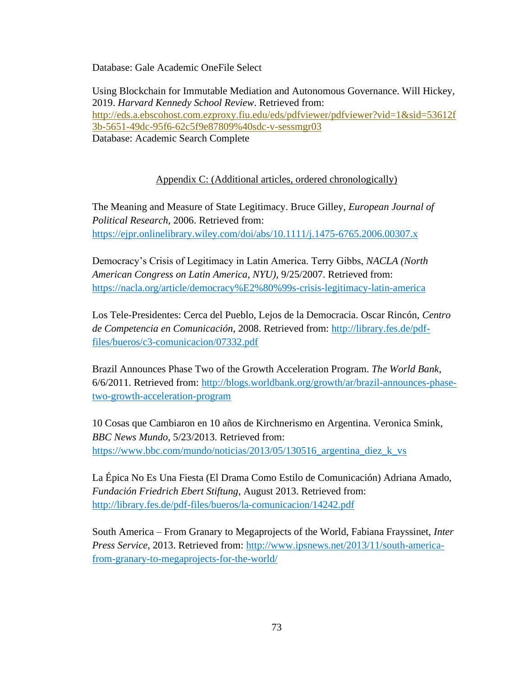Database: Gale Academic OneFile Select

Using Blockchain for Immutable Mediation and Autonomous Governance. Will Hickey, 2019. *Harvard Kennedy School Review*. Retrieved from: [http://eds.a.ebscohost.com.ezproxy.fiu.edu/eds/pdfviewer/pdfviewer?vid=1&sid=53612f](http://eds.a.ebscohost.com.ezproxy.fiu.edu/eds/pdfviewer/pdfviewer?vid=1&sid=53612f3b-5651-49dc-95f6-62c5f9e87809%40sdc-v-sessmgr03) [3b-5651-49dc-95f6-62c5f9e87809%40sdc-v-sessmgr03](http://eds.a.ebscohost.com.ezproxy.fiu.edu/eds/pdfviewer/pdfviewer?vid=1&sid=53612f3b-5651-49dc-95f6-62c5f9e87809%40sdc-v-sessmgr03) Database: Academic Search Complete

## Appendix C: (Additional articles, ordered chronologically)

The Meaning and Measure of State Legitimacy. Bruce Gilley, *European Journal of Political Research*, 2006. Retrieved from: https://ejpr.onlinelibrary.wiley.com/doi/abs/10.1111/j.1475-6765.2006.00307.x

Democracy's Crisis of Legitimacy in Latin America. Terry Gibbs, *NACLA (North American Congress on Latin America, NYU)*, 9/25/2007. Retrieved from: <https://nacla.org/article/democracy%E2%80%99s-crisis-legitimacy-latin-america>

Los Tele-Presidentes: Cerca del Pueblo, Lejos de la Democracia. Oscar Rincón, *Centro de Competencia en Comunicación*, 2008. Retrieved from: [http://library.fes.de/pdf](http://library.fes.de/pdf-files/bueros/c3-comunicacion/07332.pdf)[files/bueros/c3-comunicacion/07332.pdf](http://library.fes.de/pdf-files/bueros/c3-comunicacion/07332.pdf)

Brazil Announces Phase Two of the Growth Acceleration Program. *The World Bank*, 6/6/2011. Retrieved from: [http://blogs.worldbank.org/growth/ar/brazil-announces-phase](http://blogs.worldbank.org/growth/ar/brazil-announces-phase-two-growth-acceleration-program)[two-growth-acceleration-program](http://blogs.worldbank.org/growth/ar/brazil-announces-phase-two-growth-acceleration-program)

10 Cosas que Cambiaron en 10 años de Kirchnerismo en Argentina. Veronica Smink, *BBC News Mundo*, 5/23/2013. Retrieved from: [https://www.bbc.com/mundo/noticias/2013/05/130516\\_argentina\\_diez\\_k\\_vs](https://www.bbc.com/mundo/noticias/2013/05/130516_argentina_diez_k_vs)

La Épica No Es Una Fiesta (El Drama Como Estilo de Comunicación) Adriana Amado, *Fundación Friedrich Ebert Stiftung*, August 2013. Retrieved from: <http://library.fes.de/pdf-files/bueros/la-comunicacion/14242.pdf>

South America – From Granary to Megaprojects of the World, Fabiana Frayssinet, *Inter Press Service*, 2013. Retrieved from: [http://www.ipsnews.net/2013/11/south-america](http://www.ipsnews.net/2013/11/south-america-from-granary-to-megaprojects-for-the-world/)[from-granary-to-megaprojects-for-the-world/](http://www.ipsnews.net/2013/11/south-america-from-granary-to-megaprojects-for-the-world/)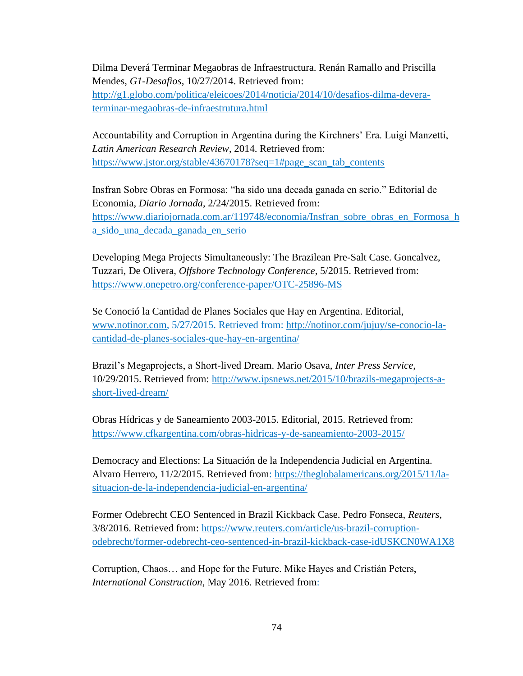Dilma Deverá Terminar Megaobras de Infraestructura. Renán Ramallo and Priscilla Mendes, *G1-Desafios*, 10/27/2014. Retrieved from: [http://g1.globo.com/politica/eleicoes/2014/noticia/2014/10/desafios-dilma-devera-](http://g1.globo.com/politica/eleicoes/2014/noticia/2014/10/desafios-dilma-devera-terminar-megaobras-de-infraestrutura.html)

[terminar-megaobras-de-infraestrutura.html](http://g1.globo.com/politica/eleicoes/2014/noticia/2014/10/desafios-dilma-devera-terminar-megaobras-de-infraestrutura.html)

Accountability and Corruption in Argentina during the Kirchners' Era. Luigi Manzetti, *Latin American Research Review*, 2014. Retrieved from: [https://www.jstor.org/stable/43670178?seq=1#page\\_scan\\_tab\\_contents](https://www.jstor.org/stable/43670178?seq=1#page_scan_tab_contents)

Insfran Sobre Obras en Formosa: "ha sido una decada ganada en serio." Editorial de Economia, *Diario Jornada*, 2/24/2015. Retrieved from: [https://www.diariojornada.com.ar/119748/economia/Insfran\\_sobre\\_obras\\_en\\_Formosa\\_h](https://www.diariojornada.com.ar/119748/economia/Insfran_sobre_obras_en_Formosa_ha_sido_una_decada_ganada_en_serio) [a\\_sido\\_una\\_decada\\_ganada\\_en\\_serio](https://www.diariojornada.com.ar/119748/economia/Insfran_sobre_obras_en_Formosa_ha_sido_una_decada_ganada_en_serio)

Developing Mega Projects Simultaneously: The Brazilean Pre-Salt Case. Goncalvez, Tuzzari, De Olivera, *Offshore Technology Conference*, 5/2015. Retrieved from: <https://www.onepetro.org/conference-paper/OTC-25896-MS>

Se Conoció la Cantidad de Planes Sociales que Hay en Argentina. Editorial, [www.notinor.com,](http://www.notinor.com/) 5/27/2015. Retrieved from: [http://notinor.com/jujuy/se-conocio-la](http://notinor.com/jujuy/se-conocio-la-cantidad-de-planes-sociales-que-hay-en-argentina/)[cantidad-de-planes-sociales-que-hay-en-argentina/](http://notinor.com/jujuy/se-conocio-la-cantidad-de-planes-sociales-que-hay-en-argentina/)

Brazil's Megaprojects, a Short-lived Dream. Mario Osava, *Inter Press Service*, 10/29/2015. Retrieved from: [http://www.ipsnews.net/2015/10/brazils-megaprojects-a](http://www.ipsnews.net/2015/10/brazils-megaprojects-a-short-lived-dream/)[short-lived-dream/](http://www.ipsnews.net/2015/10/brazils-megaprojects-a-short-lived-dream/)

Obras Hídricas y de Saneamiento 2003-2015. Editorial, 2015. Retrieved from: <https://www.cfkargentina.com/obras-hidricas-y-de-saneamiento-2003-2015/>

Democracy and Elections: La Situación de la Independencia Judicial en Argentina. Alvaro Herrero, 11/2/2015. Retrieved from: [https://theglobalamericans.org/2015/11/la](https://theglobalamericans.org/2015/11/la-situacion-de-la-independencia-judicial-en-argentina/)[situacion-de-la-independencia-judicial-en-argentina/](https://theglobalamericans.org/2015/11/la-situacion-de-la-independencia-judicial-en-argentina/)

Former Odebrecht CEO Sentenced in Brazil Kickback Case. Pedro Fonseca, *Reuters*, 3/8/2016. Retrieved from: [https://www.reuters.com/article/us-brazil-corruption](https://www.reuters.com/article/us-brazil-corruption-odebrecht/former-odebrecht-ceo-sentenced-in-brazil-kickback-case-idUSKCN0WA1X8)[odebrecht/former-odebrecht-ceo-sentenced-in-brazil-kickback-case-idUSKCN0WA1X8](https://www.reuters.com/article/us-brazil-corruption-odebrecht/former-odebrecht-ceo-sentenced-in-brazil-kickback-case-idUSKCN0WA1X8)

Corruption, Chaos… and Hope for the Future. Mike Hayes and Cristián Peters, *International Construction*, May 2016. Retrieved from: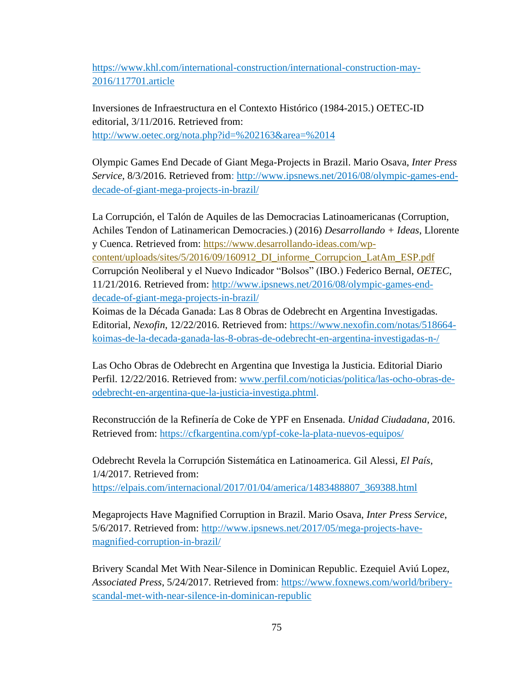[https://www.khl.com/international-construction/international-construction-may-](https://www.khl.com/international-construction/international-construction-may-2016/117701.article)[2016/117701.article](https://www.khl.com/international-construction/international-construction-may-2016/117701.article)

Inversiones de Infraestructura en el Contexto Histórico (1984-2015.) OETEC-ID editorial, 3/11/2016. Retrieved from: <http://www.oetec.org/nota.php?id=%202163&area=%2014>

Olympic Games End Decade of Giant Mega-Projects in Brazil. Mario Osava, *Inter Press Service*, 8/3/2016. Retrieved from: [http://www.ipsnews.net/2016/08/olympic-games-end](http://www.ipsnews.net/2016/08/olympic-games-end-decade-of-giant-mega-projects-in-brazil/)[decade-of-giant-mega-projects-in-brazil/](http://www.ipsnews.net/2016/08/olympic-games-end-decade-of-giant-mega-projects-in-brazil/)

La Corrupción, el Talón de Aquiles de las Democracias Latinoamericanas (Corruption, Achiles Tendon of Latinamerican Democracies.) (2016) *Desarrollando + Ideas*, Llorente y Cuenca. Retrieved from: [https://www.desarrollando-ideas.com/wp](https://www.desarrollando-ideas.com/wp-content/uploads/sites/5/2016/09/160912_DI_informe_Corrupcion_LatAm_ESP.pdf)[content/uploads/sites/5/2016/09/160912\\_DI\\_informe\\_Corrupcion\\_LatAm\\_ESP.pdf](https://www.desarrollando-ideas.com/wp-content/uploads/sites/5/2016/09/160912_DI_informe_Corrupcion_LatAm_ESP.pdf) Corrupción Neoliberal y el Nuevo Indicador "Bolsos" (IBO.) Federico Bernal, *OETEC*, 11/21/2016. Retrieved from: [http://www.ipsnews.net/2016/08/olympic-games-end](http://www.ipsnews.net/2016/08/olympic-games-end-decade-of-giant-mega-projects-in-brazil/)[decade-of-giant-mega-projects-in-brazil/](http://www.ipsnews.net/2016/08/olympic-games-end-decade-of-giant-mega-projects-in-brazil/)

Koimas de la Década Ganada: Las 8 Obras de Odebrecht en Argentina Investigadas. Editorial, *Nexofin*, 12/22/2016. Retrieved from: [https://www.nexofin.com/notas/518664](https://www.nexofin.com/notas/518664-koimas-de-la-decada-ganada-las-8-obras-de-odebrecht-en-argentina-investigadas-n-/) [koimas-de-la-decada-ganada-las-8-obras-de-odebrecht-en-argentina-investigadas-n-/](https://www.nexofin.com/notas/518664-koimas-de-la-decada-ganada-las-8-obras-de-odebrecht-en-argentina-investigadas-n-/)

Las Ocho Obras de Odebrecht en Argentina que Investiga la Justicia. Editorial Diario Perfil. 12/22/2016. Retrieved from: [www.perfil.com/noticias/politica/las-ocho-obras-de](http://www.perfil.com/noticias/politica/las-ocho-obras-de-odebrecht-en-argentina-que-la-justicia-investiga.phtml)[odebrecht-en-argentina-que-la-justicia-investiga.phtml.](http://www.perfil.com/noticias/politica/las-ocho-obras-de-odebrecht-en-argentina-que-la-justicia-investiga.phtml)

Reconstrucción de la Refinería de Coke de YPF en Ensenada. *Unidad Ciudadana*, 2016. Retrieved from:<https://cfkargentina.com/ypf-coke-la-plata-nuevos-equipos/>

Odebrecht Revela la Corrupción Sistemática en Latinoamerica. Gil Alessi, *El País*, 1/4/2017. Retrieved from: [https://elpais.com/internacional/2017/01/04/america/1483488807\\_369388.html](https://elpais.com/internacional/2017/01/04/america/1483488807_369388.html)

Megaprojects Have Magnified Corruption in Brazil. Mario Osava, *Inter Press Service*, 5/6/2017. Retrieved from: [http://www.ipsnews.net/2017/05/mega-projects-have](http://www.ipsnews.net/2017/05/mega-projects-have-magnified-corruption-in-brazil/)[magnified-corruption-in-brazil/](http://www.ipsnews.net/2017/05/mega-projects-have-magnified-corruption-in-brazil/)

Brivery Scandal Met With Near-Silence in Dominican Republic. Ezequiel Aviú Lopez, *Associated Press*, 5/24/2017. Retrieved from: [https://www.foxnews.com/world/bribery](https://www.foxnews.com/world/bribery-scandal-met-with-near-silence-in-dominican-republic)[scandal-met-with-near-silence-in-dominican-republic](https://www.foxnews.com/world/bribery-scandal-met-with-near-silence-in-dominican-republic)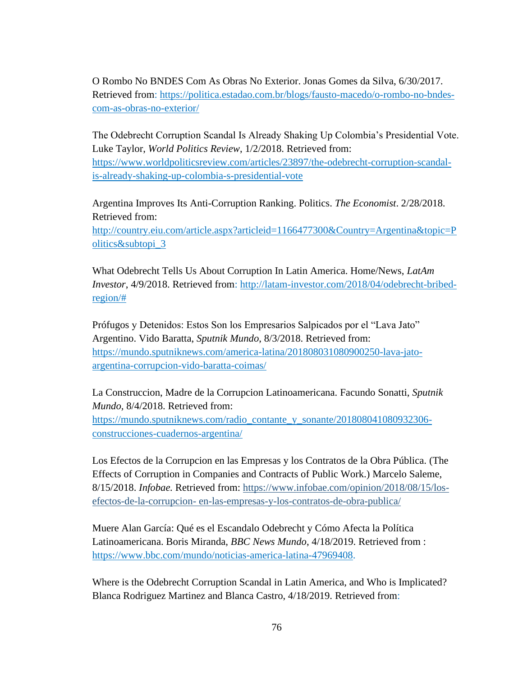O Rombo No BNDES Com As Obras No Exterior. Jonas Gomes da Silva, 6/30/2017. Retrieved from: [https://politica.estadao.com.br/blogs/fausto-macedo/o-rombo-no-bndes](https://politica.estadao.com.br/blogs/fausto-macedo/o-rombo-no-bndes-com-as-obras-no-exterior/)[com-as-obras-no-exterior/](https://politica.estadao.com.br/blogs/fausto-macedo/o-rombo-no-bndes-com-as-obras-no-exterior/)

The Odebrecht Corruption Scandal Is Already Shaking Up Colombia's Presidential Vote. Luke Taylor, *World Politics Review*, 1/2/2018. Retrieved from: [https://www.worldpoliticsreview.com/articles/23897/the-odebrecht-corruption-scandal](https://www.worldpoliticsreview.com/articles/23897/the-odebrecht-corruption-scandal-is-already-shaking-up-colombia-s-presidential-vote)[is-already-shaking-up-colombia-s-presidential-vote](https://www.worldpoliticsreview.com/articles/23897/the-odebrecht-corruption-scandal-is-already-shaking-up-colombia-s-presidential-vote)

Argentina Improves Its Anti-Corruption Ranking. Politics. *The Economist*. 2/28/2018. Retrieved from:

[http://country.eiu.com/article.aspx?articleid=1166477300&Country=Argentina&topic=P](http://country.eiu.com/article.aspx?articleid=1166477300&Country=Argentina&topic=Politics&subtopi_3) [olitics&subtopi\\_3](http://country.eiu.com/article.aspx?articleid=1166477300&Country=Argentina&topic=Politics&subtopi_3)

What Odebrecht Tells Us About Corruption In Latin America. Home/News, *LatAm Investor*, 4/9/2018. Retrieved from: [http://latam-investor.com/2018/04/odebrecht-bribed](http://latam-investor.com/2018/04/odebrecht-bribed-region/)[region/#](http://latam-investor.com/2018/04/odebrecht-bribed-region/)

Prófugos y Detenidos: Estos Son los Empresarios Salpicados por el "Lava Jato" Argentino. Vido Baratta, *Sputnik Mundo*, 8/3/2018. Retrieved from: [https://mundo.sputniknews.com/america-latina/201808031080900250-lava-jato](https://mundo.sputniknews.com/america-latina/201808031080900250-lava-jato-argentina-corrupcion-vido-baratta-coimas/)[argentina-corrupcion-vido-baratta-coimas/](https://mundo.sputniknews.com/america-latina/201808031080900250-lava-jato-argentina-corrupcion-vido-baratta-coimas/)

La Construccion, Madre de la Corrupcion Latinoamericana. Facundo Sonatti, *Sputnik Mundo,* 8/4/2018. Retrieved from: [https://mundo.sputniknews.com/radio\\_contante\\_y\\_sonante/201808041080932306](https://mundo.sputniknews.com/radio_contante_y_sonante/201808041080932306-construcciones-cuadernos-argentina/) [construcciones-cuadernos-argentina/](https://mundo.sputniknews.com/radio_contante_y_sonante/201808041080932306-construcciones-cuadernos-argentina/)

Los Efectos de la Corrupcion en las Empresas y los Contratos de la Obra Pública. (The Effects of Corruption in Companies and Contracts of Public Work.) Marcelo Saleme, 8/15/2018. *Infobae.* Retrieved from: [https://www.infobae.com/opinion/2018/08/15/los](https://www.infobae.com/opinion/2018/08/15/los-efectos-de-la-corrupcion-%20en-las-empresas-y-los-contratos-de-obra-publica/)efectos-de-la-corrupcion- [en-las-empresas-y-los-contratos-de-obra-publica/](https://www.infobae.com/opinion/2018/08/15/los-efectos-de-la-corrupcion-%20en-las-empresas-y-los-contratos-de-obra-publica/)

Muere Alan García: Qué es el Escandalo Odebrecht y Cómo Afecta la Política Latinoamericana. Boris Miranda, *BBC News Mundo*, 4/18/2019. Retrieved from : [https://www.bbc.com/mundo/noticias-america-latina-47969408.](https://www.bbc.com/mundo/noticias-america-latina-47969408)

Where is the Odebrecht Corruption Scandal in Latin America, and Who is Implicated? Blanca Rodriguez Martinez and Blanca Castro, 4/18/2019. Retrieved from: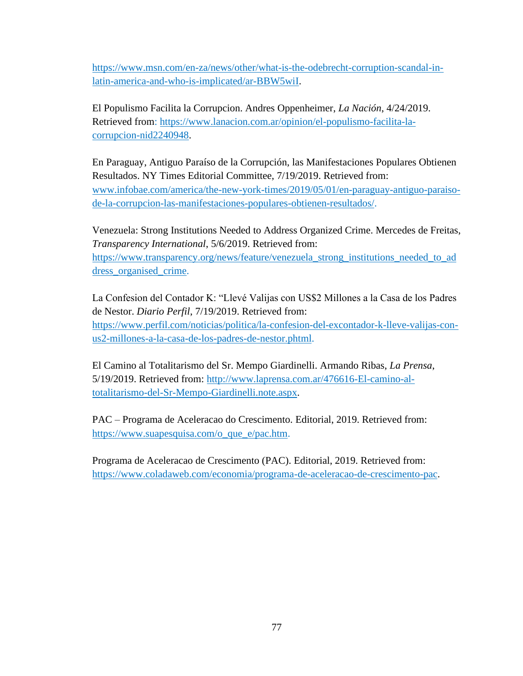[https://www.msn.com/en-za/news/other/what-is-the-odebrecht-corruption-scandal-in](https://www.msn.com/en-za/news/other/what-is-the-odebrecht-corruption-scandal-in-latin-america-and-who-is-implicated/ar-BBW5wiI)[latin-america-and-who-is-implicated/ar-BBW5wiI.](https://www.msn.com/en-za/news/other/what-is-the-odebrecht-corruption-scandal-in-latin-america-and-who-is-implicated/ar-BBW5wiI)

El Populismo Facilita la Corrupcion. Andres Oppenheimer, *La Nación*, 4/24/2019. Retrieved from: [https://www.lanacion.com.ar/opinion/el-populismo-facilita-la](https://www.lanacion.com.ar/opinion/el-populismo-facilita-la-corrupcion-nid2240948)[corrupcion-nid2240948.](https://www.lanacion.com.ar/opinion/el-populismo-facilita-la-corrupcion-nid2240948)

En Paraguay, Antiguo Paraíso de la Corrupción, las Manifestaciones Populares Obtienen Resultados. NY Times Editorial Committee, 7/19/2019. Retrieved from: [www.infobae.com/america/the-new-york-times/2019/05/01/en-paraguay-antiguo-paraiso](http://www.infobae.com/america/the-new-york-times/2019/05/01/en-paraguay-antiguo-paraiso-de-la-corrupcion-las-manifestaciones-populares-obtienen-resultados/)[de-la-corrupcion-las-manifestaciones-populares-obtienen-resultados/.](http://www.infobae.com/america/the-new-york-times/2019/05/01/en-paraguay-antiguo-paraiso-de-la-corrupcion-las-manifestaciones-populares-obtienen-resultados/)

Venezuela: Strong Institutions Needed to Address Organized Crime. Mercedes de Freitas, *Transparency International*, 5/6/2019. Retrieved from: [https://www.transparency.org/news/feature/venezuela\\_strong\\_institutions\\_needed\\_to\\_ad](https://www.transparency.org/news/feature/venezuela_strong_institutions_needed_to_address_organised_crime) [dress\\_organised\\_crime.](https://www.transparency.org/news/feature/venezuela_strong_institutions_needed_to_address_organised_crime)

La Confesion del Contador K: "Llevé Valijas con US\$2 Millones a la Casa de los Padres de Nestor. *Diario Perfil*, 7/19/2019. Retrieved from: [https://www.perfil.com/noticias/politica/la-confesion-del-excontador-k-lleve-valijas-con](https://www.perfil.com/noticias/politica/la-confesion-del-excontador-k-lleve-valijas-con-us2-millones-a-la-casa-de-los-padres-de-nestor.phtml)[us2-millones-a-la-casa-de-los-padres-de-nestor.phtml.](https://www.perfil.com/noticias/politica/la-confesion-del-excontador-k-lleve-valijas-con-us2-millones-a-la-casa-de-los-padres-de-nestor.phtml)

El Camino al Totalitarismo del Sr. Mempo Giardinelli. Armando Ribas, *La Prensa*, 5/19/2019. Retrieved from: [http://www.laprensa.com.ar/476616-El-camino-al](http://www.laprensa.com.ar/476616-El-camino-al-totalitarismo-del-Sr-Mempo-Giardinelli.note.aspx)[totalitarismo-del-Sr-Mempo-Giardinelli.note.aspx.](http://www.laprensa.com.ar/476616-El-camino-al-totalitarismo-del-Sr-Mempo-Giardinelli.note.aspx)

PAC – Programa de Aceleracao do Crescimento. Editorial, 2019. Retrieved from: [https://www.suapesquisa.com/o\\_que\\_e/pac.htm.](https://www.suapesquisa.com/o_que_e/pac.htm)

Programa de Aceleracao de Crescimento (PAC). Editorial, 2019. Retrieved from: [https://www.coladaweb.com/economia/programa-de-aceleracao-de-crescimento-pac.](https://www.coladaweb.com/economia/programa-de-aceleracao-de-crescimento-pac)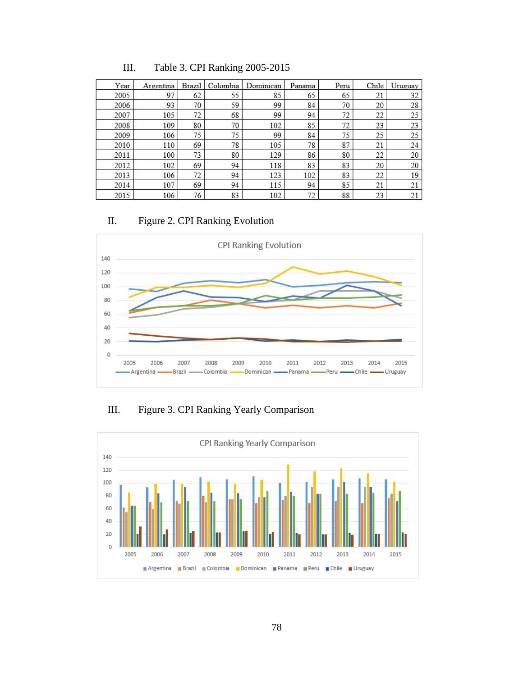| Year | Argentina | <b>Brazil</b> | Colombia | Dominican | Panama | Peru | Chile | Uruguay |
|------|-----------|---------------|----------|-----------|--------|------|-------|---------|
| 2005 | 97        | 62            | 55       | 85        | 65     | 65   | 21    | 32      |
| 2006 | 93        | 70            | 59       | 99        | 84     | 70   | 20    | 28      |
| 2007 | 105       | 72            | 68       | 99        | 94     | 72   | 22    | 25      |
| 2008 | 109       | 80            | 70       | 102       | 85     | 72   | 23    | 23      |
| 2009 | 106       | 75            | 75       | 99        | 84     | 75   | 25    | 25      |
| 2010 | 110       | 69            | 78       | 105       | 78     | 87   | 21    | 24      |
| 2011 | 100       | 73            | 80       | 129       | 86     | 80   | 22    | 20      |
| 2012 | 102       | 69            | 94       | 118       | 83     | 83   | 20    | 20      |
| 2013 | 106       | 72            | 94       | 123       | 102    | 83   | 22    | 19      |
| 2014 | 107       | 69            | 94       | 115       | 94     | 85   | 21    | 21      |
| 2015 | 106       | 76            | 83       | 102       | 72     | 88   | 23    | 21      |

III. Table 3. CPI Ranking 2005-2015

## II. Figure 2. CPI Ranking Evolution



III. Figure 3. CPI Ranking Yearly Comparison

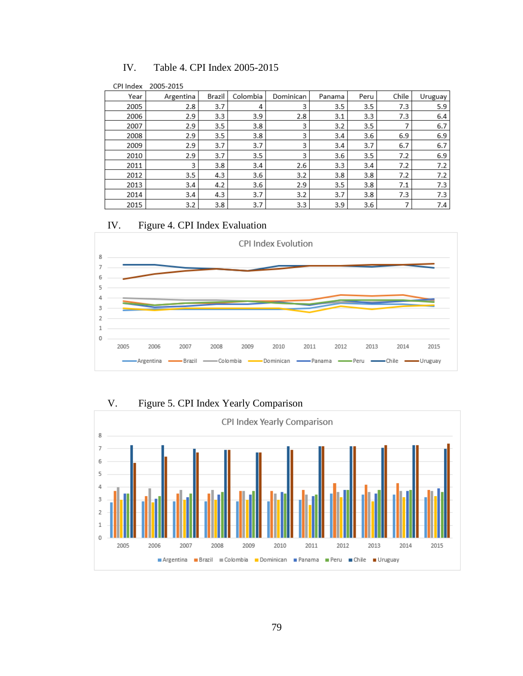| CPI Index | 2005-2015 |        |          |           |        |      |       |         |
|-----------|-----------|--------|----------|-----------|--------|------|-------|---------|
| Year      | Argentina | Brazil | Colombia | Dominican | Panama | Peru | Chile | Uruguay |
| 2005      | 2.8       | 3.7    | 4        | 3         | 3.5    | 3.5  | 7.3   | 5.9     |
| 2006      | 2.9       | 3.3    | 3.9      | 2.8       | 3.1    | 3.3  | 7.3   | 6.4     |
| 2007      | 2.9       | 3.5    | 3.8      | 3         | 3.2    | 3.5  |       | 6.7     |
| 2008      | 2.9       | 3.5    | 3.8      | 3         | 3.4    | 3.6  | 6.9   | 6.9     |
| 2009      | 2.9       | 3.7    | 3.7      | 3         | 3.4    | 3.7  | 6.7   | 6.7     |
| 2010      | 2.9       | 3.7    | 3.5      | 3         | 3.6    | 3.5  | 7.2   | 6.9     |
| 2011      | 3         | 3.8    | 3.4      | 2.6       | 3.3    | 3.4  | 7.2   | 7.2     |
| 2012      | 3.5       | 4.3    | 3.6      | 3.2       | 3.8    | 3.8  | 7.2   | 7.2     |
| 2013      | 3.4       | 4.2    | 3.6      | 2.9       | 3.5    | 3.8  | 7.1   | 7.3     |
| 2014      | 3.4       | 4.3    | 3.7      | 3.2       | 3.7    | 3.8  | 7.3   | 7.3     |
| 2015      | 3.2       | 3.8    | 3.7      | 3.3       | 3.9    | 3.6  | ⇁     | 7.4     |

### IV. Table 4. CPI Index 2005-2015

## IV. Figure 4. CPI Index Evaluation